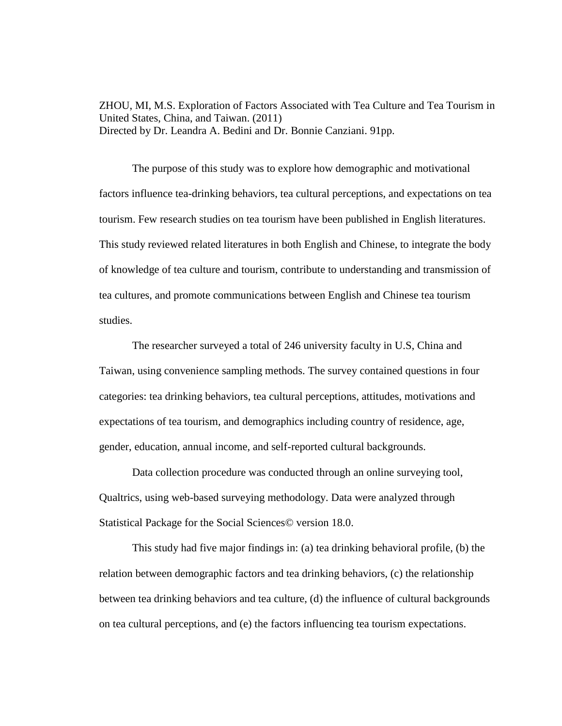ZHOU, MI, M.S. Exploration of Factors Associated with Tea Culture and Tea Tourism in United States, China, and Taiwan. (2011) Directed by Dr. Leandra A. Bedini and Dr. Bonnie Canziani. 91pp.

The purpose of this study was to explore how demographic and motivational factors influence tea-drinking behaviors, tea cultural perceptions, and expectations on tea tourism. Few research studies on tea tourism have been published in English literatures. This study reviewed related literatures in both English and Chinese, to integrate the body of knowledge of tea culture and tourism, contribute to understanding and transmission of tea cultures, and promote communications between English and Chinese tea tourism studies.

The researcher surveyed a total of 246 university faculty in U.S, China and Taiwan, using convenience sampling methods. The survey contained questions in four categories: tea drinking behaviors, tea cultural perceptions, attitudes, motivations and expectations of tea tourism, and demographics including country of residence, age, gender, education, annual income, and self-reported cultural backgrounds.

Data collection procedure was conducted through an online surveying tool, Qualtrics, using web-based surveying methodology. Data were analyzed through Statistical Package for the Social Sciences© version 18.0.

This study had five major findings in: (a) tea drinking behavioral profile, (b) the relation between demographic factors and tea drinking behaviors, (c) the relationship between tea drinking behaviors and tea culture, (d) the influence of cultural backgrounds on tea cultural perceptions, and (e) the factors influencing tea tourism expectations.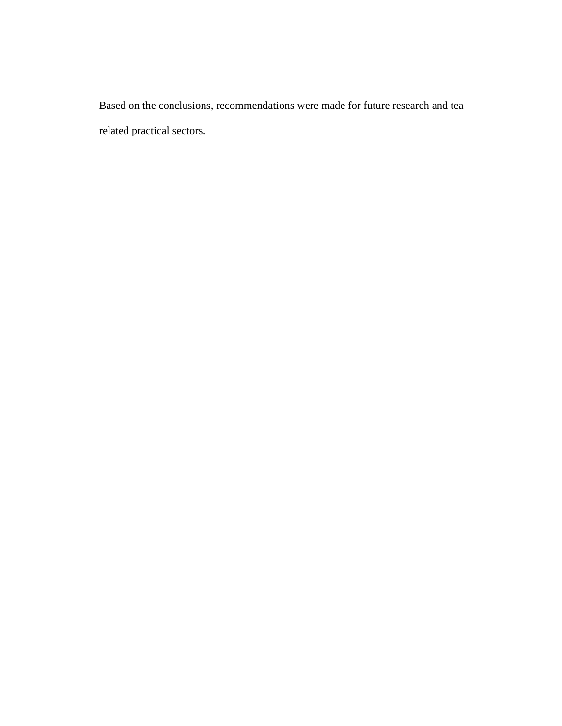Based on the conclusions, recommendations were made for future research and tea related practical sectors.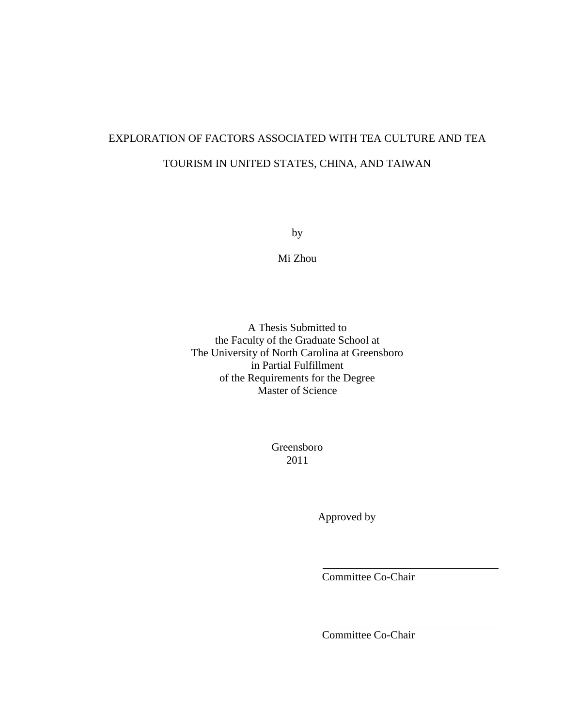# EXPLORATION OF FACTORS ASSOCIATED WITH TEA CULTURE AND TEA TOURISM IN UNITED STATES, CHINA, AND TAIWAN

by

Mi Zhou

A Thesis Submitted to the Faculty of the Graduate School at The University of North Carolina at Greensboro in Partial Fulfillment of the Requirements for the Degree Master of Science

> Greensboro 2011

> > Approved by

Committee Co-Chair

Committee Co-Chair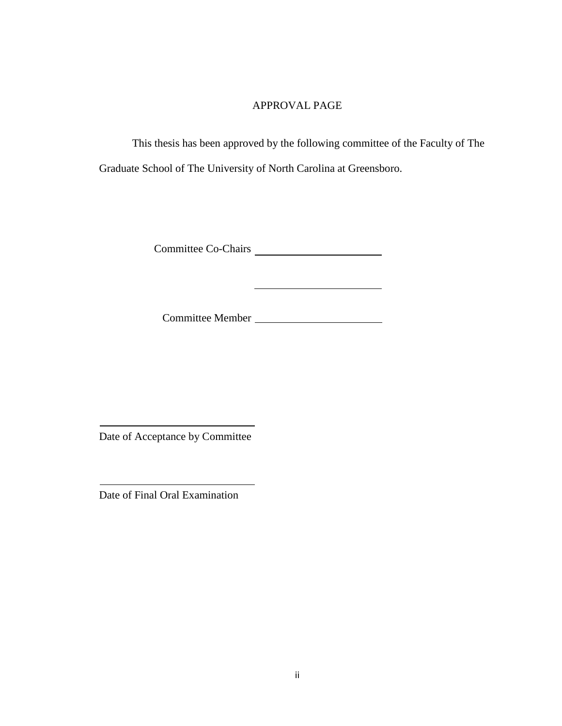## APPROVAL PAGE

This thesis has been approved by the following committee of the Faculty of The Graduate School of The University of North Carolina at Greensboro.

Committee Co-Chairs

Committee Member

<u> Alexandria de la contexta de la contexta de la contexta de la contexta de la contexta de la contexta de la c</u>

Date of Acceptance by Committee

Date of Final Oral Examination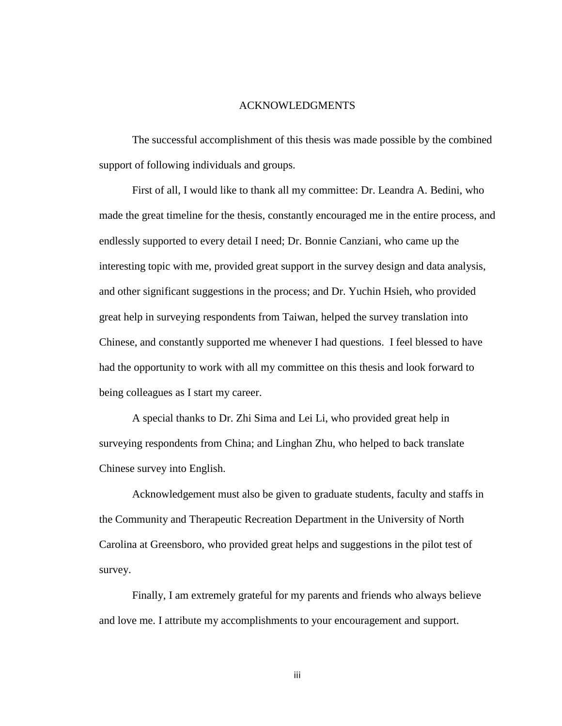#### ACKNOWLEDGMENTS

The successful accomplishment of this thesis was made possible by the combined support of following individuals and groups.

First of all, I would like to thank all my committee: Dr. Leandra A. Bedini, who made the great timeline for the thesis, constantly encouraged me in the entire process, and endlessly supported to every detail I need; Dr. Bonnie Canziani, who came up the interesting topic with me, provided great support in the survey design and data analysis, and other significant suggestions in the process; and Dr. Yuchin Hsieh, who provided great help in surveying respondents from Taiwan, helped the survey translation into Chinese, and constantly supported me whenever I had questions. I feel blessed to have had the opportunity to work with all my committee on this thesis and look forward to being colleagues as I start my career.

A special thanks to Dr. Zhi Sima and Lei Li, who provided great help in surveying respondents from China; and Linghan Zhu, who helped to back translate Chinese survey into English.

Acknowledgement must also be given to graduate students, faculty and staffs in the Community and Therapeutic Recreation Department in the University of North Carolina at Greensboro, who provided great helps and suggestions in the pilot test of survey.

Finally, I am extremely grateful for my parents and friends who always believe and love me. I attribute my accomplishments to your encouragement and support.

iii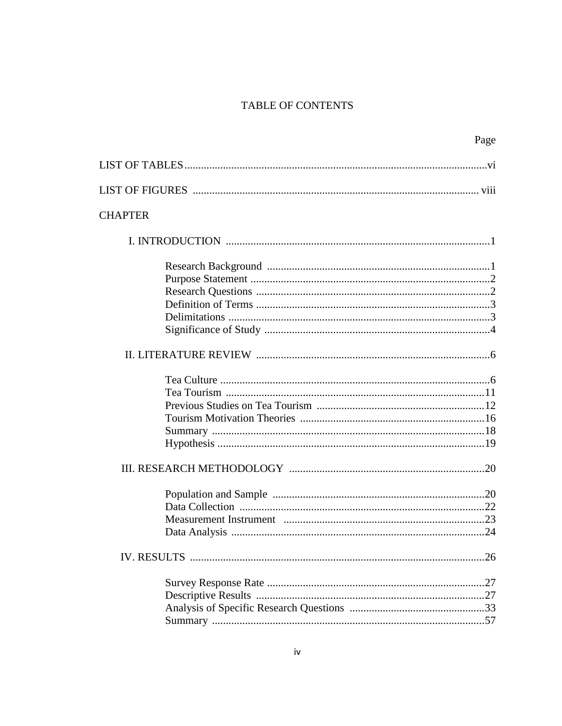## TABLE OF CONTENTS

| Page           |  |
|----------------|--|
|                |  |
|                |  |
| <b>CHAPTER</b> |  |
|                |  |
|                |  |
|                |  |
|                |  |
|                |  |
|                |  |
|                |  |
|                |  |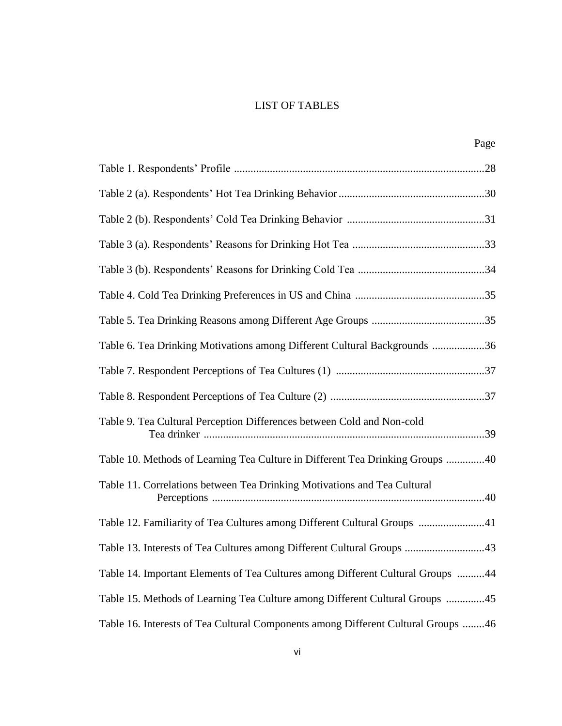# LIST OF TABLES

| Page                                                                              |  |
|-----------------------------------------------------------------------------------|--|
|                                                                                   |  |
|                                                                                   |  |
|                                                                                   |  |
|                                                                                   |  |
|                                                                                   |  |
|                                                                                   |  |
|                                                                                   |  |
| Table 6. Tea Drinking Motivations among Different Cultural Backgrounds 36         |  |
|                                                                                   |  |
|                                                                                   |  |
| Table 9. Tea Cultural Perception Differences between Cold and Non-cold            |  |
| Table 10. Methods of Learning Tea Culture in Different Tea Drinking Groups 40     |  |
| Table 11. Correlations between Tea Drinking Motivations and Tea Cultural          |  |
| Table 12. Familiarity of Tea Cultures among Different Cultural Groups 41          |  |
| Table 13. Interests of Tea Cultures among Different Cultural Groups 43            |  |
| Table 14. Important Elements of Tea Cultures among Different Cultural Groups 44   |  |
| Table 15. Methods of Learning Tea Culture among Different Cultural Groups 45      |  |
| Table 16. Interests of Tea Cultural Components among Different Cultural Groups 46 |  |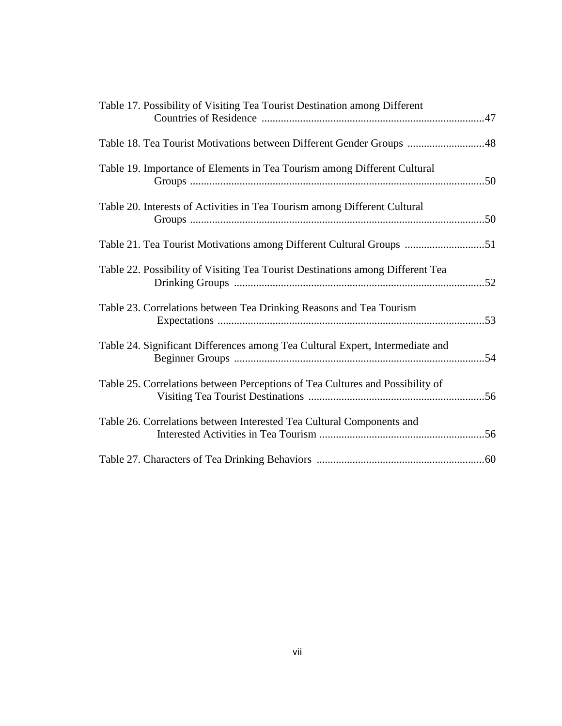| Table 17. Possibility of Visiting Tea Tourist Destination among Different      |  |
|--------------------------------------------------------------------------------|--|
| Table 18. Tea Tourist Motivations between Different Gender Groups 48           |  |
| Table 19. Importance of Elements in Tea Tourism among Different Cultural       |  |
| Table 20. Interests of Activities in Tea Tourism among Different Cultural      |  |
| Table 21. Tea Tourist Motivations among Different Cultural Groups 51           |  |
| Table 22. Possibility of Visiting Tea Tourist Destinations among Different Tea |  |
| Table 23. Correlations between Tea Drinking Reasons and Tea Tourism            |  |
| Table 24. Significant Differences among Tea Cultural Expert, Intermediate and  |  |
| Table 25. Correlations between Perceptions of Tea Cultures and Possibility of  |  |
| Table 26. Correlations between Interested Tea Cultural Components and          |  |
|                                                                                |  |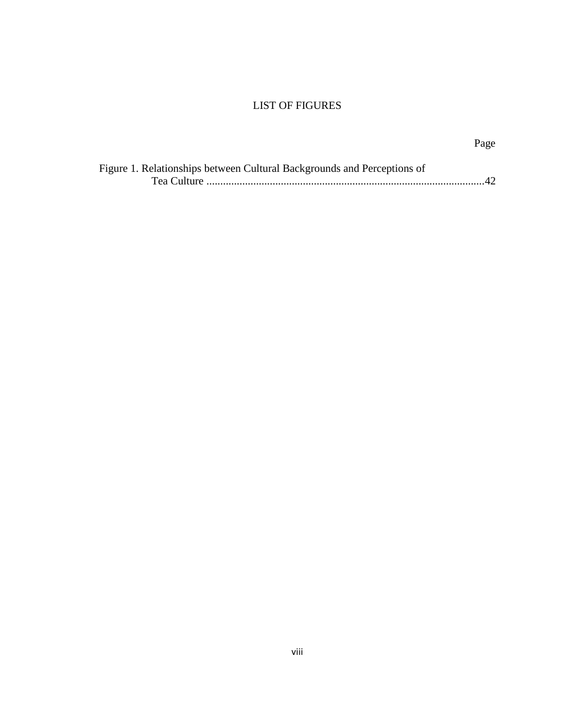# LIST OF FIGURES

| Figure 1. Relationships between Cultural Backgrounds and Perceptions of |  |
|-------------------------------------------------------------------------|--|
|                                                                         |  |

Page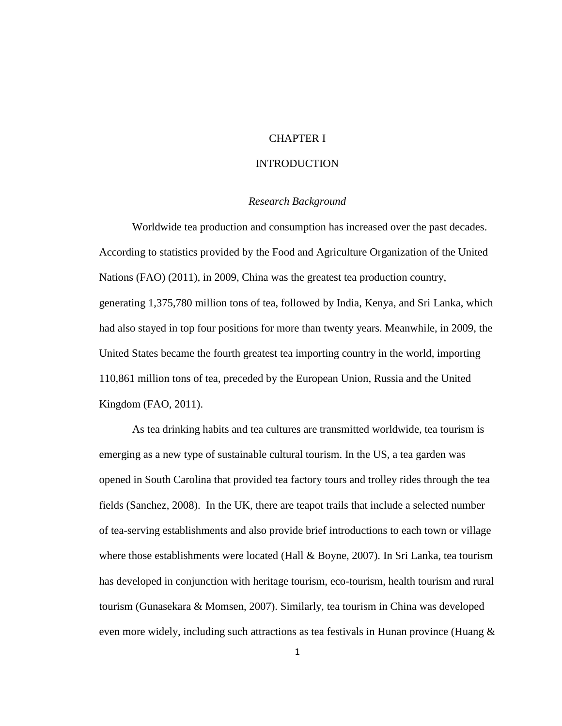## CHAPTER I

#### INTRODUCTION

#### *Research Background*

Worldwide tea production and consumption has increased over the past decades. According to statistics provided by the Food and Agriculture Organization of the United Nations (FAO) (2011), in 2009, China was the greatest tea production country, generating 1,375,780 million tons of tea, followed by India, Kenya, and Sri Lanka, which had also stayed in top four positions for more than twenty years. Meanwhile, in 2009, the United States became the fourth greatest tea importing country in the world, importing 110,861 million tons of tea, preceded by the European Union, Russia and the United Kingdom (FAO, 2011).

As tea drinking habits and tea cultures are transmitted worldwide, tea tourism is emerging as a new type of sustainable cultural tourism. In the US, a tea garden was opened in South Carolina that provided tea factory tours and trolley rides through the tea fields (Sanchez, 2008). In the UK, there are teapot trails that include a selected number of tea-serving establishments and also provide brief introductions to each town or village where those establishments were located (Hall & Boyne, 2007). In Sri Lanka, tea tourism has developed in conjunction with heritage tourism, eco-tourism, health tourism and rural tourism (Gunasekara & Momsen, 2007). Similarly, tea tourism in China was developed even more widely, including such attractions as tea festivals in Hunan province (Huang &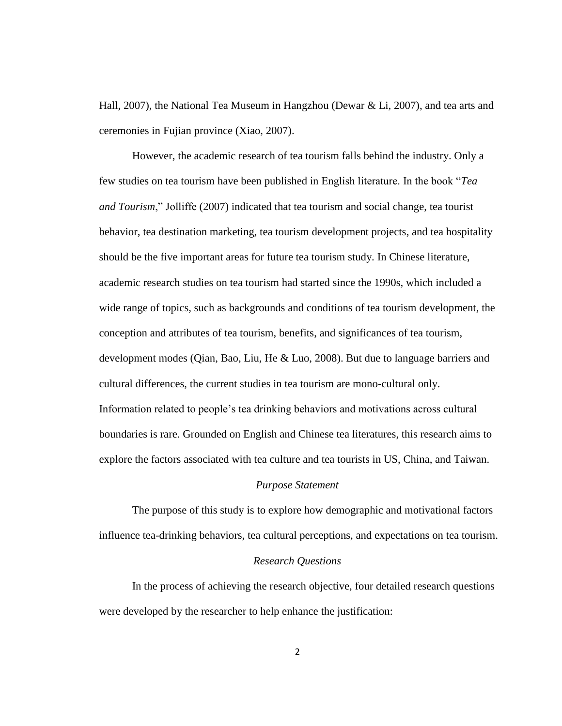Hall, 2007), the National Tea Museum in Hangzhou (Dewar & Li, 2007), and tea arts and ceremonies in Fujian province (Xiao, 2007).

However, the academic research of tea tourism falls behind the industry. Only a few studies on tea tourism have been published in English literature. In the book "*Tea and Tourism*," Jolliffe (2007) indicated that tea tourism and social change, tea tourist behavior, tea destination marketing, tea tourism development projects, and tea hospitality should be the five important areas for future tea tourism study. In Chinese literature, academic research studies on tea tourism had started since the 1990s, which included a wide range of topics, such as backgrounds and conditions of tea tourism development, the conception and attributes of tea tourism, benefits, and significances of tea tourism, development modes (Qian, Bao, Liu, He & Luo, 2008). But due to language barriers and cultural differences, the current studies in tea tourism are mono-cultural only. Information related to people's tea drinking behaviors and motivations across cultural boundaries is rare. Grounded on English and Chinese tea literatures, this research aims to explore the factors associated with tea culture and tea tourists in US, China, and Taiwan.

## *Purpose Statement*

The purpose of this study is to explore how demographic and motivational factors influence tea-drinking behaviors, tea cultural perceptions, and expectations on tea tourism.

#### *Research Questions*

In the process of achieving the research objective, four detailed research questions were developed by the researcher to help enhance the justification: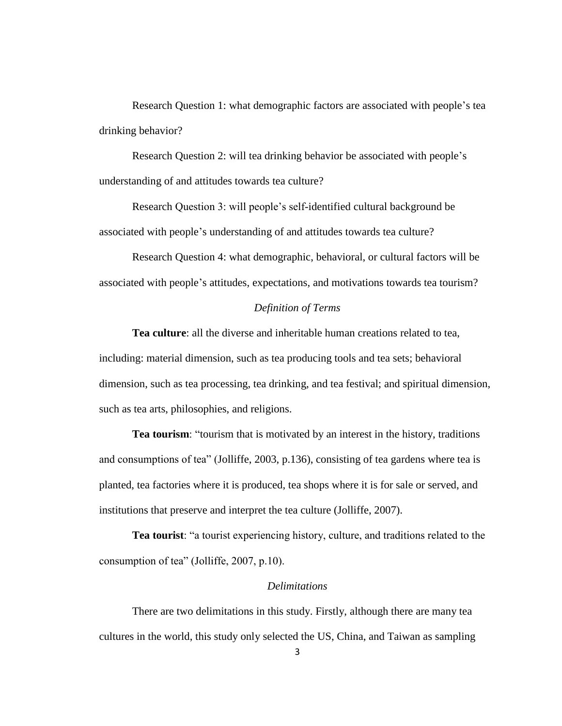Research Question 1: what demographic factors are associated with people's tea drinking behavior?

Research Question 2: will tea drinking behavior be associated with people's understanding of and attitudes towards tea culture?

Research Question 3: will people's self-identified cultural background be associated with people's understanding of and attitudes towards tea culture?

Research Question 4: what demographic, behavioral, or cultural factors will be associated with people's attitudes, expectations, and motivations towards tea tourism?

## *Definition of Terms*

**Tea culture**: all the diverse and inheritable human creations related to tea, including: material dimension, such as tea producing tools and tea sets; behavioral dimension, such as tea processing, tea drinking, and tea festival; and spiritual dimension, such as tea arts, philosophies, and religions.

**Tea tourism**: "tourism that is motivated by an interest in the history, traditions and consumptions of tea" (Jolliffe, 2003, p.136), consisting of tea gardens where tea is planted, tea factories where it is produced, tea shops where it is for sale or served, and institutions that preserve and interpret the tea culture (Jolliffe, 2007).

**Tea tourist**: "a tourist experiencing history, culture, and traditions related to the consumption of tea" (Jolliffe, 2007, p.10).

## *Delimitations*

There are two delimitations in this study. Firstly, although there are many tea cultures in the world, this study only selected the US, China, and Taiwan as sampling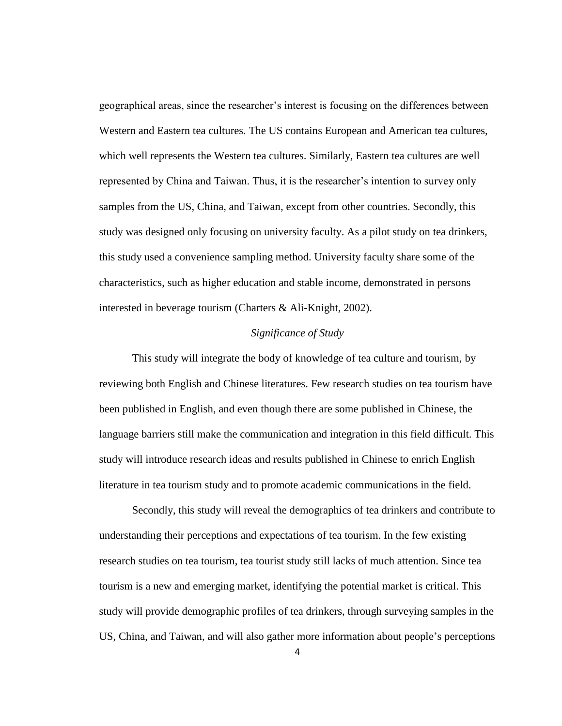geographical areas, since the researcher's interest is focusing on the differences between Western and Eastern tea cultures. The US contains European and American tea cultures, which well represents the Western tea cultures. Similarly, Eastern tea cultures are well represented by China and Taiwan. Thus, it is the researcher's intention to survey only samples from the US, China, and Taiwan, except from other countries. Secondly, this study was designed only focusing on university faculty. As a pilot study on tea drinkers, this study used a convenience sampling method. University faculty share some of the characteristics, such as higher education and stable income, demonstrated in persons interested in beverage tourism (Charters & Ali-Knight, 2002).

## *Significance of Study*

This study will integrate the body of knowledge of tea culture and tourism, by reviewing both English and Chinese literatures. Few research studies on tea tourism have been published in English, and even though there are some published in Chinese, the language barriers still make the communication and integration in this field difficult. This study will introduce research ideas and results published in Chinese to enrich English literature in tea tourism study and to promote academic communications in the field.

Secondly, this study will reveal the demographics of tea drinkers and contribute to understanding their perceptions and expectations of tea tourism. In the few existing research studies on tea tourism, tea tourist study still lacks of much attention. Since tea tourism is a new and emerging market, identifying the potential market is critical. This study will provide demographic profiles of tea drinkers, through surveying samples in the US, China, and Taiwan, and will also gather more information about people's perceptions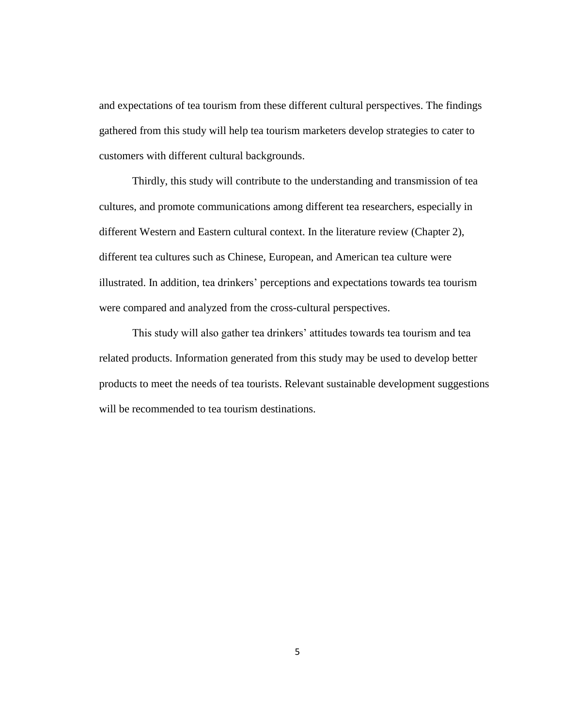and expectations of tea tourism from these different cultural perspectives. The findings gathered from this study will help tea tourism marketers develop strategies to cater to customers with different cultural backgrounds.

Thirdly, this study will contribute to the understanding and transmission of tea cultures, and promote communications among different tea researchers, especially in different Western and Eastern cultural context. In the literature review (Chapter 2), different tea cultures such as Chinese, European, and American tea culture were illustrated. In addition, tea drinkers' perceptions and expectations towards tea tourism were compared and analyzed from the cross-cultural perspectives.

This study will also gather tea drinkers' attitudes towards tea tourism and tea related products. Information generated from this study may be used to develop better products to meet the needs of tea tourists. Relevant sustainable development suggestions will be recommended to tea tourism destinations.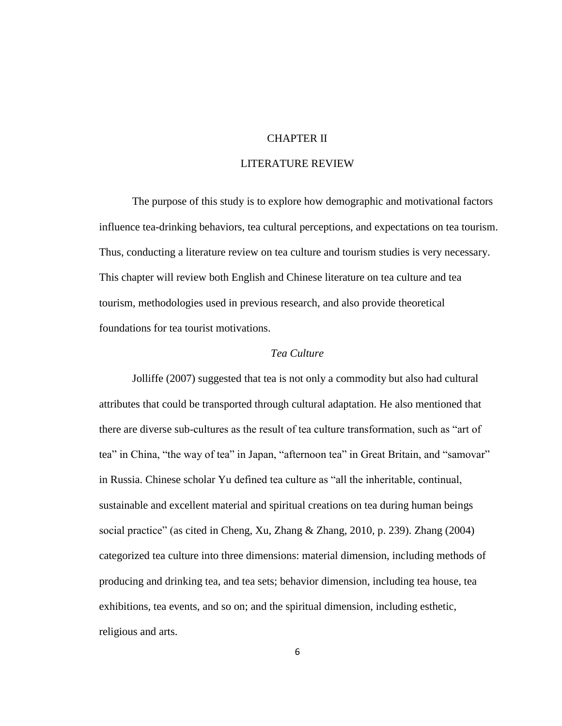## CHAPTER II

## LITERATURE REVIEW

The purpose of this study is to explore how demographic and motivational factors influence tea-drinking behaviors, tea cultural perceptions, and expectations on tea tourism. Thus, conducting a literature review on tea culture and tourism studies is very necessary. This chapter will review both English and Chinese literature on tea culture and tea tourism, methodologies used in previous research, and also provide theoretical foundations for tea tourist motivations.

## *Tea Culture*

Jolliffe (2007) suggested that tea is not only a commodity but also had cultural attributes that could be transported through cultural adaptation. He also mentioned that there are diverse sub-cultures as the result of tea culture transformation, such as "art of tea" in China, "the way of tea" in Japan, "afternoon tea" in Great Britain, and "samovar" in Russia. Chinese scholar Yu defined tea culture as "all the inheritable, continual, sustainable and excellent material and spiritual creations on tea during human beings social practice" (as cited in Cheng, Xu, Zhang & Zhang, 2010, p. 239). Zhang (2004) categorized tea culture into three dimensions: material dimension, including methods of producing and drinking tea, and tea sets; behavior dimension, including tea house, tea exhibitions, tea events, and so on; and the spiritual dimension, including esthetic, religious and arts.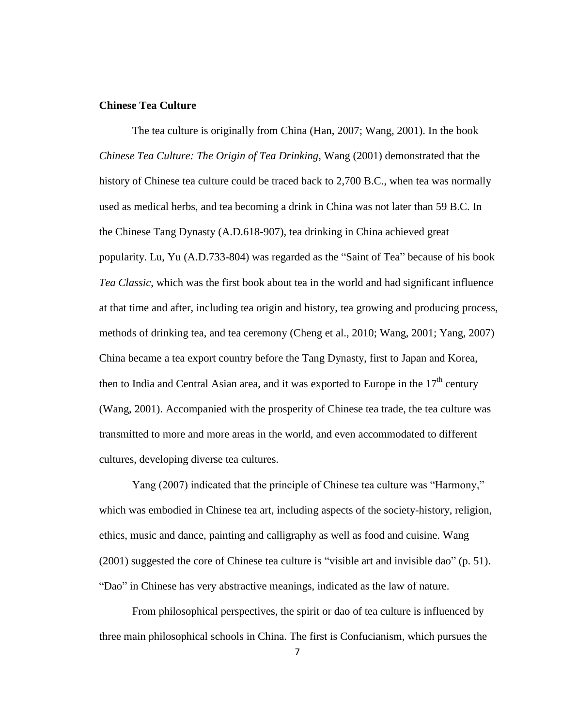## **Chinese Tea Culture**

The tea culture is originally from China (Han, 2007; Wang, 2001). In the book *Chinese Tea Culture: The Origin of Tea Drinking*, Wang (2001) demonstrated that the history of Chinese tea culture could be traced back to 2,700 B.C., when tea was normally used as medical herbs, and tea becoming a drink in China was not later than 59 B.C. In the Chinese Tang Dynasty (A.D.618-907), tea drinking in China achieved great popularity. Lu, Yu (A.D.733-804) was regarded as the "Saint of Tea" because of his book *Tea Classic*, which was the first book about tea in the world and had significant influence at that time and after, including tea origin and history, tea growing and producing process, methods of drinking tea, and tea ceremony (Cheng et al., 2010; Wang, 2001; Yang, 2007) China became a tea export country before the Tang Dynasty, first to Japan and Korea, then to India and Central Asian area, and it was exported to Europe in the  $17<sup>th</sup>$  century (Wang, 2001). Accompanied with the prosperity of Chinese tea trade, the tea culture was transmitted to more and more areas in the world, and even accommodated to different cultures, developing diverse tea cultures.

Yang (2007) indicated that the principle of Chinese tea culture was "Harmony," which was embodied in Chinese tea art, including aspects of the society-history, religion, ethics, music and dance, painting and calligraphy as well as food and cuisine. Wang (2001) suggested the core of Chinese tea culture is "visible art and invisible dao" (p. 51). "Dao" in Chinese has very abstractive meanings, indicated as the law of nature.

From philosophical perspectives, the spirit or dao of tea culture is influenced by three main philosophical schools in China. The first is Confucianism, which pursues the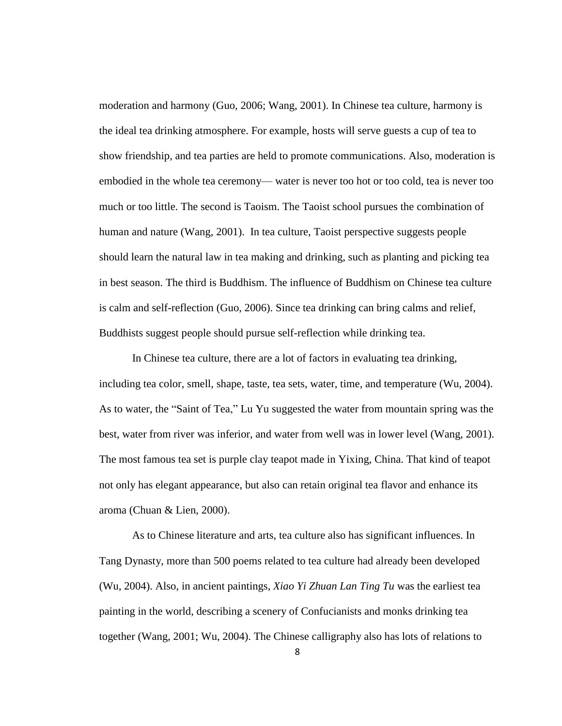moderation and harmony (Guo, 2006; Wang, 2001). In Chinese tea culture, harmony is the ideal tea drinking atmosphere. For example, hosts will serve guests a cup of tea to show friendship, and tea parties are held to promote communications. Also, moderation is embodied in the whole tea ceremony— water is never too hot or too cold, tea is never too much or too little. The second is Taoism. The Taoist school pursues the combination of human and nature (Wang, 2001). In tea culture, Taoist perspective suggests people should learn the natural law in tea making and drinking, such as planting and picking tea in best season. The third is Buddhism. The influence of Buddhism on Chinese tea culture is calm and self-reflection (Guo, 2006). Since tea drinking can bring calms and relief, Buddhists suggest people should pursue self-reflection while drinking tea.

In Chinese tea culture, there are a lot of factors in evaluating tea drinking, including tea color, smell, shape, taste, tea sets, water, time, and temperature (Wu, 2004). As to water, the "Saint of Tea," Lu Yu suggested the water from mountain spring was the best, water from river was inferior, and water from well was in lower level (Wang, 2001). The most famous tea set is purple clay teapot made in Yixing, China. That kind of teapot not only has elegant appearance, but also can retain original tea flavor and enhance its aroma (Chuan & Lien, 2000).

As to Chinese literature and arts, tea culture also has significant influences. In Tang Dynasty, more than 500 poems related to tea culture had already been developed (Wu, 2004). Also, in ancient paintings, *Xiao Yi Zhuan Lan Ting Tu* was the earliest tea painting in the world, describing a scenery of Confucianists and monks drinking tea together (Wang, 2001; Wu, 2004). The Chinese calligraphy also has lots of relations to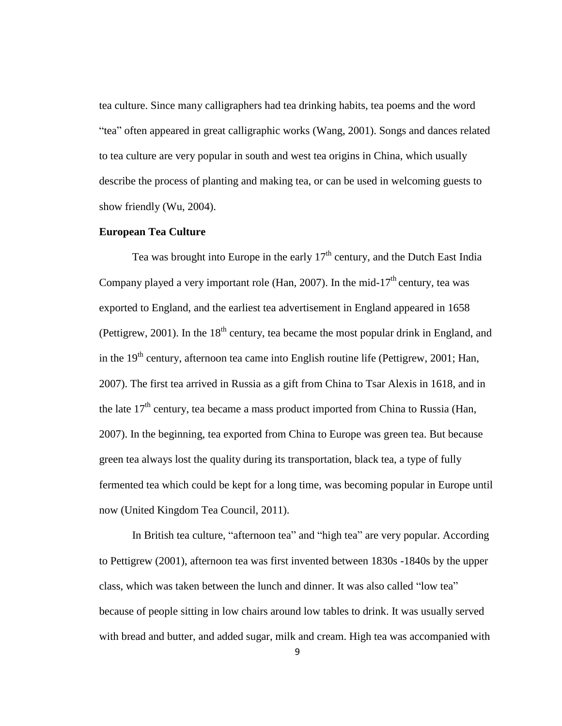tea culture. Since many calligraphers had tea drinking habits, tea poems and the word "tea" often appeared in great calligraphic works (Wang, 2001). Songs and dances related to tea culture are very popular in south and west tea origins in China, which usually describe the process of planting and making tea, or can be used in welcoming guests to show friendly (Wu, 2004).

#### **European Tea Culture**

Tea was brought into Europe in the early  $17<sup>th</sup>$  century, and the Dutch East India Company played a very important role (Han, 2007). In the mid-17<sup>th</sup> century, tea was exported to England, and the earliest tea advertisement in England appeared in 1658 (Pettigrew, 2001). In the  $18<sup>th</sup>$  century, tea became the most popular drink in England, and in the  $19<sup>th</sup>$  century, afternoon tea came into English routine life (Pettigrew, 2001; Han, 2007). The first tea arrived in Russia as a gift from China to Tsar Alexis in 1618, and in the late  $17<sup>th</sup>$  century, tea became a mass product imported from China to Russia (Han, 2007). In the beginning, tea exported from China to Europe was green tea. But because green tea always lost the quality during its transportation, black tea, a type of fully fermented tea which could be kept for a long time, was becoming popular in Europe until now (United Kingdom Tea Council, 2011).

In British tea culture, "afternoon tea" and "high tea" are very popular. According to Pettigrew (2001), afternoon tea was first invented between 1830s -1840s by the upper class, which was taken between the lunch and dinner. It was also called "low tea" because of people sitting in low chairs around low tables to drink. It was usually served with bread and butter, and added sugar, milk and cream. High tea was accompanied with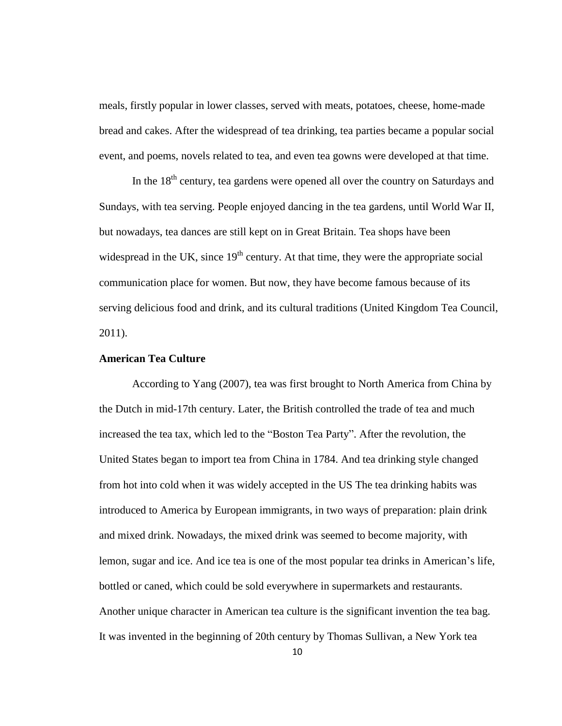meals, firstly popular in lower classes, served with meats, potatoes, cheese, home-made bread and cakes. After the widespread of tea drinking, tea parties became a popular social event, and poems, novels related to tea, and even tea gowns were developed at that time.

In the  $18<sup>th</sup>$  century, tea gardens were opened all over the country on Saturdays and Sundays, with tea serving. People enjoyed dancing in the tea gardens, until World War II, but nowadays, tea dances are still kept on in Great Britain. Tea shops have been widespread in the UK, since  $19<sup>th</sup>$  century. At that time, they were the appropriate social communication place for women. But now, they have become famous because of its serving delicious food and drink, and its cultural traditions (United Kingdom Tea Council, 2011).

#### **American Tea Culture**

According to Yang (2007), tea was first brought to North America from China by the Dutch in mid-17th century. Later, the British controlled the trade of tea and much increased the tea tax, which led to the "Boston Tea Party". After the revolution, the United States began to import tea from China in 1784. And tea drinking style changed from hot into cold when it was widely accepted in the US The tea drinking habits was introduced to America by European immigrants, in two ways of preparation: plain drink and mixed drink. Nowadays, the mixed drink was seemed to become majority, with lemon, sugar and ice. And ice tea is one of the most popular tea drinks in American's life, bottled or caned, which could be sold everywhere in supermarkets and restaurants. Another unique character in American tea culture is the significant invention the tea bag. It was invented in the beginning of 20th century by Thomas Sullivan, a New York tea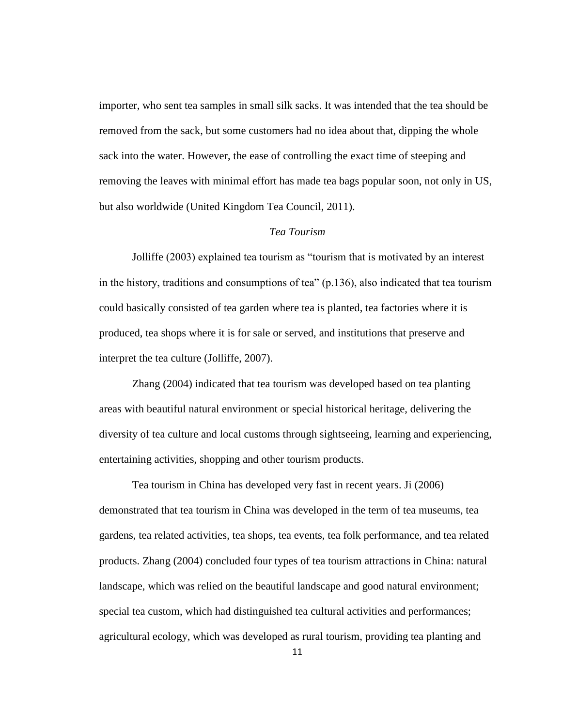importer, who sent tea samples in small silk sacks. It was intended that the tea should be removed from the sack, but some customers had no idea about that, dipping the whole sack into the water. However, the ease of controlling the exact time of steeping and removing the leaves with minimal effort has made tea bags popular soon, not only in US, but also worldwide (United Kingdom Tea Council, 2011).

#### *Tea Tourism*

Jolliffe (2003) explained tea tourism as "tourism that is motivated by an interest in the history, traditions and consumptions of tea" (p.136), also indicated that tea tourism could basically consisted of tea garden where tea is planted, tea factories where it is produced, tea shops where it is for sale or served, and institutions that preserve and interpret the tea culture (Jolliffe, 2007).

Zhang (2004) indicated that tea tourism was developed based on tea planting areas with beautiful natural environment or special historical heritage, delivering the diversity of tea culture and local customs through sightseeing, learning and experiencing, entertaining activities, shopping and other tourism products.

Tea tourism in China has developed very fast in recent years. Ji (2006) demonstrated that tea tourism in China was developed in the term of tea museums, tea gardens, tea related activities, tea shops, tea events, tea folk performance, and tea related products. Zhang (2004) concluded four types of tea tourism attractions in China: natural landscape, which was relied on the beautiful landscape and good natural environment; special tea custom, which had distinguished tea cultural activities and performances; agricultural ecology, which was developed as rural tourism, providing tea planting and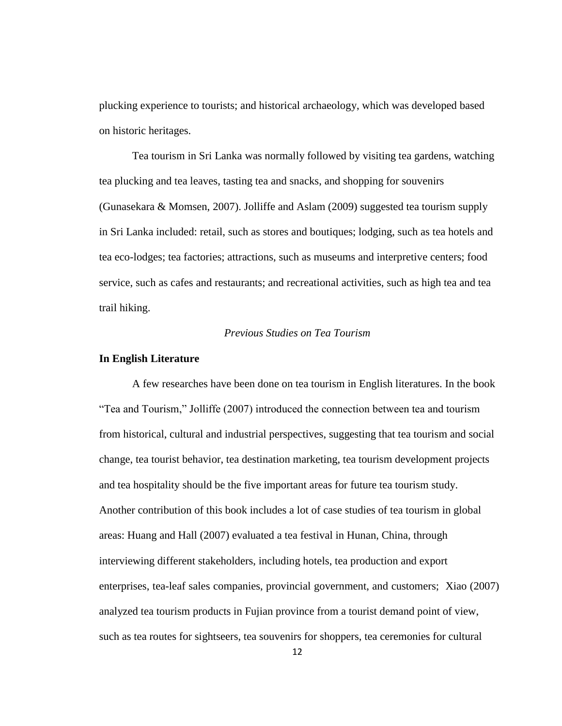plucking experience to tourists; and historical archaeology, which was developed based on historic heritages.

Tea tourism in Sri Lanka was normally followed by visiting tea gardens, watching tea plucking and tea leaves, tasting tea and snacks, and shopping for souvenirs (Gunasekara & Momsen, 2007). Jolliffe and Aslam (2009) suggested tea tourism supply in Sri Lanka included: retail, such as stores and boutiques; lodging, such as tea hotels and tea eco-lodges; tea factories; attractions, such as museums and interpretive centers; food service, such as cafes and restaurants; and recreational activities, such as high tea and tea trail hiking.

## *Previous Studies on Tea Tourism*

#### **In English Literature**

A few researches have been done on tea tourism in English literatures. In the book "Tea and Tourism," Jolliffe (2007) introduced the connection between tea and tourism from historical, cultural and industrial perspectives, suggesting that tea tourism and social change, tea tourist behavior, tea destination marketing, tea tourism development projects and tea hospitality should be the five important areas for future tea tourism study. Another contribution of this book includes a lot of case studies of tea tourism in global areas: Huang and Hall (2007) evaluated a tea festival in Hunan, China, through interviewing different stakeholders, including hotels, tea production and export enterprises, tea-leaf sales companies, provincial government, and customers; Xiao (2007) analyzed tea tourism products in Fujian province from a tourist demand point of view, such as tea routes for sightseers, tea souvenirs for shoppers, tea ceremonies for cultural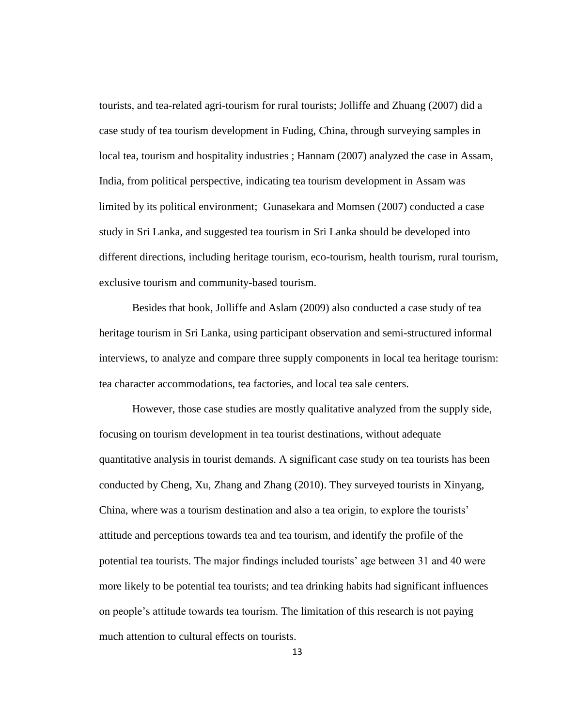tourists, and tea-related agri-tourism for rural tourists; Jolliffe and Zhuang (2007) did a case study of tea tourism development in Fuding, China, through surveying samples in local tea, tourism and hospitality industries ; Hannam (2007) analyzed the case in Assam, India, from political perspective, indicating tea tourism development in Assam was limited by its political environment; Gunasekara and Momsen (2007) conducted a case study in Sri Lanka, and suggested tea tourism in Sri Lanka should be developed into different directions, including heritage tourism, eco-tourism, health tourism, rural tourism, exclusive tourism and community-based tourism.

Besides that book, Jolliffe and Aslam (2009) also conducted a case study of tea heritage tourism in Sri Lanka, using participant observation and semi-structured informal interviews, to analyze and compare three supply components in local tea heritage tourism: tea character accommodations, tea factories, and local tea sale centers.

However, those case studies are mostly qualitative analyzed from the supply side, focusing on tourism development in tea tourist destinations, without adequate quantitative analysis in tourist demands. A significant case study on tea tourists has been conducted by Cheng, Xu, Zhang and Zhang (2010). They surveyed tourists in Xinyang, China, where was a tourism destination and also a tea origin, to explore the tourists' attitude and perceptions towards tea and tea tourism, and identify the profile of the potential tea tourists. The major findings included tourists' age between 31 and 40 were more likely to be potential tea tourists; and tea drinking habits had significant influences on people's attitude towards tea tourism. The limitation of this research is not paying much attention to cultural effects on tourists.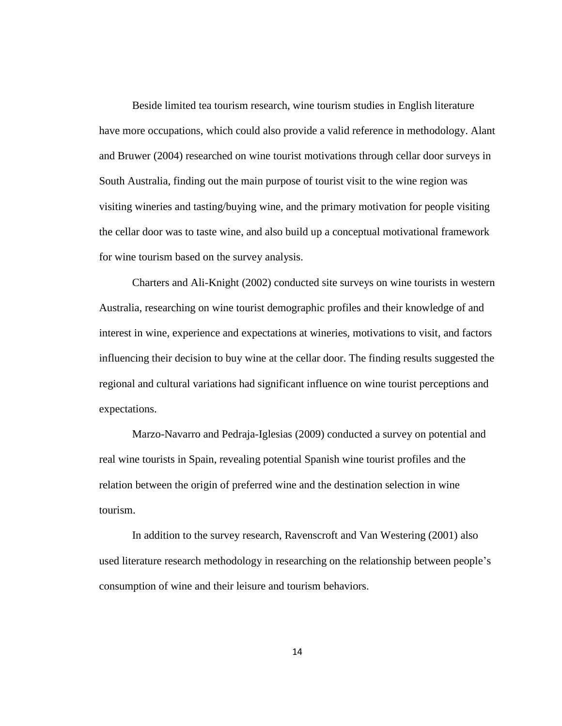Beside limited tea tourism research, wine tourism studies in English literature have more occupations, which could also provide a valid reference in methodology. Alant and Bruwer (2004) researched on wine tourist motivations through cellar door surveys in South Australia, finding out the main purpose of tourist visit to the wine region was visiting wineries and tasting/buying wine, and the primary motivation for people visiting the cellar door was to taste wine, and also build up a conceptual motivational framework for wine tourism based on the survey analysis.

Charters and Ali-Knight (2002) conducted site surveys on wine tourists in western Australia, researching on wine tourist demographic profiles and their knowledge of and interest in wine, experience and expectations at wineries, motivations to visit, and factors influencing their decision to buy wine at the cellar door. The finding results suggested the regional and cultural variations had significant influence on wine tourist perceptions and expectations.

Marzo-Navarro and Pedraja-Iglesias (2009) conducted a survey on potential and real wine tourists in Spain, revealing potential Spanish wine tourist profiles and the relation between the origin of preferred wine and the destination selection in wine tourism.

In addition to the survey research, Ravenscroft and Van Westering (2001) also used literature research methodology in researching on the relationship between people's consumption of wine and their leisure and tourism behaviors.

14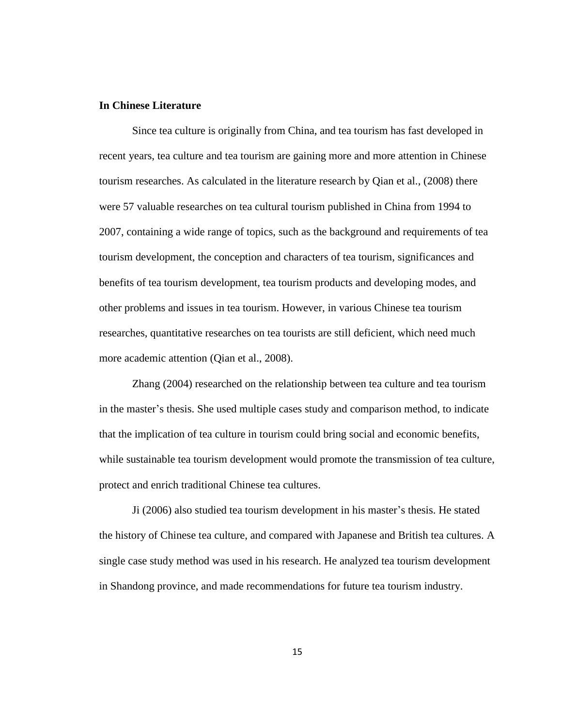## **In Chinese Literature**

Since tea culture is originally from China, and tea tourism has fast developed in recent years, tea culture and tea tourism are gaining more and more attention in Chinese tourism researches. As calculated in the literature research by Qian et al., (2008) there were 57 valuable researches on tea cultural tourism published in China from 1994 to 2007, containing a wide range of topics, such as the background and requirements of tea tourism development, the conception and characters of tea tourism, significances and benefits of tea tourism development, tea tourism products and developing modes, and other problems and issues in tea tourism. However, in various Chinese tea tourism researches, quantitative researches on tea tourists are still deficient, which need much more academic attention (Qian et al., 2008).

Zhang (2004) researched on the relationship between tea culture and tea tourism in the master's thesis. She used multiple cases study and comparison method, to indicate that the implication of tea culture in tourism could bring social and economic benefits, while sustainable tea tourism development would promote the transmission of tea culture, protect and enrich traditional Chinese tea cultures.

Ji (2006) also studied tea tourism development in his master's thesis. He stated the history of Chinese tea culture, and compared with Japanese and British tea cultures. A single case study method was used in his research. He analyzed tea tourism development in Shandong province, and made recommendations for future tea tourism industry.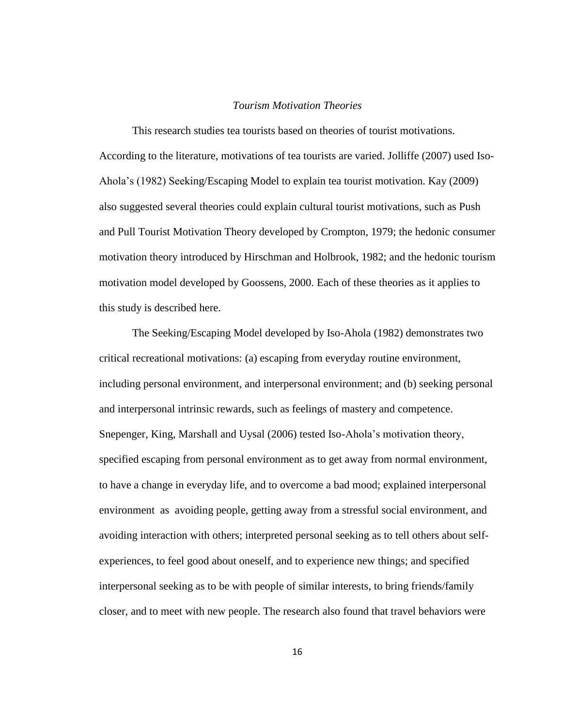#### *Tourism Motivation Theories*

This research studies tea tourists based on theories of tourist motivations. According to the literature, motivations of tea tourists are varied. Jolliffe (2007) used Iso-Ahola's (1982) Seeking/Escaping Model to explain tea tourist motivation. Kay (2009) also suggested several theories could explain cultural tourist motivations, such as Push and Pull Tourist Motivation Theory developed by Crompton, 1979; the hedonic consumer motivation theory introduced by Hirschman and Holbrook, 1982; and the hedonic tourism motivation model developed by Goossens, 2000. Each of these theories as it applies to this study is described here.

The Seeking/Escaping Model developed by Iso-Ahola (1982) demonstrates two critical recreational motivations: (a) escaping from everyday routine environment, including personal environment, and interpersonal environment; and (b) seeking personal and interpersonal intrinsic rewards, such as feelings of mastery and competence. Snepenger, King, Marshall and Uysal (2006) tested Iso-Ahola's motivation theory, specified escaping from personal environment as to get away from normal environment, to have a change in everyday life, and to overcome a bad mood; explained interpersonal environment as avoiding people, getting away from a stressful social environment, and avoiding interaction with others; interpreted personal seeking as to tell others about selfexperiences, to feel good about oneself, and to experience new things; and specified interpersonal seeking as to be with people of similar interests, to bring friends/family closer, and to meet with new people. The research also found that travel behaviors were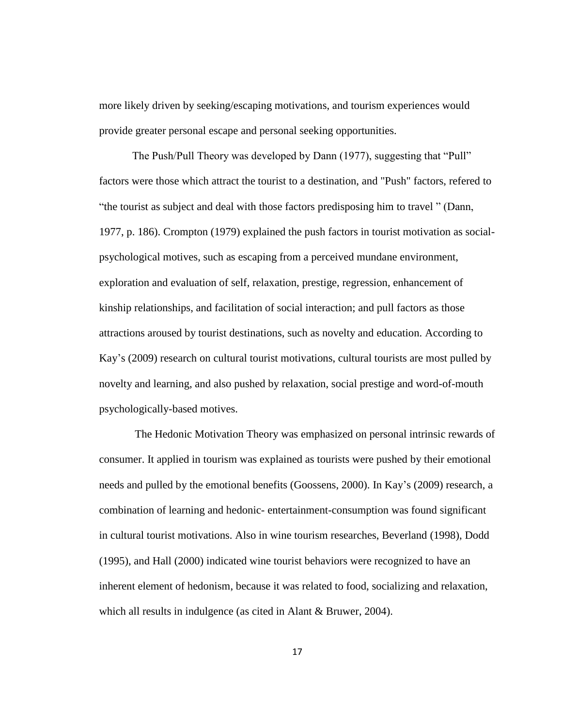more likely driven by seeking/escaping motivations, and tourism experiences would provide greater personal escape and personal seeking opportunities.

The Push/Pull Theory was developed by Dann (1977), suggesting that "Pull" factors were those which attract the tourist to a destination, and "Push" factors, refered to "the tourist as subject and deal with those factors predisposing him to travel " (Dann, 1977, p. 186). Crompton (1979) explained the push factors in tourist motivation as socialpsychological motives, such as escaping from a perceived mundane environment, exploration and evaluation of self, relaxation, prestige, regression, enhancement of kinship relationships, and facilitation of social interaction; and pull factors as those attractions aroused by tourist destinations, such as novelty and education. According to Kay's (2009) research on cultural tourist motivations, cultural tourists are most pulled by novelty and learning, and also pushed by relaxation, social prestige and word-of-mouth psychologically-based motives.

The Hedonic Motivation Theory was emphasized on personal intrinsic rewards of consumer. It applied in tourism was explained as tourists were pushed by their emotional needs and pulled by the emotional benefits (Goossens, 2000). In Kay's (2009) research, a combination of learning and hedonic- entertainment-consumption was found significant in cultural tourist motivations. Also in wine tourism researches, Beverland (1998), Dodd (1995), and Hall (2000) indicated wine tourist behaviors were recognized to have an inherent element of hedonism, because it was related to food, socializing and relaxation, which all results in indulgence (as cited in Alant & Bruwer, 2004).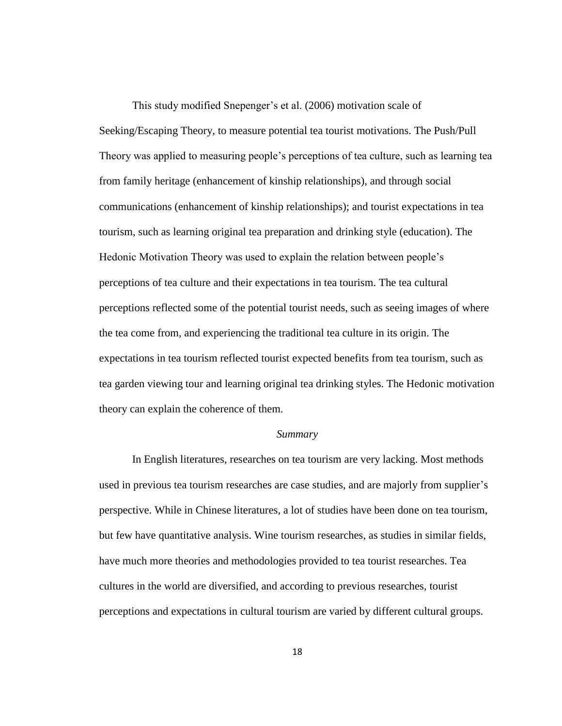This study modified Snepenger's et al. (2006) motivation scale of Seeking/Escaping Theory, to measure potential tea tourist motivations. The Push/Pull Theory was applied to measuring people's perceptions of tea culture, such as learning tea from family heritage (enhancement of kinship relationships), and through social communications (enhancement of kinship relationships); and tourist expectations in tea tourism, such as learning original tea preparation and drinking style (education). The Hedonic Motivation Theory was used to explain the relation between people's perceptions of tea culture and their expectations in tea tourism. The tea cultural perceptions reflected some of the potential tourist needs, such as seeing images of where the tea come from, and experiencing the traditional tea culture in its origin. The expectations in tea tourism reflected tourist expected benefits from tea tourism, such as tea garden viewing tour and learning original tea drinking styles. The Hedonic motivation theory can explain the coherence of them.

#### *Summary*

In English literatures, researches on tea tourism are very lacking. Most methods used in previous tea tourism researches are case studies, and are majorly from supplier's perspective. While in Chinese literatures, a lot of studies have been done on tea tourism, but few have quantitative analysis. Wine tourism researches, as studies in similar fields, have much more theories and methodologies provided to tea tourist researches. Tea cultures in the world are diversified, and according to previous researches, tourist perceptions and expectations in cultural tourism are varied by different cultural groups.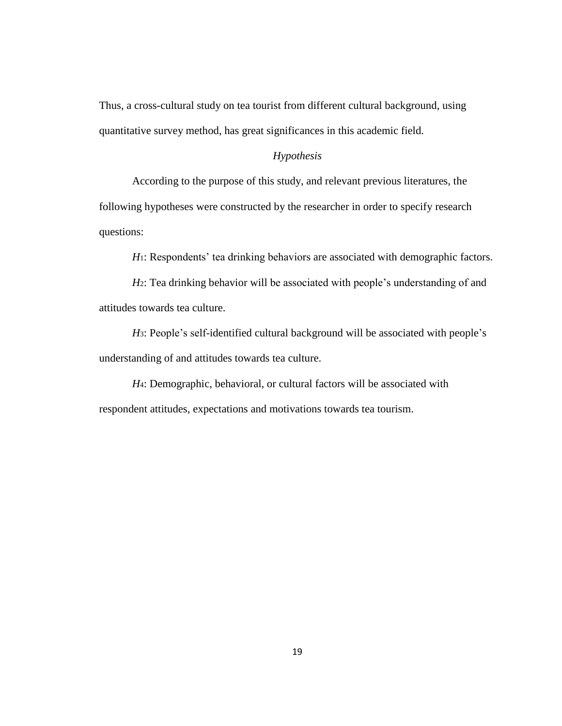Thus, a cross-cultural study on tea tourist from different cultural background, using quantitative survey method, has great significances in this academic field.

## *Hypothesis*

According to the purpose of this study, and relevant previous literatures, the following hypotheses were constructed by the researcher in order to specify research questions:

*H*<sub>1</sub>: Respondents' tea drinking behaviors are associated with demographic factors.

*H*<sub>2</sub>: Tea drinking behavior will be associated with people's understanding of and attitudes towards tea culture.

*H*3: People's self-identified cultural background will be associated with people's understanding of and attitudes towards tea culture.

*H*4: Demographic, behavioral, or cultural factors will be associated with respondent attitudes, expectations and motivations towards tea tourism.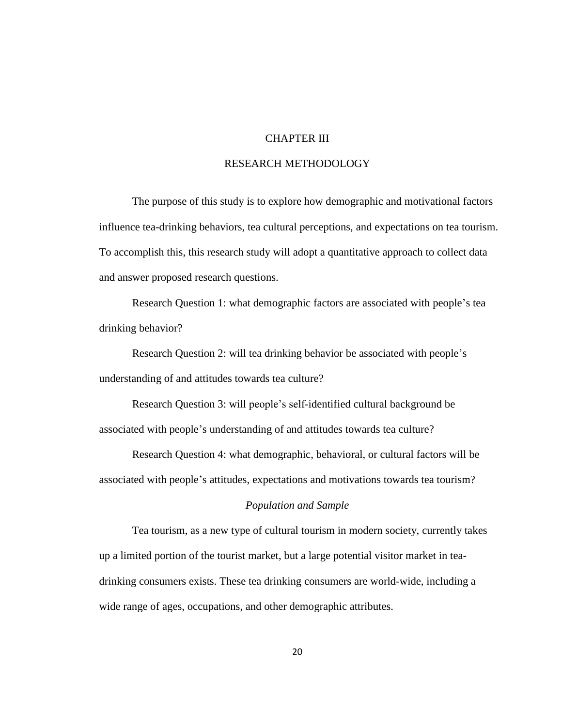## CHAPTER III

## RESEARCH METHODOLOGY

The purpose of this study is to explore how demographic and motivational factors influence tea-drinking behaviors, tea cultural perceptions, and expectations on tea tourism. To accomplish this, this research study will adopt a quantitative approach to collect data and answer proposed research questions.

Research Question 1: what demographic factors are associated with people's tea drinking behavior?

Research Question 2: will tea drinking behavior be associated with people's understanding of and attitudes towards tea culture?

Research Question 3: will people's self-identified cultural background be associated with people's understanding of and attitudes towards tea culture?

Research Question 4: what demographic, behavioral, or cultural factors will be associated with people's attitudes, expectations and motivations towards tea tourism?

#### *Population and Sample*

Tea tourism, as a new type of cultural tourism in modern society, currently takes up a limited portion of the tourist market, but a large potential visitor market in teadrinking consumers exists. These tea drinking consumers are world-wide, including a wide range of ages, occupations, and other demographic attributes.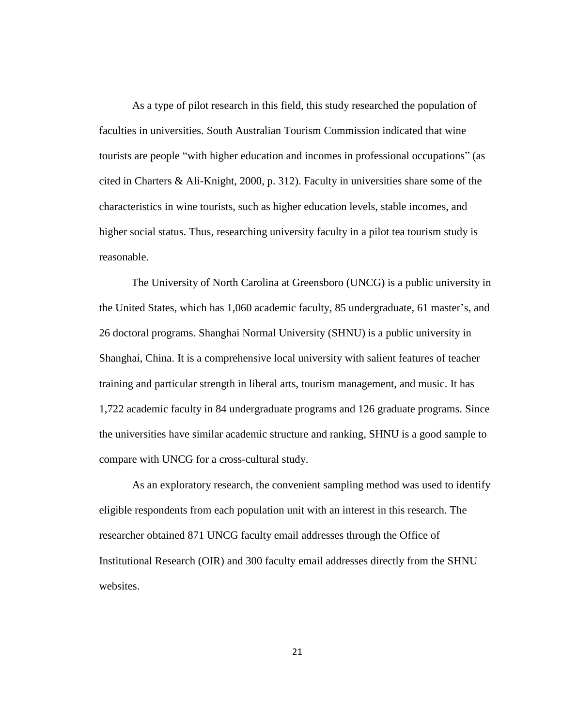As a type of pilot research in this field, this study researched the population of faculties in universities. South Australian Tourism Commission indicated that wine tourists are people "with higher education and incomes in professional occupations" (as cited in Charters & Ali-Knight, 2000, p. 312). Faculty in universities share some of the characteristics in wine tourists, such as higher education levels, stable incomes, and higher social status. Thus, researching university faculty in a pilot tea tourism study is reasonable.

The University of North Carolina at Greensboro (UNCG) is a public university in the United States, which has 1,060 academic faculty, 85 undergraduate, 61 master's, and 26 doctoral programs. Shanghai Normal University (SHNU) is a public university in Shanghai, China. It is a comprehensive local university with salient features of teacher training and particular strength in liberal arts, tourism management, and music. It has 1,722 academic faculty in 84 undergraduate programs and 126 graduate programs. Since the universities have similar academic structure and ranking, SHNU is a good sample to compare with UNCG for a cross-cultural study.

As an exploratory research, the convenient sampling method was used to identify eligible respondents from each population unit with an interest in this research. The researcher obtained 871 UNCG faculty email addresses through the Office of Institutional Research (OIR) and 300 faculty email addresses directly from the SHNU websites.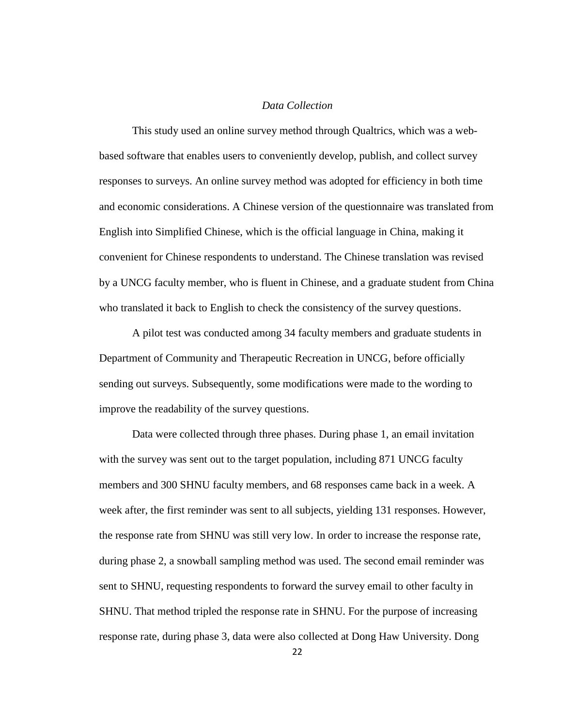#### *Data Collection*

This study used an online survey method through Qualtrics, which was a webbased software that enables users to conveniently develop, publish, and collect survey responses to surveys. An online survey method was adopted for efficiency in both time and economic considerations. A Chinese version of the questionnaire was translated from English into Simplified Chinese, which is the official language in China, making it convenient for Chinese respondents to understand. The Chinese translation was revised by a UNCG faculty member, who is fluent in Chinese, and a graduate student from China who translated it back to English to check the consistency of the survey questions.

A pilot test was conducted among 34 faculty members and graduate students in Department of Community and Therapeutic Recreation in UNCG, before officially sending out surveys. Subsequently, some modifications were made to the wording to improve the readability of the survey questions.

Data were collected through three phases. During phase 1, an email invitation with the survey was sent out to the target population, including 871 UNCG faculty members and 300 SHNU faculty members, and 68 responses came back in a week. A week after, the first reminder was sent to all subjects, yielding 131 responses. However, the response rate from SHNU was still very low. In order to increase the response rate, during phase 2, a snowball sampling method was used. The second email reminder was sent to SHNU, requesting respondents to forward the survey email to other faculty in SHNU. That method tripled the response rate in SHNU. For the purpose of increasing response rate, during phase 3, data were also collected at Dong Haw University. Dong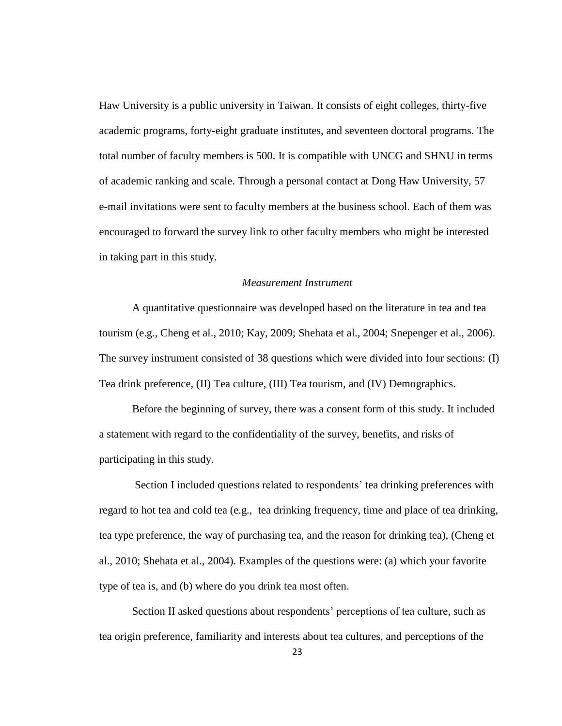Haw University is a public university in Taiwan. It consists of eight colleges, thirty-five academic programs, forty-eight graduate institutes, and seventeen doctoral programs. The total number of faculty members is 500. It is compatible with UNCG and SHNU in terms of academic ranking and scale. Through a personal contact at Dong Haw University, 57 e-mail invitations were sent to faculty members at the business school. Each of them was encouraged to forward the survey link to other faculty members who might be interested in taking part in this study.

## *Measurement Instrument*

A quantitative questionnaire was developed based on the literature in tea and tea tourism (e.g., Cheng et al., 2010; Kay, 2009; Shehata et al., 2004; Snepenger et al., 2006). The survey instrument consisted of 38 questions which were divided into four sections: (I) Tea drink preference, (II) Tea culture, (III) Tea tourism, and (IV) Demographics.

Before the beginning of survey, there was a consent form of this study. It included a statement with regard to the confidentiality of the survey, benefits, and risks of participating in this study.

Section I included questions related to respondents' tea drinking preferences with regard to hot tea and cold tea (e.g., tea drinking frequency, time and place of tea drinking, tea type preference, the way of purchasing tea, and the reason for drinking tea), (Cheng et al., 2010; Shehata et al., 2004). Examples of the questions were: (a) which your favorite type of tea is, and (b) where do you drink tea most often.

Section II asked questions about respondents' perceptions of tea culture, such as tea origin preference, familiarity and interests about tea cultures, and perceptions of the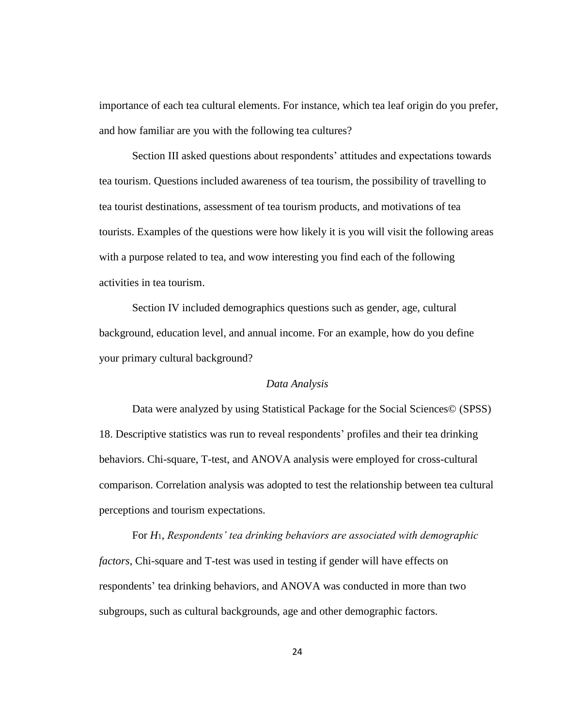importance of each tea cultural elements. For instance, which tea leaf origin do you prefer, and how familiar are you with the following tea cultures?

Section III asked questions about respondents' attitudes and expectations towards tea tourism. Questions included awareness of tea tourism, the possibility of travelling to tea tourist destinations, assessment of tea tourism products, and motivations of tea tourists. Examples of the questions were how likely it is you will visit the following areas with a purpose related to tea, and wow interesting you find each of the following activities in tea tourism.

Section IV included demographics questions such as gender, age, cultural background, education level, and annual income. For an example, how do you define your primary cultural background?

#### *Data Analysis*

Data were analyzed by using Statistical Package for the Social Sciences© (SPSS) 18. Descriptive statistics was run to reveal respondents' profiles and their tea drinking behaviors. Chi-square, T-test, and ANOVA analysis were employed for cross-cultural comparison. Correlation analysis was adopted to test the relationship between tea cultural perceptions and tourism expectations.

For *H*1, *Respondents' tea drinking behaviors are associated with demographic factors*, Chi-square and T-test was used in testing if gender will have effects on respondents' tea drinking behaviors, and ANOVA was conducted in more than two subgroups, such as cultural backgrounds, age and other demographic factors.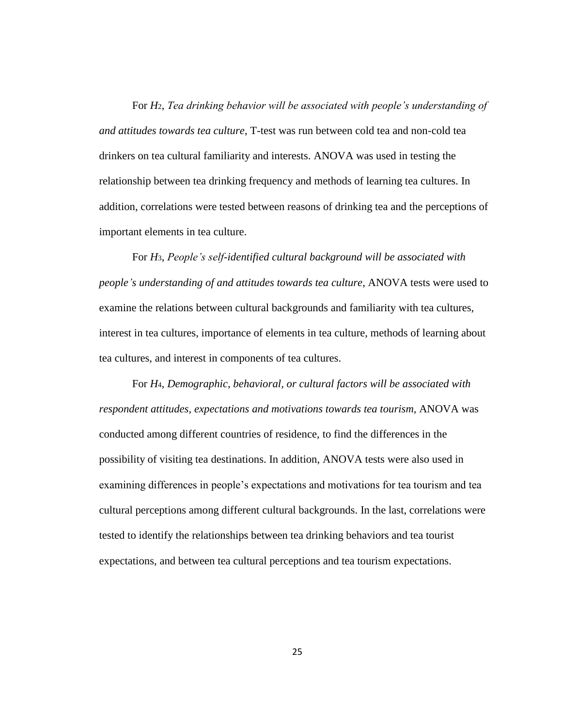For *H*2, *Tea drinking behavior will be associated with people's understanding of and attitudes towards tea culture*, T-test was run between cold tea and non-cold tea drinkers on tea cultural familiarity and interests. ANOVA was used in testing the relationship between tea drinking frequency and methods of learning tea cultures. In addition, correlations were tested between reasons of drinking tea and the perceptions of important elements in tea culture.

For *H*3, *People's self-identified cultural background will be associated with people's understanding of and attitudes towards tea culture*, ANOVA tests were used to examine the relations between cultural backgrounds and familiarity with tea cultures, interest in tea cultures, importance of elements in tea culture, methods of learning about tea cultures, and interest in components of tea cultures.

For *H*4, *Demographic, behavioral, or cultural factors will be associated with respondent attitudes, expectations and motivations towards tea tourism,* ANOVA was conducted among different countries of residence, to find the differences in the possibility of visiting tea destinations. In addition, ANOVA tests were also used in examining differences in people's expectations and motivations for tea tourism and tea cultural perceptions among different cultural backgrounds. In the last, correlations were tested to identify the relationships between tea drinking behaviors and tea tourist expectations, and between tea cultural perceptions and tea tourism expectations.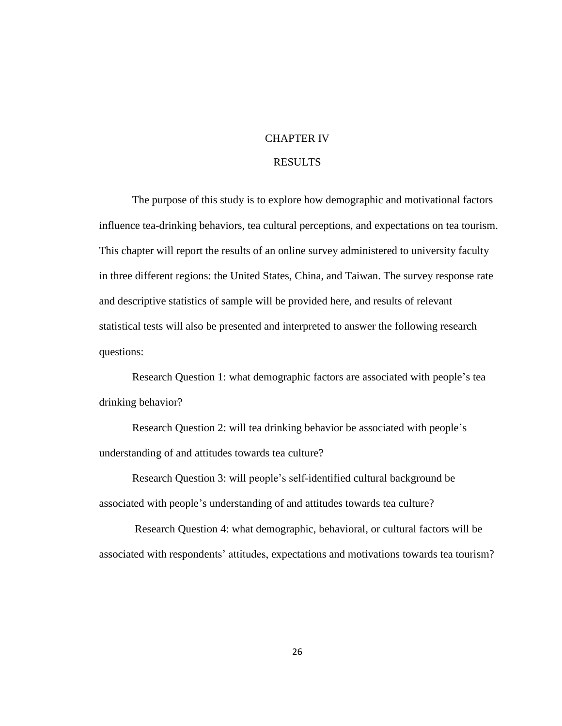## CHAPTER IV

## RESULTS

The purpose of this study is to explore how demographic and motivational factors influence tea-drinking behaviors, tea cultural perceptions, and expectations on tea tourism. This chapter will report the results of an online survey administered to university faculty in three different regions: the United States, China, and Taiwan. The survey response rate and descriptive statistics of sample will be provided here, and results of relevant statistical tests will also be presented and interpreted to answer the following research questions:

Research Question 1: what demographic factors are associated with people's tea drinking behavior?

Research Question 2: will tea drinking behavior be associated with people's understanding of and attitudes towards tea culture?

Research Question 3: will people's self-identified cultural background be associated with people's understanding of and attitudes towards tea culture?

Research Question 4: what demographic, behavioral, or cultural factors will be associated with respondents' attitudes, expectations and motivations towards tea tourism?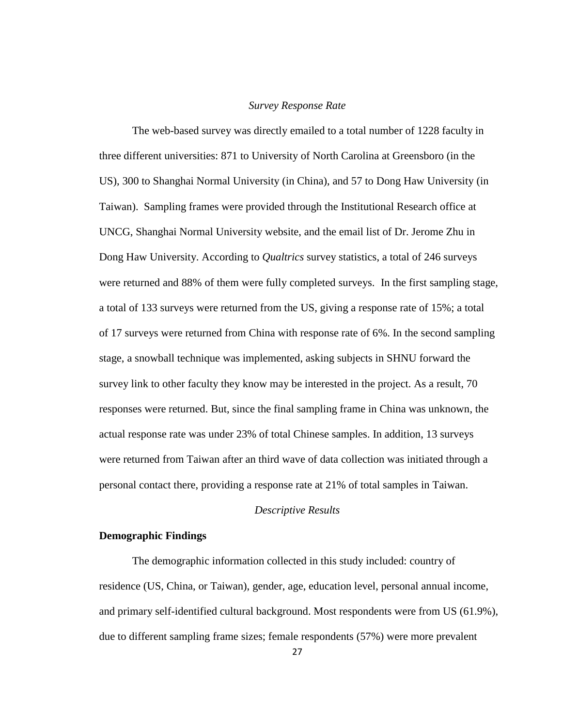#### *Survey Response Rate*

The web-based survey was directly emailed to a total number of 1228 faculty in three different universities: 871 to University of North Carolina at Greensboro (in the US), 300 to Shanghai Normal University (in China), and 57 to Dong Haw University (in Taiwan). Sampling frames were provided through the Institutional Research office at UNCG, Shanghai Normal University website, and the email list of Dr. Jerome Zhu in Dong Haw University. According to *Qualtrics* survey statistics, a total of 246 surveys were returned and 88% of them were fully completed surveys. In the first sampling stage, a total of 133 surveys were returned from the US, giving a response rate of 15%; a total of 17 surveys were returned from China with response rate of 6%. In the second sampling stage, a snowball technique was implemented, asking subjects in SHNU forward the survey link to other faculty they know may be interested in the project. As a result, 70 responses were returned. But, since the final sampling frame in China was unknown, the actual response rate was under 23% of total Chinese samples. In addition, 13 surveys were returned from Taiwan after an third wave of data collection was initiated through a personal contact there, providing a response rate at 21% of total samples in Taiwan.

#### *Descriptive Results*

#### **Demographic Findings**

The demographic information collected in this study included: country of residence (US, China, or Taiwan), gender, age, education level, personal annual income, and primary self-identified cultural background. Most respondents were from US (61.9%), due to different sampling frame sizes; female respondents (57%) were more prevalent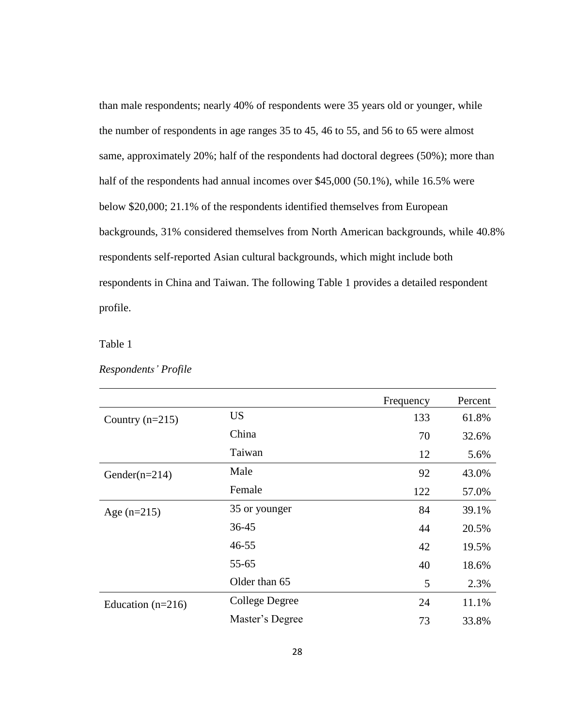than male respondents; nearly 40% of respondents were 35 years old or younger, while the number of respondents in age ranges 35 to 45, 46 to 55, and 56 to 65 were almost same, approximately 20%; half of the respondents had doctoral degrees (50%); more than half of the respondents had annual incomes over \$45,000 (50.1%), while 16.5% were below \$20,000; 21.1% of the respondents identified themselves from European backgrounds, 31% considered themselves from North American backgrounds, while 40.8% respondents self-reported Asian cultural backgrounds, which might include both respondents in China and Taiwan. The following Table 1 provides a detailed respondent profile.

Table 1

| Respondents' Profile |  |
|----------------------|--|
|----------------------|--|

|                     |                 | Frequency | Percent |
|---------------------|-----------------|-----------|---------|
| Country $(n=215)$   | <b>US</b>       | 133       | 61.8%   |
|                     | China           | 70        | 32.6%   |
|                     | Taiwan          | 12        | 5.6%    |
| Gender( $n=214$ )   | Male            | 92        | 43.0%   |
|                     | Female          | 122       | 57.0%   |
| Age $(n=215)$       | 35 or younger   | 84        | 39.1%   |
|                     | $36 - 45$       | 44        | 20.5%   |
|                     | $46 - 55$       | 42        | 19.5%   |
|                     | $55 - 65$       | 40        | 18.6%   |
|                     | Older than 65   | 5         | 2.3%    |
| Education $(n=216)$ | College Degree  | 24        | 11.1%   |
|                     | Master's Degree | 73        | 33.8%   |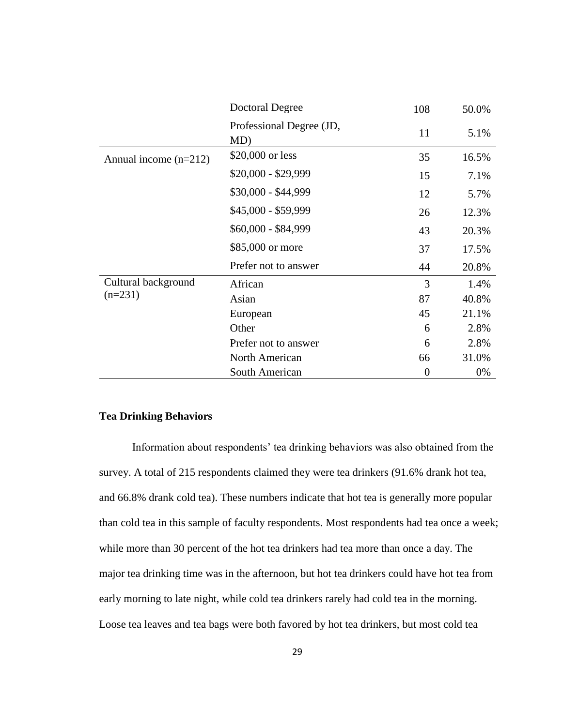|                         | <b>Doctoral Degree</b>          | 108            | 50.0% |
|-------------------------|---------------------------------|----------------|-------|
|                         | Professional Degree (JD,<br>MD) | 11             | 5.1%  |
| Annual income $(n=212)$ | \$20,000 or less                | 35             | 16.5% |
|                         | $$20,000 - $29,999$             | 15             | 7.1%  |
|                         | \$30,000 - \$44,999             | 12             | 5.7%  |
|                         | \$45,000 - \$59,999             | 26             | 12.3% |
|                         | \$60,000 - \$84,999             | 43             | 20.3% |
|                         | \$85,000 or more                | 37             | 17.5% |
|                         | Prefer not to answer            | 44             | 20.8% |
| Cultural background     | African                         | 3              | 1.4%  |
| $(n=231)$               | Asian                           | 87             | 40.8% |
|                         | European                        | 45             | 21.1% |
|                         | Other                           | 6              | 2.8%  |
|                         | Prefer not to answer            | 6              | 2.8%  |
|                         | North American                  | 66             | 31.0% |
|                         | South American                  | $\overline{0}$ | 0%    |

## **Tea Drinking Behaviors**

Information about respondents' tea drinking behaviors was also obtained from the survey. A total of 215 respondents claimed they were tea drinkers (91.6% drank hot tea, and 66.8% drank cold tea). These numbers indicate that hot tea is generally more popular than cold tea in this sample of faculty respondents. Most respondents had tea once a week; while more than 30 percent of the hot tea drinkers had tea more than once a day. The major tea drinking time was in the afternoon, but hot tea drinkers could have hot tea from early morning to late night, while cold tea drinkers rarely had cold tea in the morning. Loose tea leaves and tea bags were both favored by hot tea drinkers, but most cold tea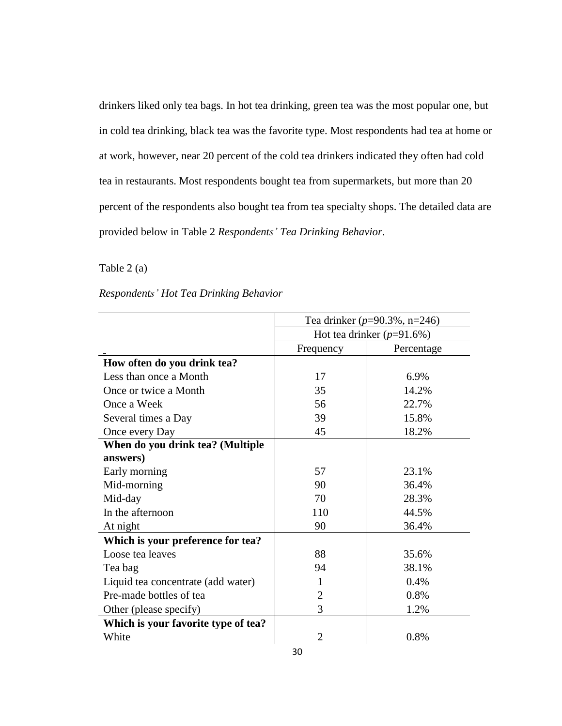drinkers liked only tea bags. In hot tea drinking, green tea was the most popular one, but in cold tea drinking, black tea was the favorite type. Most respondents had tea at home or at work, however, near 20 percent of the cold tea drinkers indicated they often had cold tea in restaurants. Most respondents bought tea from supermarkets, but more than 20 percent of the respondents also bought tea from tea specialty shops. The detailed data are provided below in Table 2 *Respondents' Tea Drinking Behavior*.

#### Table 2 (a)

# *Respondents' Hot Tea Drinking Behavior*

|                                     | Tea drinker ( $p=90.3\%$ , n=246) |                              |  |  |  |
|-------------------------------------|-----------------------------------|------------------------------|--|--|--|
|                                     |                                   | Hot tea drinker $(p=91.6\%)$ |  |  |  |
|                                     | Frequency                         | Percentage                   |  |  |  |
| How often do you drink tea?         |                                   |                              |  |  |  |
| Less than once a Month              | 17                                | 6.9%                         |  |  |  |
| Once or twice a Month               | 35                                | 14.2%                        |  |  |  |
| Once a Week                         | 56                                | 22.7%                        |  |  |  |
| Several times a Day                 | 39                                | 15.8%                        |  |  |  |
| Once every Day                      | 45                                | 18.2%                        |  |  |  |
| When do you drink tea? (Multiple    |                                   |                              |  |  |  |
| answers)                            |                                   |                              |  |  |  |
| Early morning                       | 57                                | 23.1%                        |  |  |  |
| Mid-morning                         | 90                                | 36.4%                        |  |  |  |
| Mid-day                             | 70                                | 28.3%                        |  |  |  |
| In the afternoon                    | 110                               | 44.5%                        |  |  |  |
| At night                            | 90                                | 36.4%                        |  |  |  |
| Which is your preference for tea?   |                                   |                              |  |  |  |
| Loose tea leaves                    | 88                                | 35.6%                        |  |  |  |
| Tea bag                             | 94                                | 38.1%                        |  |  |  |
| Liquid tea concentrate (add water)  | 1                                 | 0.4%                         |  |  |  |
| Pre-made bottles of tea             | $\overline{2}$                    | 0.8%                         |  |  |  |
| Other (please specify)              | 3                                 | 1.2%                         |  |  |  |
| Which is your favorite type of tea? |                                   |                              |  |  |  |
| White                               | $\overline{2}$                    | 0.8%                         |  |  |  |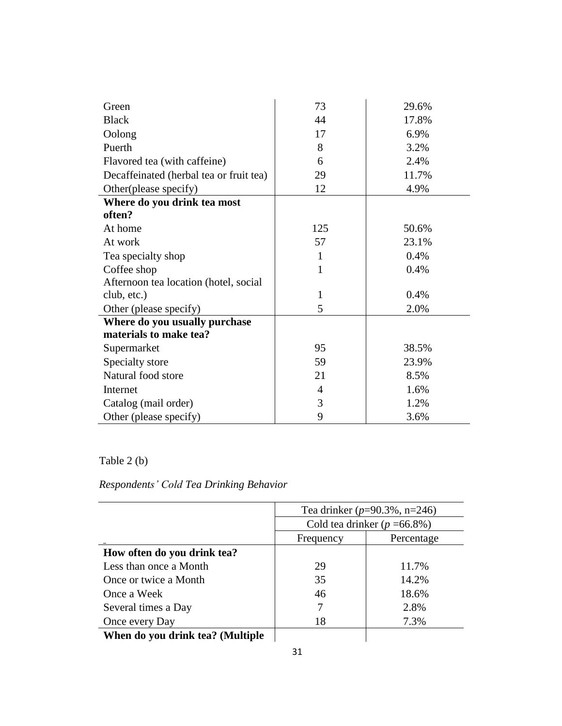| Green                                   | 73             | 29.6% |
|-----------------------------------------|----------------|-------|
| <b>Black</b>                            | 44             | 17.8% |
| Oolong                                  | 17             | 6.9%  |
| Puerth                                  | 8              | 3.2%  |
| Flavored tea (with caffeine)            | 6              | 2.4%  |
| Decaffeinated (herbal tea or fruit tea) | 29             | 11.7% |
| Other(please specify)                   | 12             | 4.9%  |
| Where do you drink tea most             |                |       |
| often?                                  |                |       |
| At home                                 | 125            | 50.6% |
| At work                                 | 57             | 23.1% |
| Tea specialty shop                      | 1              | 0.4%  |
| Coffee shop                             | 1              | 0.4%  |
| Afternoon tea location (hotel, social   |                |       |
| club, etc.)                             | $\mathbf{1}$   | 0.4%  |
| Other (please specify)                  | 5              | 2.0%  |
| Where do you usually purchase           |                |       |
| materials to make tea?                  |                |       |
| Supermarket                             | 95             | 38.5% |
| Specialty store                         | 59             | 23.9% |
| Natural food store                      | 21             | 8.5%  |
| Internet                                | $\overline{4}$ | 1.6%  |
| Catalog (mail order)                    | 3              | 1.2%  |
| Other (please specify)                  | 9              | 3.6%  |

Table 2 (b)

# *Respondents' Cold Tea Drinking Behavior*

|                                  | Tea drinker ( $p=90.3\%$ , n=246) |       |  |  |
|----------------------------------|-----------------------------------|-------|--|--|
|                                  | Cold tea drinker ( $p = 66.8\%$ ) |       |  |  |
|                                  | Frequency<br>Percentage           |       |  |  |
| How often do you drink tea?      |                                   |       |  |  |
| Less than once a Month           | 29                                | 11.7% |  |  |
| Once or twice a Month            | 35                                | 14.2% |  |  |
| Once a Week                      | 46                                | 18.6% |  |  |
| Several times a Day              |                                   | 2.8%  |  |  |
| Once every Day                   | 18                                | 7.3%  |  |  |
| When do you drink tea? (Multiple |                                   |       |  |  |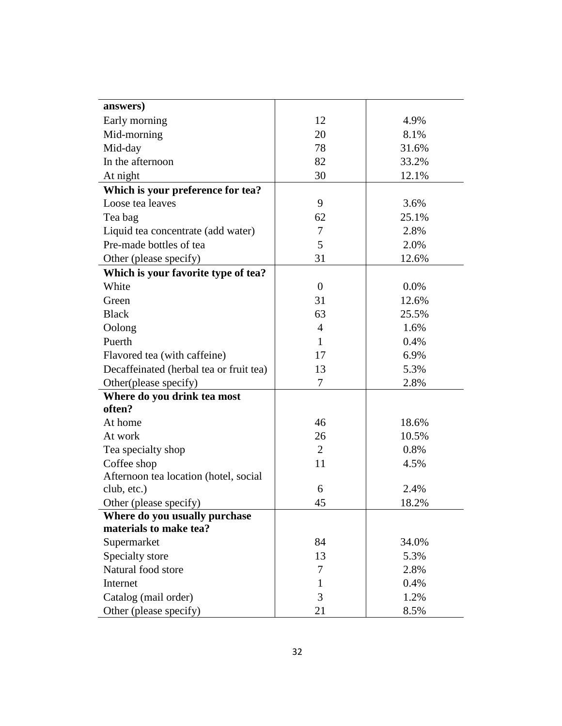| answers)                                |                  |       |
|-----------------------------------------|------------------|-------|
| Early morning                           | 12               | 4.9%  |
| Mid-morning                             | 20               | 8.1%  |
| Mid-day                                 | 78               | 31.6% |
| In the afternoon                        | 82               | 33.2% |
| At night                                | 30               | 12.1% |
| Which is your preference for tea?       |                  |       |
| Loose tea leaves                        | 9                | 3.6%  |
| Tea bag                                 | 62               | 25.1% |
| Liquid tea concentrate (add water)      | $\tau$           | 2.8%  |
| Pre-made bottles of tea                 | 5                | 2.0%  |
| Other (please specify)                  | 31               | 12.6% |
| Which is your favorite type of tea?     |                  |       |
| White                                   | $\boldsymbol{0}$ | 0.0%  |
| Green                                   | 31               | 12.6% |
| <b>Black</b>                            | 63               | 25.5% |
| Oolong                                  | $\overline{4}$   | 1.6%  |
| Puerth                                  | $\mathbf{1}$     | 0.4%  |
| Flavored tea (with caffeine)            | 17               | 6.9%  |
| Decaffeinated (herbal tea or fruit tea) | 13               | 5.3%  |
| Other(please specify)                   | $\tau$           | 2.8%  |
| Where do you drink tea most             |                  |       |
| often?                                  |                  |       |
| At home                                 | 46               | 18.6% |
| At work                                 | 26               | 10.5% |
| Tea specialty shop                      | $\overline{2}$   | 0.8%  |
| Coffee shop                             | 11               | 4.5%  |
| Afternoon tea location (hotel, social   |                  |       |
| club, etc.)                             | 6                | 2.4%  |
| Other (please specify)                  | 45               | 18.2% |
| Where do you usually purchase           |                  |       |
| materials to make tea?                  |                  |       |
| Supermarket                             | 84               | 34.0% |
| Specialty store                         | 13               | 5.3%  |
| Natural food store                      | $\tau$           | 2.8%  |
| Internet                                | 1                | 0.4%  |
| Catalog (mail order)                    | 3                | 1.2%  |
| Other (please specify)                  | 21               | 8.5%  |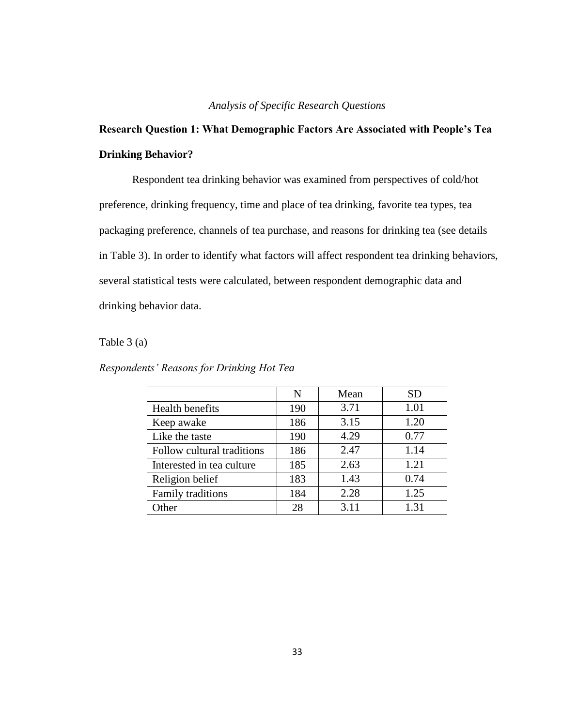# *Analysis of Specific Research Questions*

# **Research Question 1: What Demographic Factors Are Associated with People's Tea Drinking Behavior?**

Respondent tea drinking behavior was examined from perspectives of cold/hot preference, drinking frequency, time and place of tea drinking, favorite tea types, tea packaging preference, channels of tea purchase, and reasons for drinking tea (see details in Table 3). In order to identify what factors will affect respondent tea drinking behaviors, several statistical tests were calculated, between respondent demographic data and drinking behavior data.

# Table 3 (a)

| Respondents' Reasons for Drinking Hot Tea |  |  |  |  |  |  |
|-------------------------------------------|--|--|--|--|--|--|
|-------------------------------------------|--|--|--|--|--|--|

|                            | N   | Mean | <b>SD</b> |
|----------------------------|-----|------|-----------|
| Health benefits            | 190 | 3.71 | 1.01      |
| Keep awake                 | 186 | 3.15 | 1.20      |
| Like the taste             | 190 | 4.29 | 0.77      |
| Follow cultural traditions | 186 | 2.47 | 1.14      |
| Interested in tea culture  | 185 | 2.63 | 1.21      |
| Religion belief            | 183 | 1.43 | 0.74      |
| Family traditions          | 184 | 2.28 | 1.25      |
| Other                      | 28  | 3.11 | 1.31      |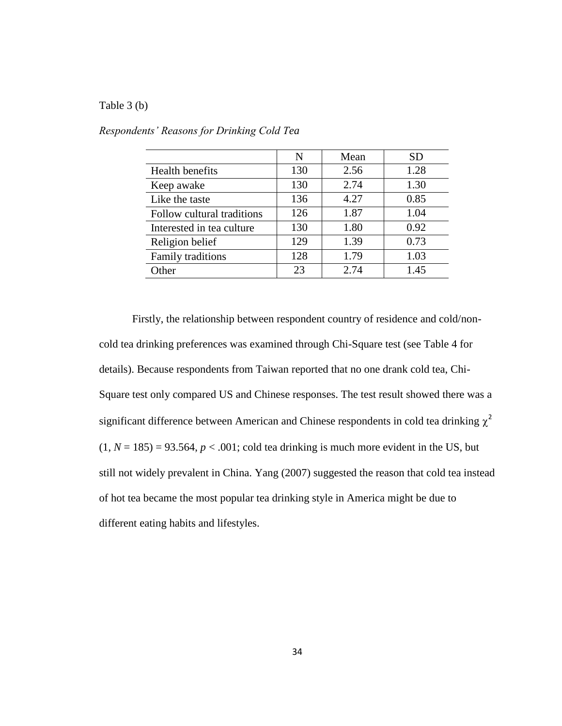#### Table 3 (b)

|                            | N   | Mean | <b>SD</b> |
|----------------------------|-----|------|-----------|
| Health benefits            | 130 | 2.56 | 1.28      |
| Keep awake                 | 130 | 2.74 | 1.30      |
| Like the taste             | 136 | 4.27 | 0.85      |
| Follow cultural traditions | 126 | 1.87 | 1.04      |
| Interested in tea culture  | 130 | 1.80 | 0.92      |
| Religion belief            | 129 | 1.39 | 0.73      |
| Family traditions          | 128 | 1.79 | 1.03      |
| Other                      | 23  | 2.74 | 1.45      |

*Respondents' Reasons for Drinking Cold Tea*

Firstly, the relationship between respondent country of residence and cold/noncold tea drinking preferences was examined through Chi-Square test (see Table 4 for details). Because respondents from Taiwan reported that no one drank cold tea, Chi-Square test only compared US and Chinese responses. The test result showed there was a significant difference between American and Chinese respondents in cold tea drinking  $\chi^2$  $(1, N = 185) = 93.564$ ,  $p < .001$ ; cold tea drinking is much more evident in the US, but still not widely prevalent in China. Yang (2007) suggested the reason that cold tea instead of hot tea became the most popular tea drinking style in America might be due to different eating habits and lifestyles.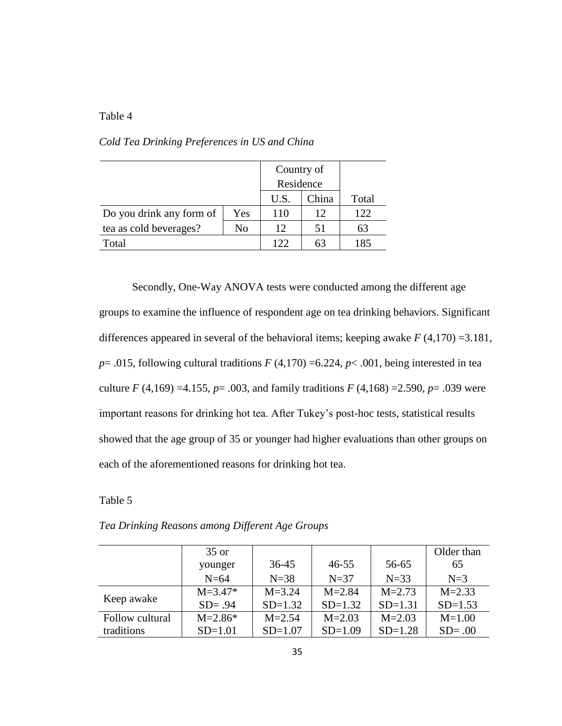# Table 4

|                          |     | Country of |       |       |
|--------------------------|-----|------------|-------|-------|
|                          |     | Residence  |       |       |
|                          |     | U.S.       | China | Total |
| Do you drink any form of | Yes | 110        | 12    | 122   |
| tea as cold beverages?   | No  | 12         | 51    | 63    |
| Total                    |     | 122        | 63    | 185   |

*Cold Tea Drinking Preferences in US and China*

Secondly, One-Way ANOVA tests were conducted among the different age groups to examine the influence of respondent age on tea drinking behaviors. Significant differences appeared in several of the behavioral items; keeping awake  $F(4,170) = 3.181$ ,  $p = .015$ , following cultural traditions  $F(4,170) = 6.224$ ,  $p < .001$ , being interested in tea culture  $F(4,169) = 4.155$ ,  $p = .003$ , and family traditions  $F(4,168) = 2.590$ ,  $p = .039$  were important reasons for drinking hot tea. After Tukey's post-hoc tests, statistical results showed that the age group of 35 or younger had higher evaluations than other groups on each of the aforementioned reasons for drinking hot tea.

Table 5

|                 | $35$ or     |            |            |            | Older than |
|-----------------|-------------|------------|------------|------------|------------|
|                 | younger     | $36 - 45$  | $46 - 55$  | 56-65      | 65         |
|                 | $N=64$      | $N=38$     | $N=37$     | $N=33$     | $N=3$      |
|                 | $M = 3.47*$ | $M = 3.24$ | $M = 2.84$ | $M = 2.73$ | $M = 2.33$ |
| Keep awake      | $SD = .94$  | $SD=1.32$  | $SD=1.32$  | $SD=1.31$  | $SD=1.53$  |
| Follow cultural | $M = 2.86*$ | $M = 2.54$ | $M = 2.03$ | $M = 2.03$ | $M = 1.00$ |
| traditions      | $SD=1.01$   | $SD=1.07$  | $SD=1.09$  | $SD=1.28$  | $SD = .00$ |

*Tea Drinking Reasons among Different Age Groups*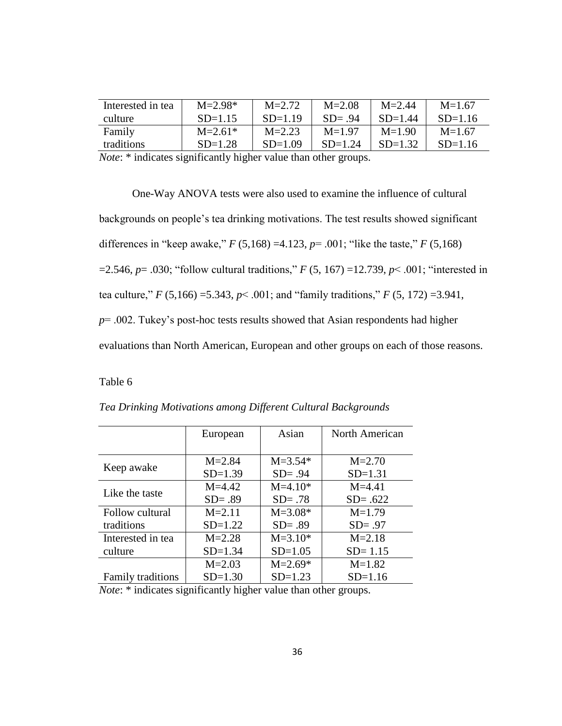| Interested in tea                                                                                                                                                                               | $M = 2.98*$ | $M = 2.72$ | $M = 2.08$ | $M = 2.44$ | $M=1.67$  |
|-------------------------------------------------------------------------------------------------------------------------------------------------------------------------------------------------|-------------|------------|------------|------------|-----------|
| culture                                                                                                                                                                                         | $SD=1.15$   | $SD=1.19$  | $SD = .94$ | $SD=1.44$  | $SD=1.16$ |
| Family                                                                                                                                                                                          | $M = 2.61*$ | $M = 2.23$ | $M=1.97$   | $M=1.90$   | $M=1.67$  |
| traditions                                                                                                                                                                                      | $SD=1.28$   | $SD=1.09$  | $SD=1.24$  | $SD=1.32$  | $SD=1.16$ |
| $\mathbf{A} \mathbf{y}$ and $\mathbf{A} \mathbf{y}$ and $\mathbf{A} \mathbf{y}$ and $\mathbf{A} \mathbf{y}$ and $\mathbf{A} \mathbf{y}$ and $\mathbf{A} \mathbf{y}$ and $\mathbf{A} \mathbf{y}$ |             |            |            |            |           |

*Note*: \* indicates significantly higher value than other groups.

One-Way ANOVA tests were also used to examine the influence of cultural backgrounds on people's tea drinking motivations. The test results showed significant differences in "keep awake," *F* (5,168) =4.123, *p*= .001; "like the taste," *F* (5,168) =2.546, *p*= .030; "follow cultural traditions," *F* (5, 167) =12.739, *p*< .001; "interested in tea culture,"  $F(5,166) = 5.343$ ,  $p < .001$ ; and "family traditions,"  $F(5, 172) = 3.941$ , *p*= .002. Tukey's post-hoc tests results showed that Asian respondents had higher evaluations than North American, European and other groups on each of those reasons.

Table 6

|                          | European   | Asian       | North American |
|--------------------------|------------|-------------|----------------|
|                          |            |             |                |
|                          | $M = 2.84$ | $M = 3.54*$ | $M = 2.70$     |
| Keep awake               | $SD=1.39$  | $SD = .94$  | $SD=1.31$      |
| Like the taste           | $M = 4.42$ | $M=4.10*$   | $M = 4.41$     |
|                          | $SD = .89$ | $SD = .78$  | $SD = .622$    |
| Follow cultural          | $M = 2.11$ | $M = 3.08*$ | $M=1.79$       |
| traditions               | $SD=1.22$  | $SD = .89$  | $SD = .97$     |
| Interested in tea        | $M = 2.28$ | $M = 3.10*$ | $M = 2.18$     |
| culture                  | $SD=1.34$  | $SD=1.05$   | $SD = 1.15$    |
|                          | $M = 2.03$ | $M = 2.69*$ | $M=1.82$       |
| <b>Family traditions</b> | $SD=1.30$  | $SD=1.23$   | $SD=1.16$      |

|  | Tea Drinking Motivations among Different Cultural Backgrounds |  |
|--|---------------------------------------------------------------|--|
|  |                                                               |  |

*Note*: \* indicates significantly higher value than other groups.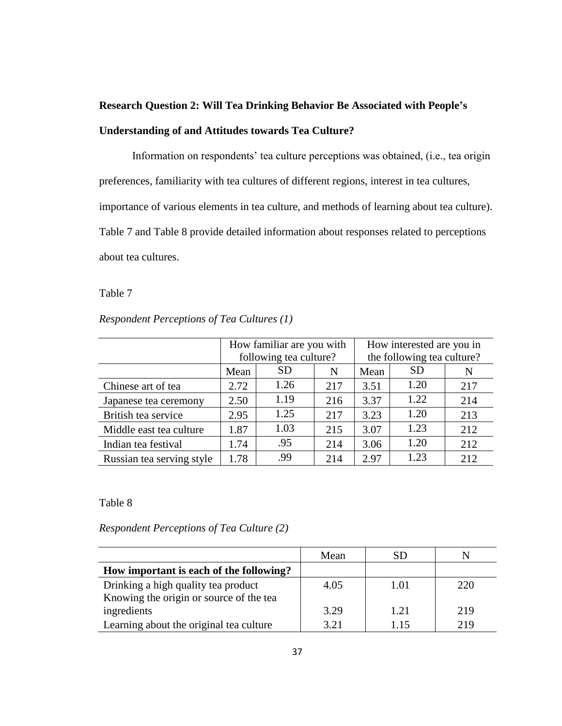# **Research Question 2: Will Tea Drinking Behavior Be Associated with People's Understanding of and Attitudes towards Tea Culture?**

Information on respondents' tea culture perceptions was obtained, (i.e., tea origin preferences, familiarity with tea cultures of different regions, interest in tea cultures, importance of various elements in tea culture, and methods of learning about tea culture). Table 7 and Table 8 provide detailed information about responses related to perceptions about tea cultures.

# Table 7

# *Respondent Perceptions of Tea Cultures (1)*

|                           | How familiar are you with<br>following tea culture? |                 |     | How interested are you in<br>the following tea culture? |           |     |  |
|---------------------------|-----------------------------------------------------|-----------------|-----|---------------------------------------------------------|-----------|-----|--|
|                           | Mean                                                | SD<br>Mean<br>N |     |                                                         | <b>SD</b> | N   |  |
| Chinese art of tea        | 2.72                                                | 1.26            | 217 | 3.51                                                    | 1.20      | 217 |  |
| Japanese tea ceremony     | 2.50                                                | 1.19            | 216 | 3.37                                                    | 1.22      | 214 |  |
| British tea service       | 2.95                                                | 1.25            | 217 | 3.23                                                    | 1.20      | 213 |  |
| Middle east tea culture   | 1.87                                                | 1.03            | 215 | 3.07                                                    | 1.23      | 212 |  |
| Indian tea festival       | 1.74                                                | .95             | 214 | 3.06                                                    | 1.20      | 212 |  |
| Russian tea serving style | 1.78                                                | .99             | 214 | 2.97                                                    | 1.23      | 212 |  |

Table 8

*Respondent Perceptions of Tea Culture (2)*

|                                         | Mean | SD   |     |
|-----------------------------------------|------|------|-----|
| How important is each of the following? |      |      |     |
| Drinking a high quality tea product     | 4.05 | 1.01 | 220 |
| Knowing the origin or source of the tea |      |      |     |
| ingredients                             | 3.29 | 1.21 | 219 |
| Learning about the original tea culture | 3.21 | 1.15 | 219 |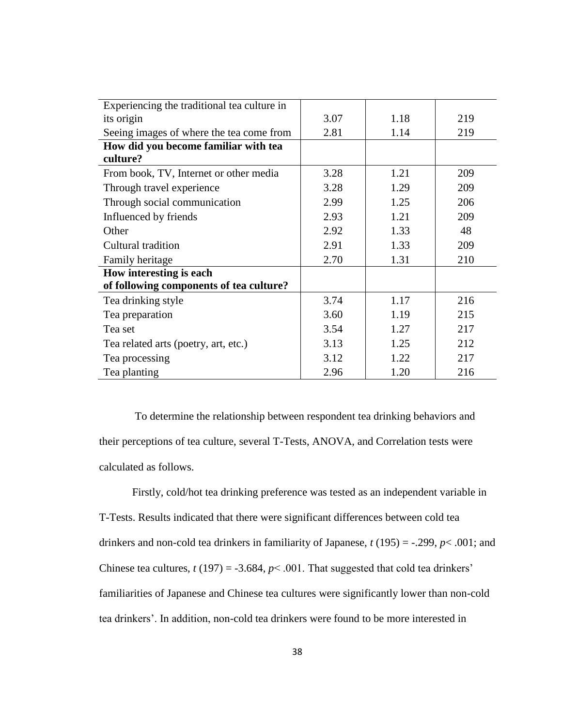| Experiencing the traditional tea culture in |      |      |     |
|---------------------------------------------|------|------|-----|
| its origin                                  | 3.07 | 1.18 | 219 |
| Seeing images of where the tea come from    | 2.81 | 1.14 | 219 |
| How did you become familiar with tea        |      |      |     |
| culture?                                    |      |      |     |
| From book, TV, Internet or other media      | 3.28 | 1.21 | 209 |
| Through travel experience                   | 3.28 | 1.29 | 209 |
| Through social communication                | 2.99 | 1.25 | 206 |
| Influenced by friends                       | 2.93 | 1.21 | 209 |
| Other                                       | 2.92 | 1.33 | 48  |
| Cultural tradition                          | 2.91 | 1.33 | 209 |
| Family heritage                             | 2.70 | 1.31 | 210 |
| How interesting is each                     |      |      |     |
| of following components of tea culture?     |      |      |     |
| Tea drinking style                          | 3.74 | 1.17 | 216 |
| Tea preparation                             | 3.60 | 1.19 | 215 |
| Tea set                                     | 3.54 | 1.27 | 217 |
| Tea related arts (poetry, art, etc.)        | 3.13 | 1.25 | 212 |
| Tea processing                              | 3.12 | 1.22 | 217 |
| Tea planting                                | 2.96 | 1.20 | 216 |

To determine the relationship between respondent tea drinking behaviors and their perceptions of tea culture, several T-Tests, ANOVA, and Correlation tests were calculated as follows.

Firstly, cold/hot tea drinking preference was tested as an independent variable in T-Tests. Results indicated that there were significant differences between cold tea drinkers and non-cold tea drinkers in familiarity of Japanese, *t* (195) = -.299, *p*< .001; and Chinese tea cultures,  $t(197) = -3.684$ ,  $p < .001$ . That suggested that cold tea drinkers' familiarities of Japanese and Chinese tea cultures were significantly lower than non-cold tea drinkers'. In addition, non-cold tea drinkers were found to be more interested in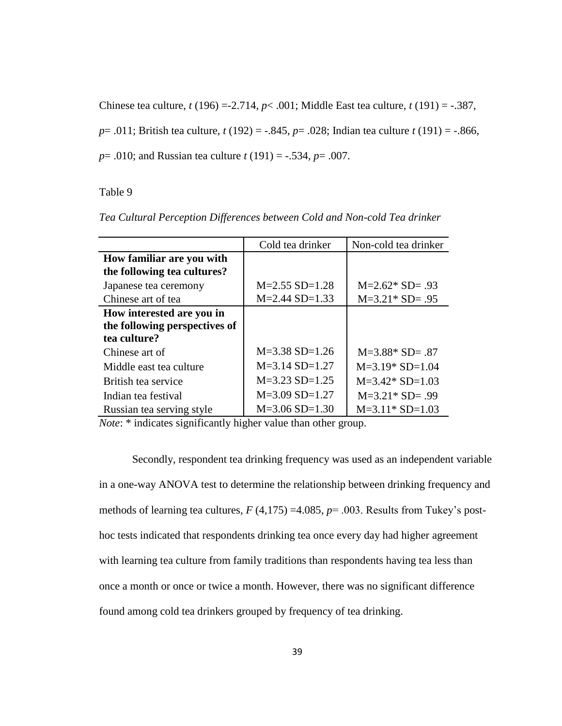Chinese tea culture, *t* (196) =-2.714, *p*< .001; Middle East tea culture, *t* (191) = -.387, *p*= .011; British tea culture, *t* (192) = -.845, *p*= .028; Indian tea culture *t* (191) = -.866, *p*= .010; and Russian tea culture *t* (191) = -.534, *p*= .007.

#### Table 9

|                               | Cold tea drinker | Non-cold tea drinker |
|-------------------------------|------------------|----------------------|
| How familiar are you with     |                  |                      |
| the following tea cultures?   |                  |                      |
| Japanese tea ceremony         | $M=2.55$ SD=1.28 | $M=2.62*$ SD= .93    |
| Chinese art of tea            | $M=2.44$ SD=1.33 | $M=3.21* SD= .95$    |
| How interested are you in     |                  |                      |
| the following perspectives of |                  |                      |
| tea culture?                  |                  |                      |
| Chinese art of                | $M=3.38$ SD=1.26 | $M=3.88*$ SD= .87    |
| Middle east tea culture       | $M=3.14$ SD=1.27 | $M=3.19*$ SD=1.04    |
| British tea service           | $M=3.23$ SD=1.25 | $M=3.42*$ SD=1.03    |
| Indian tea festival           | $M=3.09$ SD=1.27 | $M=3.21*$ SD= .99    |
| Russian tea serving style     | $M=3.06$ SD=1.30 | $M=3.11*$ SD=1.03    |

*Tea Cultural Perception Differences between Cold and Non-cold Tea drinker* 

*Note*: \* indicates significantly higher value than other group.

Secondly, respondent tea drinking frequency was used as an independent variable in a one-way ANOVA test to determine the relationship between drinking frequency and methods of learning tea cultures, *F* (4,175) =4.085, *p*= .003. Results from Tukey's posthoc tests indicated that respondents drinking tea once every day had higher agreement with learning tea culture from family traditions than respondents having tea less than once a month or once or twice a month. However, there was no significant difference found among cold tea drinkers grouped by frequency of tea drinking.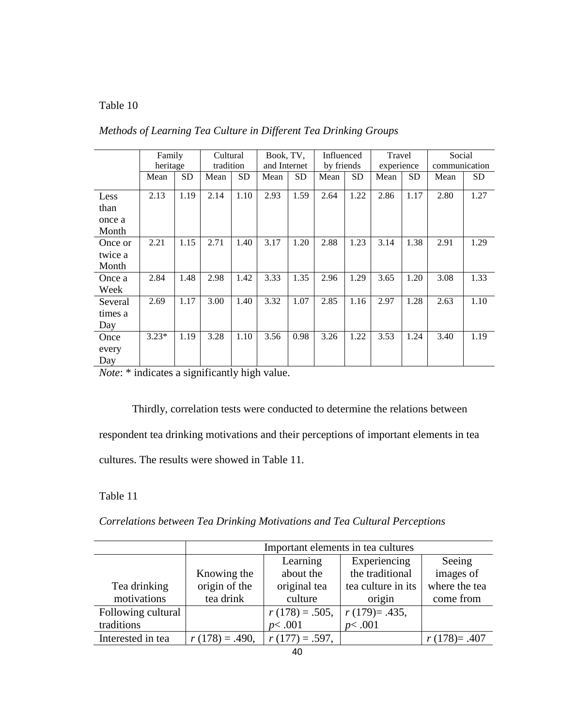# Table 10

|                                 | Family<br>heritage |           | Cultural<br>tradition |           | Book, TV,<br>and Internet |      | Influenced<br>by friends |           | Travel<br>experience |           | Social<br>communication |           |
|---------------------------------|--------------------|-----------|-----------------------|-----------|---------------------------|------|--------------------------|-----------|----------------------|-----------|-------------------------|-----------|
|                                 | Mean               | <b>SD</b> | Mean                  | <b>SD</b> | Mean                      | SD   | Mean                     | <b>SD</b> | Mean                 | <b>SD</b> | Mean                    | <b>SD</b> |
| Less<br>than<br>once a<br>Month | 2.13               | 1.19      | 2.14                  | 1.10      | 2.93                      | 1.59 | 2.64                     | 1.22      | 2.86                 | 1.17      | 2.80                    | 1.27      |
| Once or<br>twice a<br>Month     | 2.21               | 1.15      | 2.71                  | 1.40      | 3.17                      | 1.20 | 2.88                     | 1.23      | 3.14                 | 1.38      | 2.91                    | 1.29      |
| Once a<br>Week                  | 2.84               | 1.48      | 2.98                  | 1.42      | 3.33                      | 1.35 | 2.96                     | 1.29      | 3.65                 | 1.20      | 3.08                    | 1.33      |
| Several<br>times a<br>Day       | 2.69               | 1.17      | 3.00                  | 1.40      | 3.32                      | 1.07 | 2.85                     | 1.16      | 2.97                 | 1.28      | 2.63                    | 1.10      |
| Once<br>every<br>Day            | $3.23*$            | 1.19      | 3.28                  | 1.10      | 3.56                      | 0.98 | 3.26                     | 1.22      | 3.53                 | 1.24      | 3.40                    | 1.19      |

*Methods of Learning Tea Culture in Different Tea Drinking Groups* 

*Note*: \* indicates a significantly high value.

Thirdly, correlation tests were conducted to determine the relations between respondent tea drinking motivations and their perceptions of important elements in tea cultures. The results were showed in Table 11.

Table 11

*Correlations between Tea Drinking Motivations and Tea Cultural Perceptions*

|                    | Important elements in tea cultures |                   |                    |               |  |  |  |
|--------------------|------------------------------------|-------------------|--------------------|---------------|--|--|--|
|                    |                                    | Learning          | Experiencing       | Seeing        |  |  |  |
|                    | Knowing the                        | about the         | the traditional    | images of     |  |  |  |
| Tea drinking       | origin of the                      | original tea      | tea culture in its | where the tea |  |  |  |
| motivations        | tea drink                          | culture           | origin             | come from     |  |  |  |
| Following cultural |                                    | $r(178) = .505,$  | $r(179)=0.435,$    |               |  |  |  |
| traditions         |                                    | p<.001            | p<.001             |               |  |  |  |
| Interested in tea  | $r(178) = .490,$                   | $r(177) = .597$ , |                    | $r(178)=.407$ |  |  |  |
|                    |                                    |                   |                    |               |  |  |  |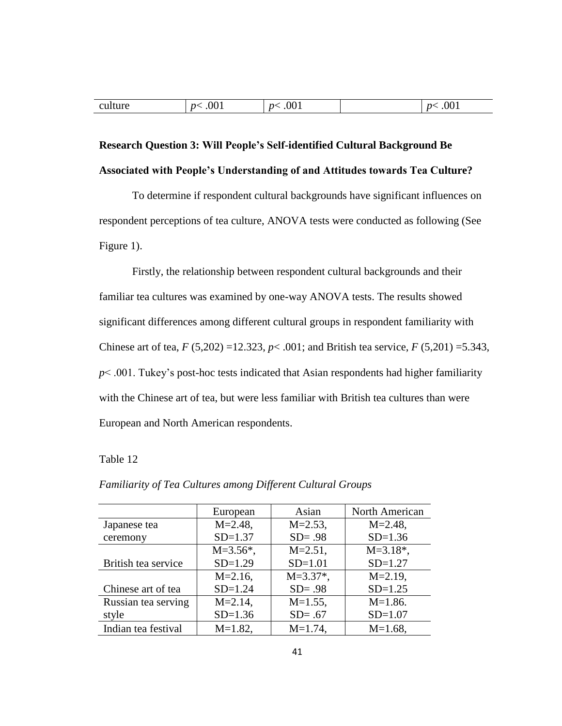| culture | .001<br>n< | .001<br>n <sub>1</sub> | .001<br>$\mathbf{r}$ |
|---------|------------|------------------------|----------------------|
|         |            |                        |                      |

# **Research Question 3: Will People's Self-identified Cultural Background Be Associated with People's Understanding of and Attitudes towards Tea Culture?**

To determine if respondent cultural backgrounds have significant influences on respondent perceptions of tea culture, ANOVA tests were conducted as following (See Figure 1).

Firstly, the relationship between respondent cultural backgrounds and their familiar tea cultures was examined by one-way ANOVA tests. The results showed significant differences among different cultural groups in respondent familiarity with Chinese art of tea, *F* (5,202) =12.323, *p*< .001; and British tea service, *F* (5,201) =5.343, *p*< .001. Tukey's post-hoc tests indicated that Asian respondents had higher familiarity with the Chinese art of tea, but were less familiar with British tea cultures than were European and North American respondents.

# Table 12

|                     | European      | Asian         | North American            |
|---------------------|---------------|---------------|---------------------------|
| Japanese tea        | $M = 2.48$ ,  | $M = 2.53$ ,  | $M = 2.48$ ,              |
| ceremony            | $SD=1.37$     | $SD = .98$    | $SD=1.36$                 |
|                     | $M = 3.56$ *, | $M = 2.51$ ,  | $M = 3.18$ <sup>*</sup> , |
| British tea service | $SD=1.29$     | $SD=1.01$     | $SD=1.27$                 |
|                     | $M = 2.16$ ,  | $M = 3.37$ *, | $M = 2.19$ ,              |
| Chinese art of tea  | $SD=1.24$     | $SD = .98$    | $SD=1.25$                 |
| Russian tea serving | $M = 2.14$ ,  | $M=1.55$ ,    | $M=1.86$ .                |
| style               | $SD=1.36$     | $SD = .67$    | $SD=1.07$                 |
| Indian tea festival | $M=1.82$ ,    | $M=1.74$ ,    | $M=1.68$ ,                |

*Familiarity of Tea Cultures among Different Cultural Groups*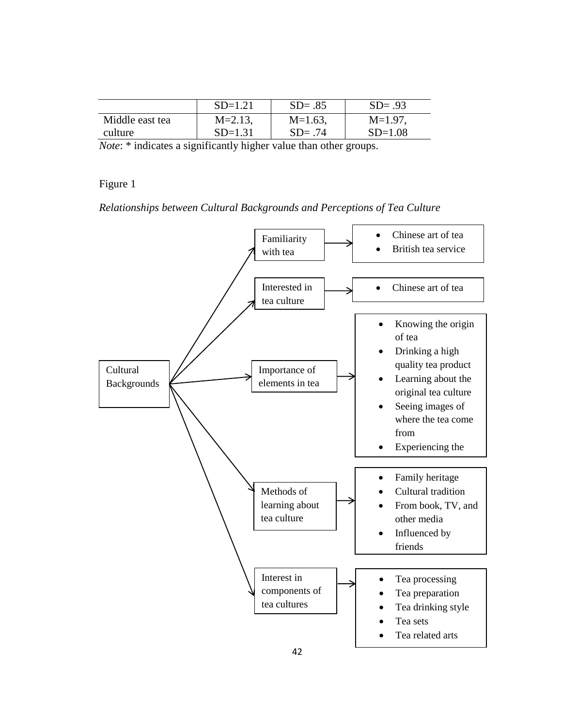|                 | $SD=1.21$    | $SD = .85$ | $SD = .93$ |
|-----------------|--------------|------------|------------|
| Middle east tea | $M = 2.13$ , | $M=1.63$ , | $M=1.97$ . |
| culture         | $SD=1.31$    | $SD = .74$ | $SD=1.08$  |

*Note*: \* indicates a significantly higher value than other groups.

Figure 1

*Relationships between Cultural Backgrounds and Perceptions of Tea Culture*

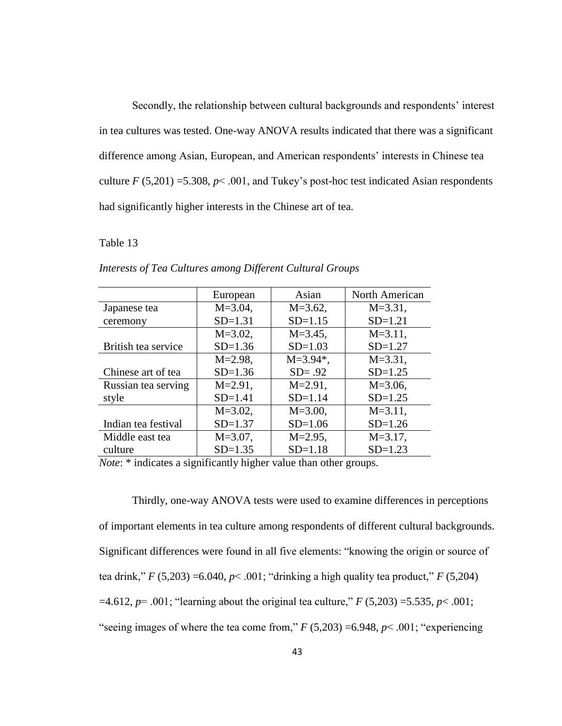Secondly, the relationship between cultural backgrounds and respondents' interest in tea cultures was tested. One-way ANOVA results indicated that there was a significant difference among Asian, European, and American respondents' interests in Chinese tea culture  $F(5,201) = 5.308$ ,  $p < .001$ , and Tukey's post-hoc test indicated Asian respondents had significantly higher interests in the Chinese art of tea.

## Table 13

|                     |              | Asian         | North American |
|---------------------|--------------|---------------|----------------|
|                     | European     |               |                |
| Japanese tea        | $M = 3.04$ , | $M = 3.62$ ,  | $M = 3.31$ ,   |
| ceremony            | $SD=1.31$    | $SD = 1.15$   | $SD=1.21$      |
|                     | $M = 3.02$ , | $M = 3.45$ ,  | $M = 3.11$ ,   |
| British tea service | $SD=1.36$    | $SD=1.03$     | $SD=1.27$      |
|                     | $M = 2.98$ , | $M = 3.94$ *, | $M = 3.31$ ,   |
| Chinese art of tea  | $SD=1.36$    | $SD = .92$    | $SD=1.25$      |
| Russian tea serving | $M = 2.91$ , | $M = 2.91$ ,  | $M = 3.06$ ,   |
| style               | $SD = 1.41$  | $SD = 1.14$   | $SD=1.25$      |
|                     | $M = 3.02$ , | $M = 3.00$ ,  | $M = 3.11$ ,   |
| Indian tea festival | $SD = 1.37$  | $SD=1.06$     | $SD=1.26$      |
| Middle east tea     | $M = 3.07$ , | $M = 2.95$ ,  | $M = 3.17$ ,   |
| culture             | $SD=1.35$    | $SD = 1.18$   | $SD=1.23$      |

*Interests of Tea Cultures among Different Cultural Groups*

*Note*: \* indicates a significantly higher value than other groups.

Thirdly, one-way ANOVA tests were used to examine differences in perceptions of important elements in tea culture among respondents of different cultural backgrounds. Significant differences were found in all five elements: "knowing the origin or source of tea drink,"  $F(5,203) = 6.040$ ,  $p < .001$ ; "drinking a high quality tea product,"  $F(5,204)$  $=4.612$ ,  $p=0.001$ ; "learning about the original tea culture," *F* (5,203) = 5.535, *p*< 0.001; "seeing images of where the tea come from,"  $F(5,203) = 6.948$ ,  $p < .001$ ; "experiencing"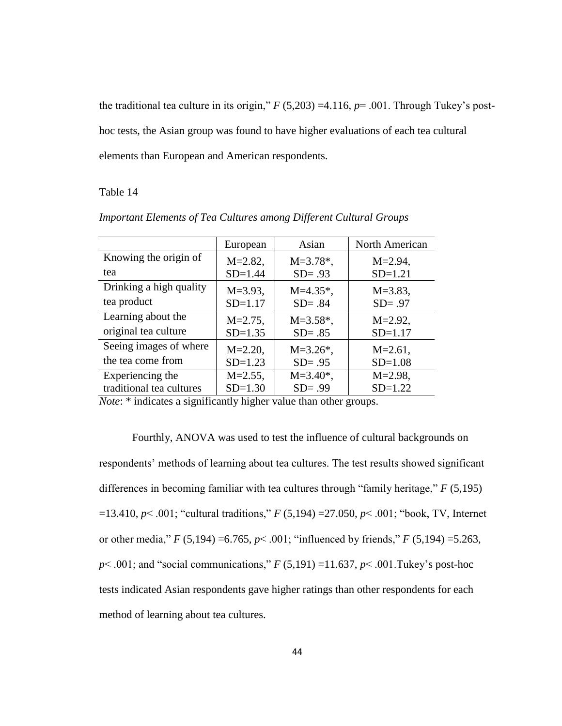the traditional tea culture in its origin,"  $F(5,203) = 4.116$ ,  $p = .001$ . Through Tukey's posthoc tests, the Asian group was found to have higher evaluations of each tea cultural elements than European and American respondents.

#### Table 14

|                                                                                                                                      | European                                            | Asian                         | North American |
|--------------------------------------------------------------------------------------------------------------------------------------|-----------------------------------------------------|-------------------------------|----------------|
| Knowing the origin of                                                                                                                | $M = 2.82$ ,                                        | $M = 3.78$ *,                 | $M = 2.94$ ,   |
| tea                                                                                                                                  | $SD = 1.44$                                         | $SD = .93$                    | $SD=1.21$      |
| Drinking a high quality                                                                                                              | $M = 3.93$ ,                                        | $M=4.35*$ ,                   | $M = 3.83$ ,   |
| tea product                                                                                                                          | $SD = 1.17$                                         | $SD = .84$                    | $SD = .97$     |
| Learning about the                                                                                                                   | $M = 2.75$ ,                                        | $M = 3.58$ <sup>*</sup> ,     | $M = 2.92$ ,   |
| original tea culture                                                                                                                 | $SD=1.35$                                           | $SD = .85$                    | $SD = 1.17$    |
| Seeing images of where                                                                                                               | $M = 2.20$ ,                                        | $M = 3.26$ *,                 | $M = 2.61$ ,   |
| the tea come from                                                                                                                    | $SD=1.23$                                           | $SD = .95$                    | $SD=1.08$      |
| Experiencing the                                                                                                                     | $M = 2.55$ ,                                        | $M = 3.40*$ ,                 | $M = 2.98$ ,   |
| traditional tea cultures                                                                                                             | $SD=1.30$                                           | $SD = .99$                    | $SD=1.22$      |
| $\cdot$ $\sim$<br>$\mathbf{r}$ and $\mathbf{r}$ and $\mathbf{r}$ and $\mathbf{r}$ and $\mathbf{r}$ are $\mathbf{r}$ and $\mathbf{r}$ | $\mathbf{1}$ $\mathbf{1}$ $\mathbf{1}$ $\mathbf{1}$ | $\mathbf{1}$ and $\mathbf{1}$ |                |

*Important Elements of Tea Cultures among Different Cultural Groups*

*Note*: \* indicates a significantly higher value than other groups.

Fourthly, ANOVA was used to test the influence of cultural backgrounds on respondents' methods of learning about tea cultures. The test results showed significant differences in becoming familiar with tea cultures through "family heritage," *F* (5,195) =13.410, *p*< .001; "cultural traditions," *F* (5,194) =27.050, *p*< .001; "book, TV, Internet or other media," *F* (5,194) =6.765, *p*< .001; "influenced by friends," *F* (5,194) =5.263, *p*< .001; and "social communications," *F* (5,191) =11.637, *p*< .001.Tukey's post-hoc tests indicated Asian respondents gave higher ratings than other respondents for each method of learning about tea cultures.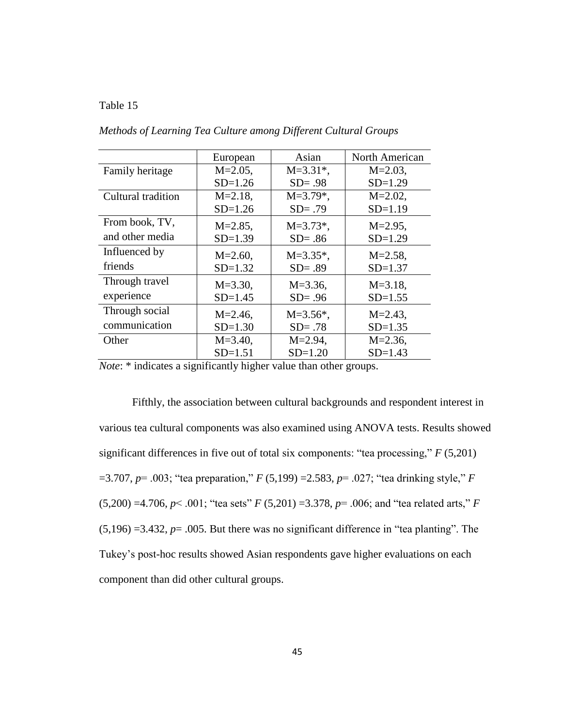#### Table 15

|                    | European     | Asian         | North American |
|--------------------|--------------|---------------|----------------|
| Family heritage    | $M = 2.05$ , | $M = 3.31*$ , | $M = 2.03$ ,   |
|                    | $SD=1.26$    | $SD = .98$    | $SD=1.29$      |
| Cultural tradition | $M = 2.18$ , | $M=3.79*$ ,   | $M = 2.02$ ,   |
|                    | $SD=1.26$    | $SD = .79$    | $SD=1.19$      |
| From book, TV,     | $M = 2.85$ , | $M = 3.73$ *, | $M = 2.95$ ,   |
| and other media    | $SD=1.39$    | $SD = .86$    | $SD=1.29$      |
| Influenced by      | $M = 2.60$ , | $M = 3.35$ *, | $M = 2.58$ ,   |
| friends            | $SD=1.32$    | $SD = .89$    | $SD = 1.37$    |
| Through travel     | $M = 3.30$ , | $M = 3.36$ ,  | $M = 3.18$ ,   |
| experience         | $SD = 1.45$  | $SD = .96$    | $SD = 1.55$    |
| Through social     | $M = 2.46$ , | $M = 3.56$ *, | $M = 2.43$ ,   |
| communication      | $SD=1.30$    | $SD = .78$    | $SD = 1.35$    |
| Other              | $M = 3.40$ , | $M = 2.94$ ,  | $M = 2.36$ ,   |
|                    | $SD = 1.51$  | $SD=1.20$     | $SD = 1.43$    |

*Methods of Learning Tea Culture among Different Cultural Groups*

*Note*: \* indicates a significantly higher value than other groups.

Fifthly, the association between cultural backgrounds and respondent interest in various tea cultural components was also examined using ANOVA tests. Results showed significant differences in five out of total six components: "tea processing," *F* (5,201) =3.707, *p*= .003; "tea preparation," *F* (5,199) =2.583, *p*= .027; "tea drinking style," *F* (5,200) =4.706, *p*< .001; "tea sets" *F* (5,201) =3.378, *p*= .006; and "tea related arts," *F*  $(5,196) = 3.432$ ,  $p = .005$ . But there was no significant difference in "tea planting". The Tukey's post-hoc results showed Asian respondents gave higher evaluations on each component than did other cultural groups.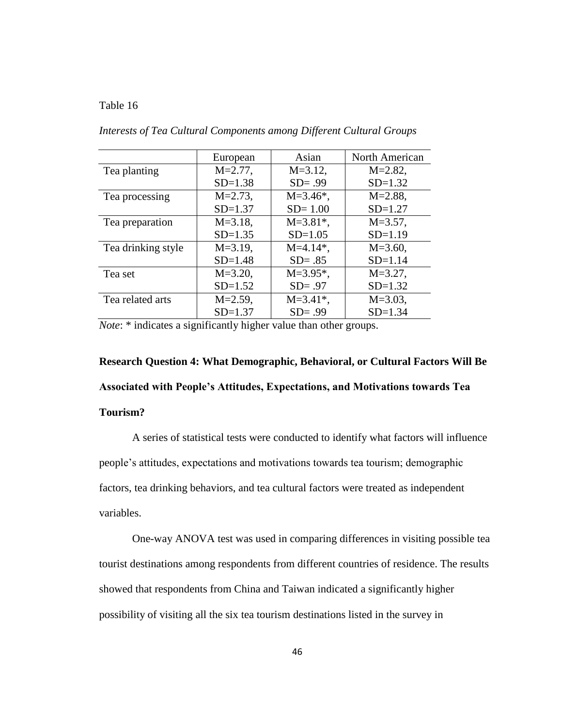#### Table 16

|                    | European     | Asian                     | North American |
|--------------------|--------------|---------------------------|----------------|
| Tea planting       | $M = 2.77$ , | $M = 3.12$ ,              | $M = 2.82$ ,   |
|                    | $SD=1.38$    | $SD = .99$                | $SD=1.32$      |
| Tea processing     | $M = 2.73$ , | $M = 3.46$ *,             | $M = 2.88$ ,   |
|                    | $SD = 1.37$  | $SD = 1.00$               | $SD = 1.27$    |
| Tea preparation    | $M = 3.18$ , | $M = 3.81$ <sup>*</sup> , | $M = 3.57$ ,   |
|                    | $SD=1.35$    | $SD=1.05$                 | $SD=1.19$      |
| Tea drinking style | $M = 3.19$ , | $M=4.14*$ ,               | $M = 3.60$ ,   |
|                    | $SD=1.48$    | $SD = .85$                | $SD = 1.14$    |
| Tea set            | $M = 3.20$ , | $M = 3.95$ *,             | $M = 3.27$ ,   |
|                    | $SD=1.52$    | $SD = .97$                | $SD=1.32$      |
| Tea related arts   | $M = 2.59$ , | $M = 3.41$ <sup>*</sup> , | $M = 3.03$ ,   |
|                    | $SD = 1.37$  | $SD = .99$                | $SD = 1.34$    |

*Interests of Tea Cultural Components among Different Cultural Groups*

*Note*: \* indicates a significantly higher value than other groups.

**Research Question 4: What Demographic, Behavioral, or Cultural Factors Will Be Associated with People's Attitudes, Expectations, and Motivations towards Tea Tourism?**

A series of statistical tests were conducted to identify what factors will influence people's attitudes, expectations and motivations towards tea tourism; demographic factors, tea drinking behaviors, and tea cultural factors were treated as independent variables.

One-way ANOVA test was used in comparing differences in visiting possible tea tourist destinations among respondents from different countries of residence. The results showed that respondents from China and Taiwan indicated a significantly higher possibility of visiting all the six tea tourism destinations listed in the survey in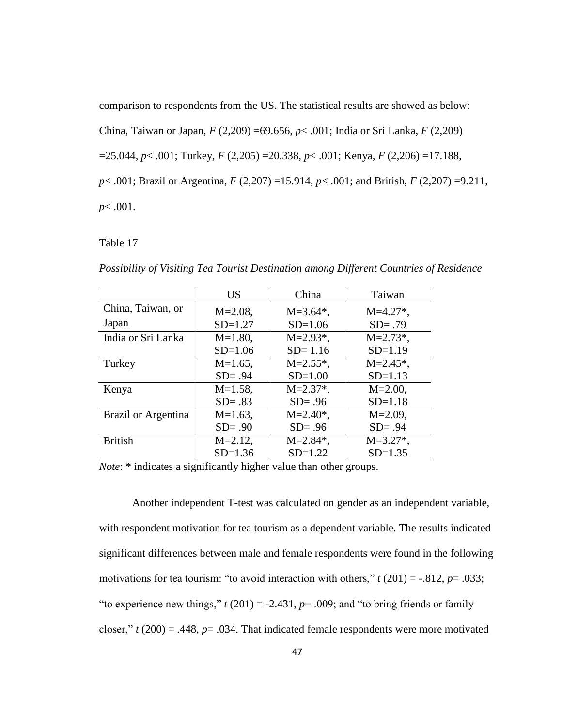comparison to respondents from the US. The statistical results are showed as below: China, Taiwan or Japan, *F* (2,209) =69.656, *p*< .001; India or Sri Lanka, *F* (2,209) =25.044, *p*< .001; Turkey, *F* (2,205) =20.338, *p*< .001; Kenya, *F* (2,206) =17.188, *p*< .001; Brazil or Argentina, *F* (2,207) =15.914, *p*< .001; and British, *F* (2,207) =9.211, *p*< .001.

Table 17

|                     | <b>US</b>    | China                     | Taiwan                  |
|---------------------|--------------|---------------------------|-------------------------|
| China, Taiwan, or   | $M = 2.08$ , | $M = 3.64$ <sup>*</sup> , | $M=4.27$ <sup>*</sup> , |
| Japan               | $SD=1.27$    | $SD=1.06$                 | $SD = .79$              |
| India or Sri Lanka  | $M=1.80$ ,   | $M = 2.93$ *,             | $M = 2.73$ *,           |
|                     | $SD=1.06$    | $SD = 1.16$               | $SD=1.19$               |
| Turkey              | $M=1.65$ ,   | $M = 2.55$ *,             | $M = 2.45$ *,           |
|                     | $SD = .94$   | $SD=1.00$                 | $SD=1.13$               |
| Kenya               | $M=1.58$ ,   | $M = 2.37$ *,             | $M = 2.00$ ,            |
|                     | $SD = .83$   | $SD = .96$                | $SD = 1.18$             |
| Brazil or Argentina | $M=1.63$ .   | $M = 2.40*,$              | $M = 2.09$ ,            |
|                     | $SD = .90$   | $SD = .96$                | $SD = .94$              |
| <b>British</b>      | $M = 2.12$ , | $M = 2.84$ <sup>*</sup> , | $M = 3.27$ *,           |
|                     | $SD=1.36$    | $SD=1.22$                 | $SD = 1.35$             |

*Possibility of Visiting Tea Tourist Destination among Different Countries of Residence*

*Note*: \* indicates a significantly higher value than other groups.

Another independent T-test was calculated on gender as an independent variable, with respondent motivation for tea tourism as a dependent variable. The results indicated significant differences between male and female respondents were found in the following motivations for tea tourism: "to avoid interaction with others," *t* (201) = -.812, *p*= .033; "to experience new things,"  $t(201) = -2.431$ ,  $p = .009$ ; and "to bring friends or family closer,"  $t(200) = .448$ ,  $p = .034$ . That indicated female respondents were more motivated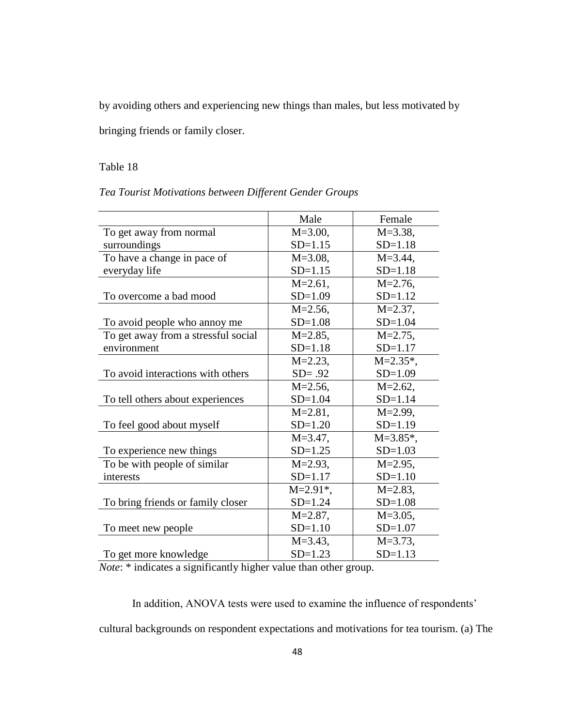by avoiding others and experiencing new things than males, but less motivated by

bringing friends or family closer.

# Table 18

*Tea Tourist Motivations between Different Gender Groups*

|                                       | Male                      | Female        |
|---------------------------------------|---------------------------|---------------|
| To get away from normal               | $M = 3.00,$               | $M = 3.38$ ,  |
| surroundings                          | $SD = 1.15$               | $SD = 1.18$   |
| To have a change in pace of           | $M = 3.08$ ,              | $M = 3.44$ ,  |
| everyday life                         | $SD = 1.15$               | $SD = 1.18$   |
|                                       | $M = 2.61$ ,              | $M = 2.76$ ,  |
| To overcome a bad mood                | $SD=1.09$                 | $SD=1.12$     |
|                                       | $M = 2.56$ ,              | $M = 2.37$ ,  |
| To avoid people who annoy me          | $SD=1.08$                 | $SD = 1.04$   |
| To get away from a stressful social   | $M = 2.85$ ,              | $M = 2.75$ ,  |
| environment                           | $SD = 1.18$               | $SD = 1.17$   |
|                                       | $M = 2.23$ ,              | $M = 2.35$ *, |
| To avoid interactions with others     | $SD = .92$                | $SD=1.09$     |
|                                       | $M = 2.56$ ,              | $M = 2.62$ ,  |
| To tell others about experiences      | $SD = 1.04$               | $SD = 1.14$   |
|                                       | $M = 2.81$ ,              | $M = 2.99$ ,  |
| To feel good about myself             | $SD=1.20$                 | $SD=1.19$     |
|                                       | $M = 3.47$ ,              | $M = 3.85$ *, |
| To experience new things              | $SD=1.25$                 | $SD=1.03$     |
| To be with people of similar          | $M = 2.93$ ,              | $M = 2.95$ ,  |
| interests                             | $SD = 1.17$               | $SD=1.10$     |
|                                       | $M = 2.91$ <sup>*</sup> , | $M = 2.83$ ,  |
| To bring friends or family closer     | $SD=1.24$                 | $SD=1.08$     |
|                                       | $M = 2.87$ ,              | $M = 3.05$ ,  |
| To meet new people                    | $SD=1.10$                 | $SD=1.07$     |
|                                       | $M = 3.43$ ,              | $M = 3.73$ ,  |
| To get more knowledge<br>$\mathbf{v}$ | $SD = 1.23$               | $SD = 1.13$   |

*Note*: \* indicates a significantly higher value than other group.

In addition, ANOVA tests were used to examine the influence of respondents' cultural backgrounds on respondent expectations and motivations for tea tourism. (a) The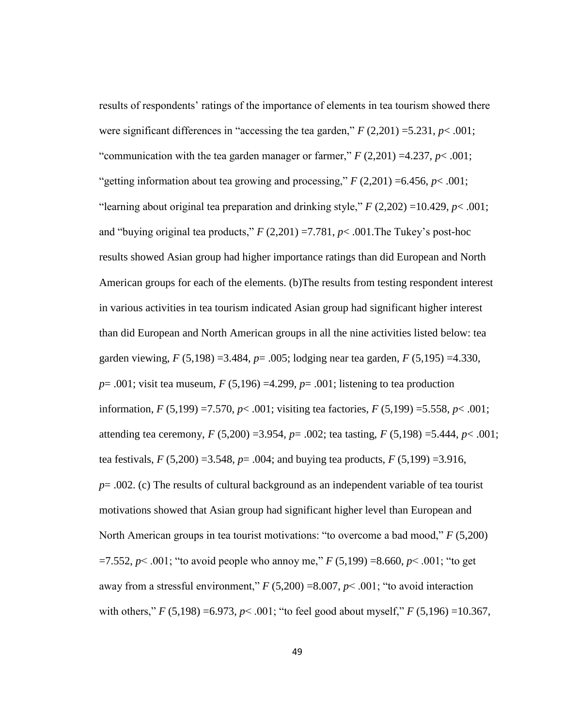results of respondents' ratings of the importance of elements in tea tourism showed there were significant differences in "accessing the tea garden," *F* (2,201) =5.231, *p*< .001; "communication with the tea garden manager or farmer,"  $F(2,201) = 4.237$ ,  $p < .001$ ; "getting information about tea growing and processing,"  $F(2,201) = 6.456$ ,  $p < .001$ ; "learning about original tea preparation and drinking style,"  $F(2,202) = 10.429$ ,  $p < .001$ ; and "buying original tea products,"  $F(2,201) = 7.781$ ,  $p < .001$ . The Tukey's post-hoc results showed Asian group had higher importance ratings than did European and North American groups for each of the elements. (b)The results from testing respondent interest in various activities in tea tourism indicated Asian group had significant higher interest than did European and North American groups in all the nine activities listed below: tea garden viewing, *F* (5,198) =3.484, *p*= .005; lodging near tea garden, *F* (5,195) =4.330, *p*= .001; visit tea museum, *F* (5,196) =4.299, *p*= .001; listening to tea production information, *F* (5,199) =7.570, *p*< .001; visiting tea factories, *F* (5,199) =5.558, *p*< .001; attending tea ceremony, *F* (5,200) =3.954, *p*= .002; tea tasting, *F* (5,198) =5.444, *p*< .001; tea festivals,  $F(5,200) = 3.548$ ,  $p = .004$ ; and buying tea products,  $F(5,199) = 3.916$ , *p*= .002. (c) The results of cultural background as an independent variable of tea tourist motivations showed that Asian group had significant higher level than European and North American groups in tea tourist motivations: "to overcome a bad mood," *F* (5,200)  $=7.552$ ,  $p< .001$ ; "to avoid people who annoy me,"  $F(5,199) = 8.660$ ,  $p< .001$ ; "to get away from a stressful environment,"  $F(5,200) = 8.007$ ,  $p < .001$ ; "to avoid interaction with others," *F* (5,198) =6.973, *p*< .001; "to feel good about myself," *F* (5,196) =10.367,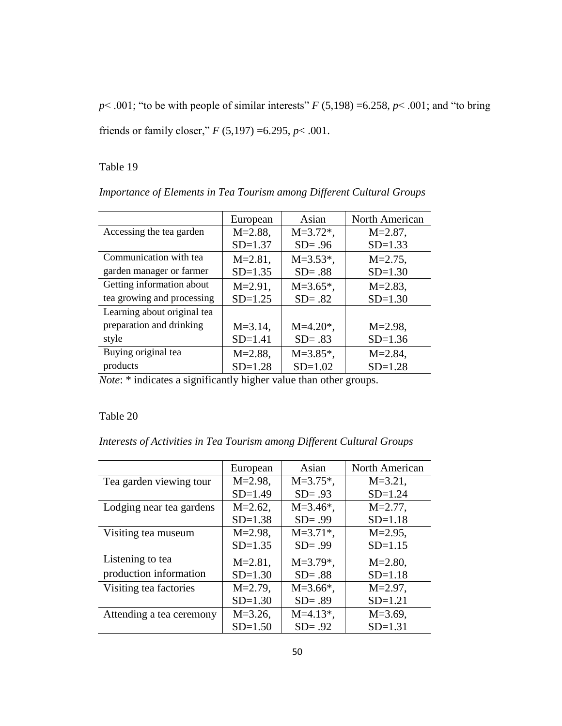$p$ < .001; "to be with people of similar interests" *F* (5,198) =6.258,  $p$  < .001; and "to bring friends or family closer," *F* (5,197) =6.295, *p*< .001.

Table 19

|                             | European     | Asian         | North American |
|-----------------------------|--------------|---------------|----------------|
| Accessing the tea garden    | $M = 2.88$ , | $M = 3.72$ *, | $M = 2.87$ ,   |
|                             | $SD = 1.37$  | $SD = .96$    | $SD=1.33$      |
| Communication with tea      | $M = 2.81$ , | $M = 3.53$ *, | $M = 2.75$ ,   |
| garden manager or farmer    | $SD=1.35$    | $SD = .88$    | $SD=1.30$      |
| Getting information about   | $M = 2.91$ , | $M=3.65*$ ,   | $M = 2.83$ ,   |
| tea growing and processing  | $SD=1.25$    | $SD = .82$    | $SD=1.30$      |
| Learning about original tea |              |               |                |
| preparation and drinking    | $M = 3.14$ , | $M=4.20*$ ,   | $M = 2.98$ ,   |
| style                       | $SD = 1.41$  | $SD = .83$    | $SD=1.36$      |
| Buying original tea         | $M = 2.88$ , | $M = 3.85$ *, | $M = 2.84$ ,   |
| products                    | $SD=1.28$    | $SD=1.02$     | $SD=1.28$      |

*Importance of Elements in Tea Tourism among Different Cultural Groups*

*Note*: \* indicates a significantly higher value than other groups.

# Table 20

*Interests of Activities in Tea Tourism among Different Cultural Groups*

|                          | European     | Asian                     | North American |
|--------------------------|--------------|---------------------------|----------------|
| Tea garden viewing tour  | $M = 2.98$ , | $M = 3.75$ *,             | $M = 3.21$ ,   |
|                          | $SD=1.49$    | $SD = .93$                | $SD=1.24$      |
| Lodging near tea gardens | $M = 2.62$ , | $M = 3.46^*$ ,            | $M = 2.77$ ,   |
|                          | $SD=1.38$    | $SD = .99$                | $SD = 1.18$    |
| Visiting tea museum      | $M = 2.98$ , | $M = 3.71$ <sup>*</sup> , | $M = 2.95$ ,   |
|                          | $SD=1.35$    | $SD = .99$                | $SD = 1.15$    |
| Listening to tea         | $M = 2.81$ , | $M = 3.79$ *,             | $M = 2.80$ ,   |
| production information   | $SD=1.30$    | $SD = .88$                | $SD=1.18$      |
| Visiting tea factories   | $M = 2.79$ , | $M = 3.66$ *,             | $M = 2.97$ ,   |
|                          | $SD=1.30$    | $SD = .89$                | $SD = 1.21$    |
| Attending a tea ceremony | $M = 3.26$ , | $M=4.13*$ ,               | $M = 3.69$ ,   |
|                          | $SD=1.50$    | $SD = .92$                | $SD = 1.31$    |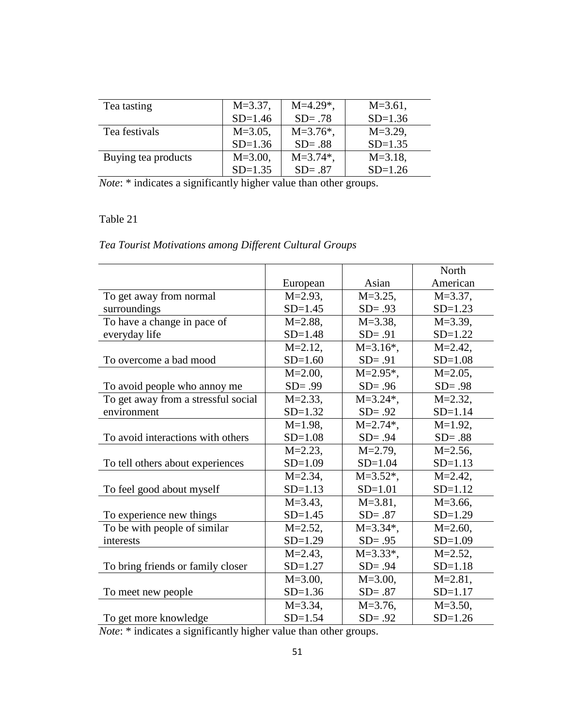| Tea tasting         | $M = 3.37$ , | $M=4.29$ *,   | $M = 3.61$ , |
|---------------------|--------------|---------------|--------------|
|                     | $SD=1.46$    | $SD = .78$    | $SD=1.36$    |
| Tea festivals       | $M = 3.05$ , | $M = 3.76$ *, | $M = 3.29$ , |
|                     | $SD=1.36$    | $SD = .88$    | $SD=1.35$    |
| Buying tea products | $M = 3.00$ , | $M = 3.74$ *, | $M = 3.18$ , |
|                     | $SD=1.35$    | $SD = .87$    | $SD=1.26$    |

*Note*: \* indicates a significantly higher value than other groups.

# Table 21

# *Tea Tourist Motivations among Different Cultural Groups*

|                                     |              |                           | North        |
|-------------------------------------|--------------|---------------------------|--------------|
|                                     | European     | Asian                     | American     |
| To get away from normal             | $M = 2.93$ , | $M = 3.25$ ,              | $M = 3.37$ , |
| surroundings                        | $SD = 1.45$  | $SD = .93$                | $SD=1.23$    |
| To have a change in pace of         | $M = 2.88$ , | $M = 3.38,$               | $M = 3.39$ , |
| everyday life                       | $SD=1.48$    | $SD = .91$                | $SD=1.22$    |
|                                     | $M = 2.12$ , | $M = 3.16*,$              | $M = 2.42$ , |
| To overcome a bad mood              | $SD=1.60$    | $SD = .91$                | $SD=1.08$    |
|                                     | $M = 2.00$ , | $M = 2.95$ *,             | $M = 2.05$ , |
| To avoid people who annoy me        | $SD = .99$   | $SD = .96$                | $SD = .98$   |
| To get away from a stressful social | $M = 2.33$ , | $M = 3.24$ <sup>*</sup> , | $M = 2.32$ , |
| environment                         | $SD=1.32$    | $SD = .92$                | $SD = 1.14$  |
|                                     | $M=1.98$ ,   | $M = 2.74$ *,             | $M=1.92$ ,   |
| To avoid interactions with others   | $SD=1.08$    | $SD = .94$                | $SD = .88$   |
|                                     | $M = 2.23$ , | $M = 2.79$ ,              | $M = 2.56$ , |
| To tell others about experiences    | $SD=1.09$    | $SD = 1.04$               | $SD = 1.13$  |
|                                     | $M = 2.34$ , | $M = 3.52$ *,             | $M = 2.42$ , |
| To feel good about myself           | $SD = 1.13$  | $SD=1.01$                 | $SD=1.12$    |
|                                     | $M = 3.43$ , | $M = 3.81$ ,              | $M = 3.66$ , |
| To experience new things            | $SD=1.45$    | $SD = .87$                | $SD=1.29$    |
| To be with people of similar        | $M = 2.52$ , | $M = 3.34*$ ,             | $M = 2.60$ , |
| interests                           | $SD=1.29$    | $SD = .95$                | $SD=1.09$    |
|                                     | $M = 2.43$ , | $M = 3.33$ *,             | $M = 2.52$ , |
| To bring friends or family closer   | $SD=1.27$    | $SD = .94$                | $SD = 1.18$  |
|                                     | $M = 3.00$ , | $M = 3.00$ ,              | $M = 2.81$ , |
| To meet new people                  | $SD=1.36$    | $SD = .87$                | $SD = 1.17$  |
|                                     | $M = 3.34$ , | $M = 3.76$ .              | $M = 3.50$ , |
| To get more knowledge               | $SD = 1.54$  | $SD = .92$                | $SD=1.26$    |

*Note*: \* indicates a significantly higher value than other groups.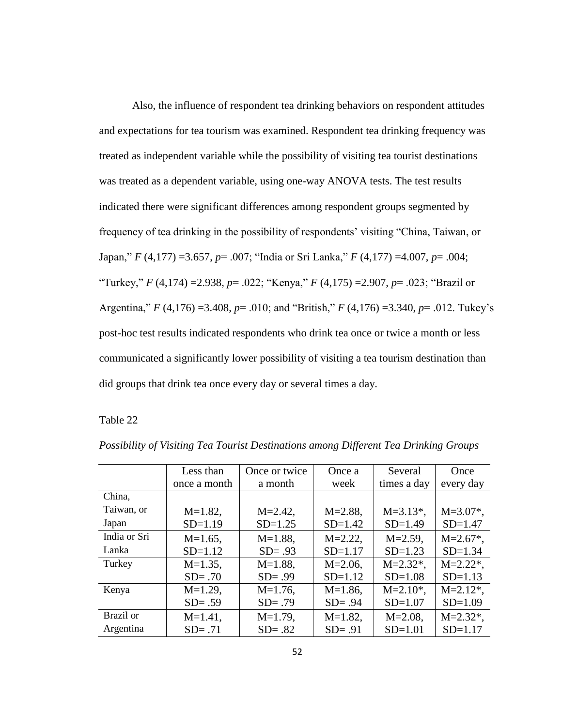Also, the influence of respondent tea drinking behaviors on respondent attitudes and expectations for tea tourism was examined. Respondent tea drinking frequency was treated as independent variable while the possibility of visiting tea tourist destinations was treated as a dependent variable, using one-way ANOVA tests. The test results indicated there were significant differences among respondent groups segmented by frequency of tea drinking in the possibility of respondents' visiting "China, Taiwan, or Japan," *F* (4,177) =3.657, *p*= .007; "India or Sri Lanka," *F* (4,177) =4.007, *p*= .004; "Turkey," *F* (4,174) =2.938, *p*= .022; "Kenya," *F* (4,175) =2.907, *p*= .023; "Brazil or Argentina," *F* (4,176) =3.408, *p*= .010; and "British," *F* (4,176) =3.340, *p*= .012. Tukey's post-hoc test results indicated respondents who drink tea once or twice a month or less communicated a significantly lower possibility of visiting a tea tourism destination than did groups that drink tea once every day or several times a day.

#### Table 22

|              | Less than    | Once or twice | Once a       | Several       | Once          |
|--------------|--------------|---------------|--------------|---------------|---------------|
|              | once a month | a month       | week         | times a day   | every day     |
| China,       |              |               |              |               |               |
| Taiwan, or   | $M=1.82$ ,   | $M = 2.42$ ,  | $M = 2.88$ , | $M = 3.13$ *, | $M = 3.07$ *, |
| Japan        | $SD=1.19$    | $SD=1.25$     | $SD=1.42$    | $SD=1.49$     | $SD = 1.47$   |
| India or Sri | $M=1.65$ ,   | $M=1.88$ ,    | $M = 2.22$ , | $M = 2.59$ ,  | $M = 2.67$ *, |
| Lanka        | $SD = 1.12$  | $SD = .93$    | $SD = 1.17$  | $SD=1.23$     | $SD=1.34$     |
| Turkey       | $M=1.35$ ,   | $M=1.88$ ,    | $M = 2.06$ , | $M = 2.32$ *, | $M = 2.22$ *, |
|              | $SD = .70$   | $SD = .99$    | $SD=1.12$    | $SD=1.08$     | $SD = 1.13$   |
| Kenya        | $M=1.29$ ,   | $M=1.76$ ,    | $M=1.86$ ,   | $M = 2.10$ *, | $M = 2.12$ *, |
|              | $SD = .59$   | $SD = .79$    | $SD = .94$   | $SD=1.07$     | $SD=1.09$     |
| Brazil or    | $M=1.41$ ,   | $M=1.79$ ,    | $M=1.82$ ,   | $M = 2.08$ ,  | $M = 2.32$ *, |
| Argentina    | $SD = .71$   | $SD = .82$    | $SD = .91$   | $SD = 1.01$   | $SD = 1.17$   |

*Possibility of Visiting Tea Tourist Destinations among Different Tea Drinking Groups*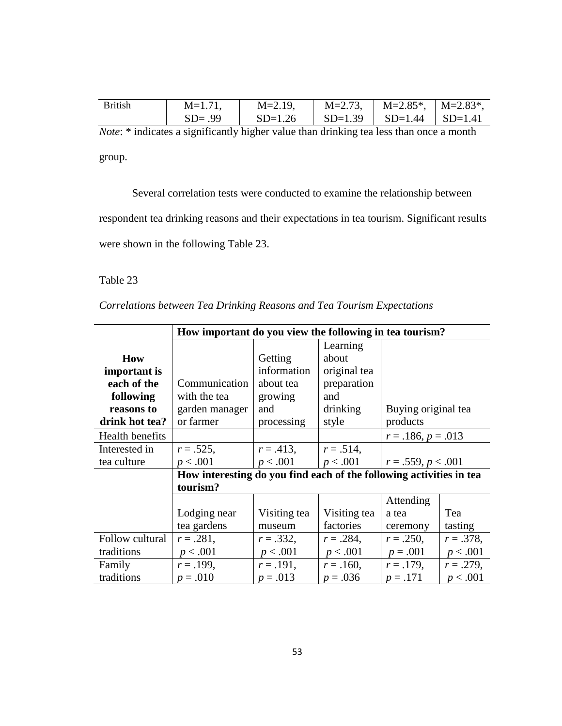| British | $M=1.71$ , | $M = 2.19$ ,                                  | $M = 2.73$ , | $M=2.85^*$ , $M=2.83^*$ , |  |
|---------|------------|-----------------------------------------------|--------------|---------------------------|--|
|         | $SD = .99$ | $SD=1.26$   $SD=1.39$   $SD=1.44$   $SD=1.41$ |              |                           |  |
|         |            |                                               |              |                           |  |

*Note*: \* indicates a significantly higher value than drinking tea less than once a month group.

Several correlation tests were conducted to examine the relationship between

respondent tea drinking reasons and their expectations in tea tourism. Significant results

were shown in the following Table 23.

Table 23

*Correlations between Tea Drinking Reasons and Tea Tourism Expectations*

|                 | How important do you view the following in tea tourism?             |              |              |                      |              |
|-----------------|---------------------------------------------------------------------|--------------|--------------|----------------------|--------------|
|                 |                                                                     |              | Learning     |                      |              |
| <b>How</b>      |                                                                     | Getting      | about        |                      |              |
| important is    |                                                                     | information  | original tea |                      |              |
| each of the     | Communication                                                       | about tea    | preparation  |                      |              |
| following       | with the tea                                                        | growing      | and          |                      |              |
| reasons to      | garden manager                                                      | and          | drinking     | Buying original tea  |              |
| drink hot tea?  | or farmer                                                           | processing   | style        | products             |              |
| Health benefits |                                                                     |              |              | $r = .186, p = .013$ |              |
| Interested in   | $r = .525$ ,                                                        | $r = .413,$  | $r = .514$ , |                      |              |
| tea culture     | p < .001                                                            | p < .001     | p < .001     | $r = .559, p < .001$ |              |
|                 | How interesting do you find each of the following activities in tea |              |              |                      |              |
|                 | tourism?                                                            |              |              |                      |              |
|                 |                                                                     |              |              | Attending            |              |
|                 | Lodging near                                                        | Visiting tea | Visiting tea | a tea                | Tea          |
|                 | tea gardens                                                         | museum       | factories    | ceremony             | tasting      |
| Follow cultural | $r = .281,$                                                         | $r = .332$ , | $r = .284$ , | $r = .250,$          | $r = .378$ , |
| traditions      | p < .001                                                            | p < .001     | p < .001     | $p = .001$           | p < .001     |
| Family          | $r = .199,$                                                         | $r = .191,$  | $r = .160,$  | $r = .179,$          | $r = .279$ , |
| traditions      | $p = .010$                                                          | $p = .013$   | $p = .036$   | $p = .171$           | p < .001     |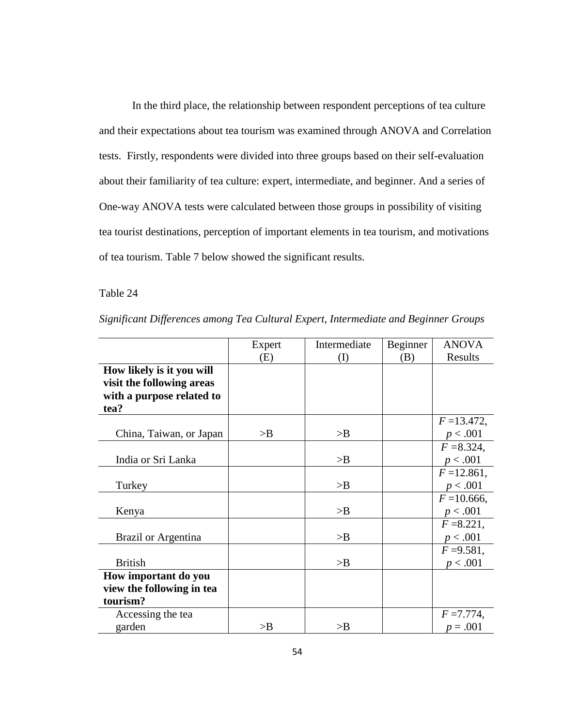In the third place, the relationship between respondent perceptions of tea culture and their expectations about tea tourism was examined through ANOVA and Correlation tests. Firstly, respondents were divided into three groups based on their self-evaluation about their familiarity of tea culture: expert, intermediate, and beginner. And a series of One-way ANOVA tests were calculated between those groups in possibility of visiting tea tourist destinations, perception of important elements in tea tourism, and motivations of tea tourism. Table 7 below showed the significant results.

# Table 24

|                           | Expert | Intermediate | Beginner | <b>ANOVA</b>   |
|---------------------------|--------|--------------|----------|----------------|
|                           | (E)    | (I)          | (B)      | Results        |
| How likely is it you will |        |              |          |                |
| visit the following areas |        |              |          |                |
| with a purpose related to |        |              |          |                |
| tea?                      |        |              |          |                |
|                           |        |              |          | $F = 13.472$ , |
| China, Taiwan, or Japan   | >B     | >B           |          | p < .001       |
|                           |        |              |          | $F = 8.324$ ,  |
| India or Sri Lanka        |        | >B           |          | p < .001       |
|                           |        |              |          | $F = 12.861$ , |
| Turkey                    |        | >B           |          | p < .001       |
|                           |        |              |          | $F = 10.666$ , |
| Kenya                     |        | >B           |          | p < .001       |
|                           |        |              |          | $F = 8.221$ ,  |
| Brazil or Argentina       |        | >B           |          | p < .001       |
|                           |        |              |          | $F = 9.581$ ,  |
| <b>British</b>            |        | >B           |          | p < .001       |
| How important do you      |        |              |          |                |
| view the following in tea |        |              |          |                |
| tourism?                  |        |              |          |                |
| Accessing the tea         |        |              |          | $F = 7.774$ ,  |
| garden                    | >B     | >B           |          | $p = .001$     |

*Significant Differences among Tea Cultural Expert, Intermediate and Beginner Groups*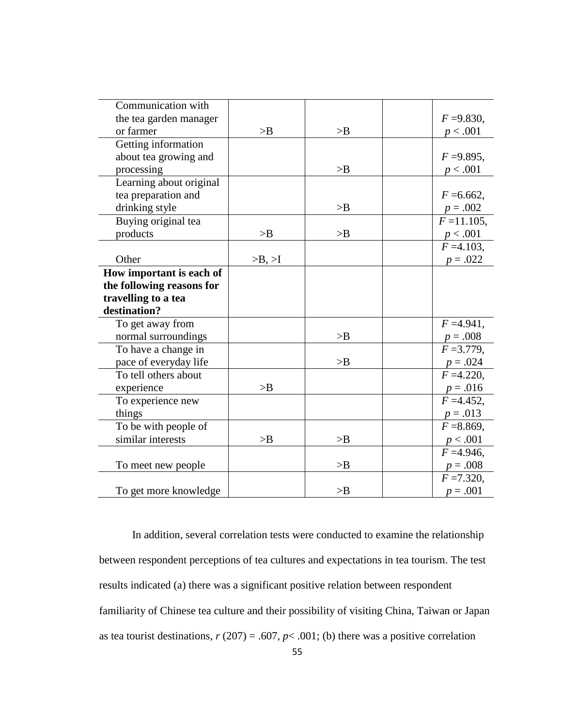| Communication with        |        |    |                |
|---------------------------|--------|----|----------------|
| the tea garden manager    |        |    | $F = 9.830$ ,  |
| or farmer                 | >B     | >B | p < .001       |
| Getting information       |        |    |                |
| about tea growing and     |        |    | $F = 9.895$ ,  |
| processing                |        | >B | p < .001       |
| Learning about original   |        |    |                |
| tea preparation and       |        |    | $F = 6.662$ ,  |
| drinking style            |        | >B | $p = .002$     |
| Buying original tea       |        |    | $F = 11.105$ , |
| products                  | >B     | >B | p < .001       |
|                           |        |    | $F = 4.103$ ,  |
| Other                     | >B, >I |    | $p = .022$     |
| How important is each of  |        |    |                |
| the following reasons for |        |    |                |
| travelling to a tea       |        |    |                |
| destination?              |        |    |                |
| To get away from          |        |    | $F = 4.941$ ,  |
| normal surroundings       |        | >B | $p = .008$     |
| To have a change in       |        |    | $F = 3.779$ ,  |
| pace of everyday life     |        | >B | $p = .024$     |
| To tell others about      |        |    | $F = 4.220$ ,  |
| experience                | >B     |    | $p = .016$     |
| To experience new         |        |    | $F = 4.452$ ,  |
| things                    |        |    | $p = .013$     |
| To be with people of      |        |    | $F = 8.869$ ,  |
| similar interests         | >B     | >B | p < .001       |
|                           |        |    | $F = 4.946$ ,  |
| To meet new people        |        | >B | $p = .008$     |
|                           |        |    | $F = 7.320$ ,  |
| To get more knowledge     |        | >B | $p = .001$     |

In addition, several correlation tests were conducted to examine the relationship between respondent perceptions of tea cultures and expectations in tea tourism. The test results indicated (a) there was a significant positive relation between respondent familiarity of Chinese tea culture and their possibility of visiting China, Taiwan or Japan as tea tourist destinations,  $r(207) = .607$ ,  $p < .001$ ; (b) there was a positive correlation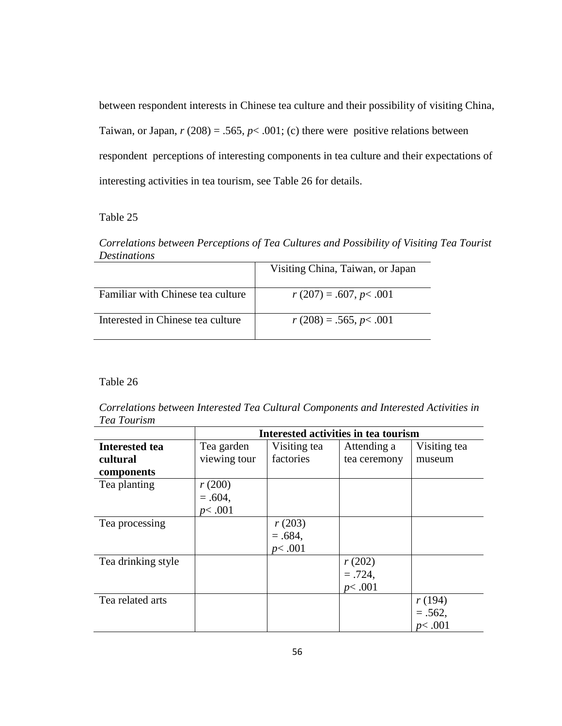between respondent interests in Chinese tea culture and their possibility of visiting China, Taiwan, or Japan,  $r(208) = .565$ ,  $p < .001$ ; (c) there were positive relations between respondent perceptions of interesting components in tea culture and their expectations of interesting activities in tea tourism, see Table 26 for details.

# Table 25

*Correlations between Perceptions of Tea Cultures and Possibility of Visiting Tea Tourist Destinations*

|                                   | Visiting China, Taiwan, or Japan |
|-----------------------------------|----------------------------------|
| Familiar with Chinese tea culture | $r(207) = .607, p < .001$        |
| Interested in Chinese tea culture | $r(208) = .565, p < .001$        |

## Table 26

*Correlations between Interested Tea Cultural Components and Interested Activities in Tea Tourism*

|                       | Interested activities in tea tourism |              |              |              |
|-----------------------|--------------------------------------|--------------|--------------|--------------|
| <b>Interested tea</b> | Tea garden                           | Visiting tea | Attending a  | Visiting tea |
| cultural              | viewing tour                         | factories    | tea ceremony | museum       |
| components            |                                      |              |              |              |
| Tea planting          | r(200)                               |              |              |              |
|                       | $=.604,$                             |              |              |              |
|                       | p<.001                               |              |              |              |
| Tea processing        |                                      | r(203)       |              |              |
|                       |                                      | $=.684,$     |              |              |
|                       |                                      | p<.001       |              |              |
| Tea drinking style    |                                      |              | r(202)       |              |
|                       |                                      |              | $=.724,$     |              |
|                       |                                      |              | p<.001       |              |
| Tea related arts      |                                      |              |              | r(194)       |
|                       |                                      |              |              | $=.562,$     |
|                       |                                      |              |              | p<.001       |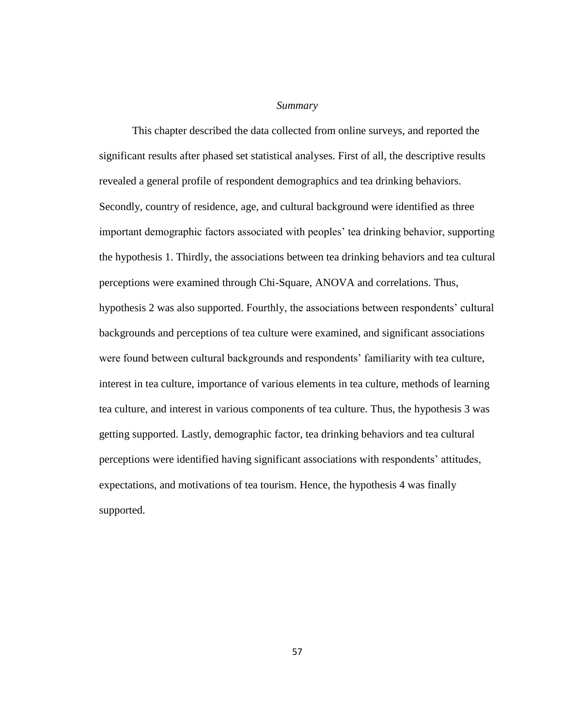#### *Summary*

This chapter described the data collected from online surveys, and reported the significant results after phased set statistical analyses. First of all, the descriptive results revealed a general profile of respondent demographics and tea drinking behaviors. Secondly, country of residence, age, and cultural background were identified as three important demographic factors associated with peoples' tea drinking behavior, supporting the hypothesis 1. Thirdly, the associations between tea drinking behaviors and tea cultural perceptions were examined through Chi-Square, ANOVA and correlations. Thus, hypothesis 2 was also supported. Fourthly, the associations between respondents' cultural backgrounds and perceptions of tea culture were examined, and significant associations were found between cultural backgrounds and respondents' familiarity with tea culture, interest in tea culture, importance of various elements in tea culture, methods of learning tea culture, and interest in various components of tea culture. Thus, the hypothesis 3 was getting supported. Lastly, demographic factor, tea drinking behaviors and tea cultural perceptions were identified having significant associations with respondents' attitudes, expectations, and motivations of tea tourism. Hence, the hypothesis 4 was finally supported.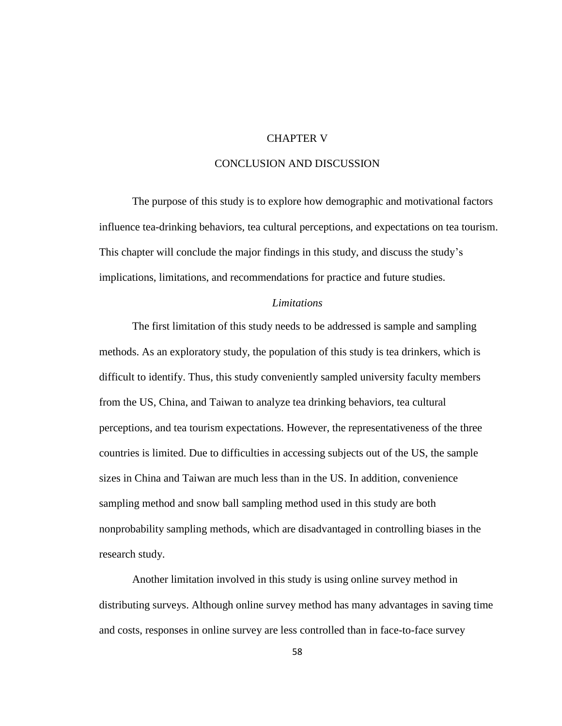## CHAPTER V

## CONCLUSION AND DISCUSSION

The purpose of this study is to explore how demographic and motivational factors influence tea-drinking behaviors, tea cultural perceptions, and expectations on tea tourism. This chapter will conclude the major findings in this study, and discuss the study's implications, limitations, and recommendations for practice and future studies.

#### *Limitations*

The first limitation of this study needs to be addressed is sample and sampling methods. As an exploratory study, the population of this study is tea drinkers, which is difficult to identify. Thus, this study conveniently sampled university faculty members from the US, China, and Taiwan to analyze tea drinking behaviors, tea cultural perceptions, and tea tourism expectations. However, the representativeness of the three countries is limited. Due to difficulties in accessing subjects out of the US, the sample sizes in China and Taiwan are much less than in the US. In addition, convenience sampling method and snow ball sampling method used in this study are both nonprobability sampling methods, which are disadvantaged in controlling biases in the research study.

Another limitation involved in this study is using online survey method in distributing surveys. Although online survey method has many advantages in saving time and costs, responses in online survey are less controlled than in face-to-face survey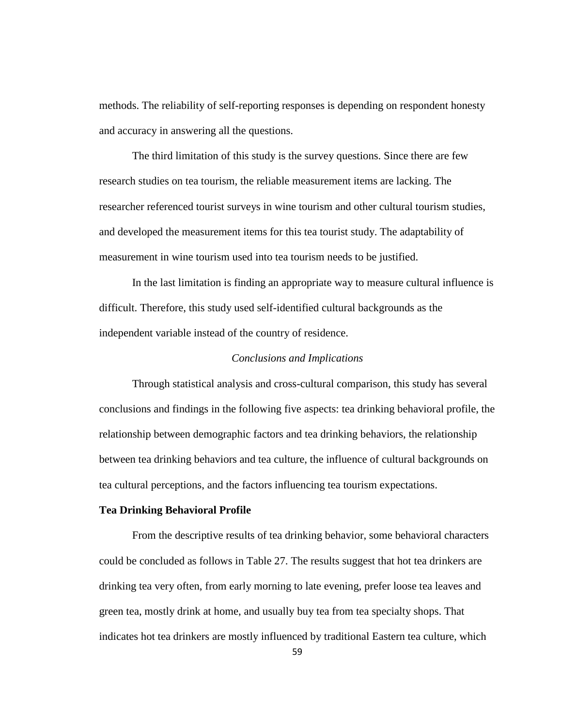methods. The reliability of self-reporting responses is depending on respondent honesty and accuracy in answering all the questions.

The third limitation of this study is the survey questions. Since there are few research studies on tea tourism, the reliable measurement items are lacking. The researcher referenced tourist surveys in wine tourism and other cultural tourism studies, and developed the measurement items for this tea tourist study. The adaptability of measurement in wine tourism used into tea tourism needs to be justified.

In the last limitation is finding an appropriate way to measure cultural influence is difficult. Therefore, this study used self-identified cultural backgrounds as the independent variable instead of the country of residence.

## *Conclusions and Implications*

Through statistical analysis and cross-cultural comparison, this study has several conclusions and findings in the following five aspects: tea drinking behavioral profile, the relationship between demographic factors and tea drinking behaviors, the relationship between tea drinking behaviors and tea culture, the influence of cultural backgrounds on tea cultural perceptions, and the factors influencing tea tourism expectations.

#### **Tea Drinking Behavioral Profile**

From the descriptive results of tea drinking behavior, some behavioral characters could be concluded as follows in Table 27. The results suggest that hot tea drinkers are drinking tea very often, from early morning to late evening, prefer loose tea leaves and green tea, mostly drink at home, and usually buy tea from tea specialty shops. That indicates hot tea drinkers are mostly influenced by traditional Eastern tea culture, which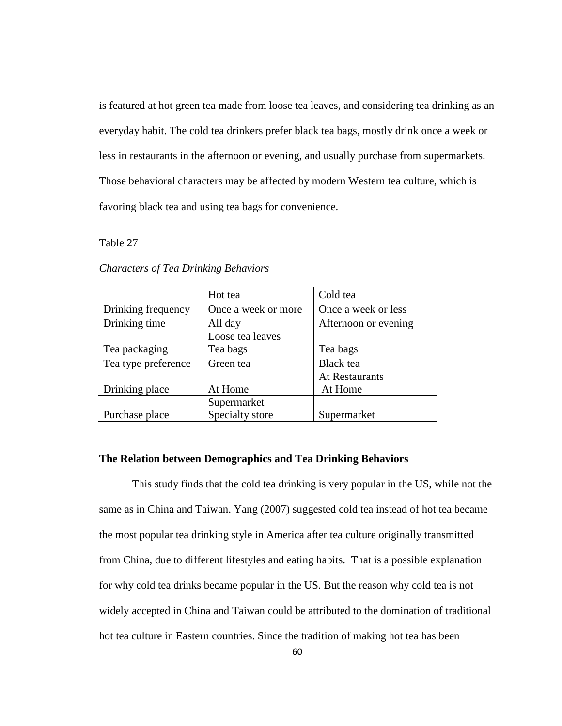is featured at hot green tea made from loose tea leaves, and considering tea drinking as an everyday habit. The cold tea drinkers prefer black tea bags, mostly drink once a week or less in restaurants in the afternoon or evening, and usually purchase from supermarkets. Those behavioral characters may be affected by modern Western tea culture, which is favoring black tea and using tea bags for convenience.

Table 27

|                     | Hot tea             | Cold tea              |
|---------------------|---------------------|-----------------------|
| Drinking frequency  | Once a week or more | Once a week or less   |
| Drinking time       | All day             | Afternoon or evening  |
|                     | Loose tea leaves    |                       |
| Tea packaging       | Tea bags            | Tea bags              |
| Tea type preference | Green tea           | <b>Black</b> tea      |
|                     |                     | <b>At Restaurants</b> |
| Drinking place      | At Home             | At Home               |
|                     | Supermarket         |                       |
| Purchase place      | Specialty store     | Supermarket           |

*Characters of Tea Drinking Behaviors*

## **The Relation between Demographics and Tea Drinking Behaviors**

This study finds that the cold tea drinking is very popular in the US, while not the same as in China and Taiwan. Yang (2007) suggested cold tea instead of hot tea became the most popular tea drinking style in America after tea culture originally transmitted from China, due to different lifestyles and eating habits. That is a possible explanation for why cold tea drinks became popular in the US. But the reason why cold tea is not widely accepted in China and Taiwan could be attributed to the domination of traditional hot tea culture in Eastern countries. Since the tradition of making hot tea has been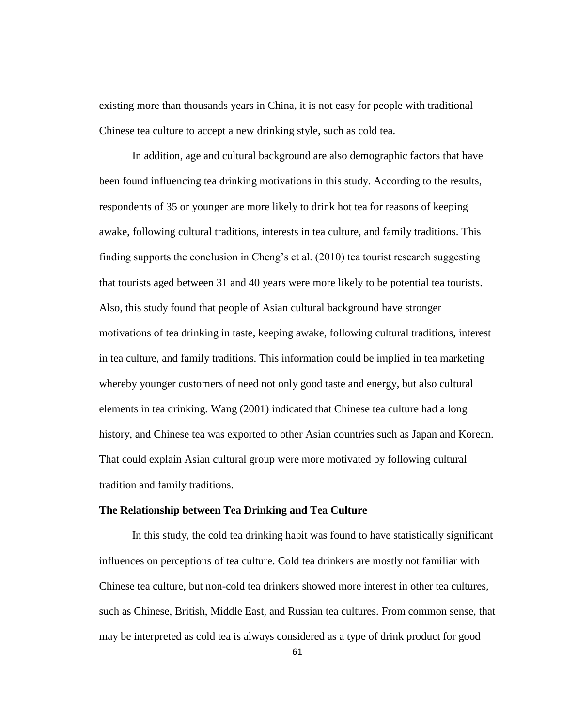existing more than thousands years in China, it is not easy for people with traditional Chinese tea culture to accept a new drinking style, such as cold tea.

In addition, age and cultural background are also demographic factors that have been found influencing tea drinking motivations in this study. According to the results, respondents of 35 or younger are more likely to drink hot tea for reasons of keeping awake, following cultural traditions, interests in tea culture, and family traditions. This finding supports the conclusion in Cheng's et al. (2010) tea tourist research suggesting that tourists aged between 31 and 40 years were more likely to be potential tea tourists. Also, this study found that people of Asian cultural background have stronger motivations of tea drinking in taste, keeping awake, following cultural traditions, interest in tea culture, and family traditions. This information could be implied in tea marketing whereby younger customers of need not only good taste and energy, but also cultural elements in tea drinking. Wang (2001) indicated that Chinese tea culture had a long history, and Chinese tea was exported to other Asian countries such as Japan and Korean. That could explain Asian cultural group were more motivated by following cultural tradition and family traditions.

#### **The Relationship between Tea Drinking and Tea Culture**

In this study, the cold tea drinking habit was found to have statistically significant influences on perceptions of tea culture. Cold tea drinkers are mostly not familiar with Chinese tea culture, but non-cold tea drinkers showed more interest in other tea cultures, such as Chinese, British, Middle East, and Russian tea cultures. From common sense, that may be interpreted as cold tea is always considered as a type of drink product for good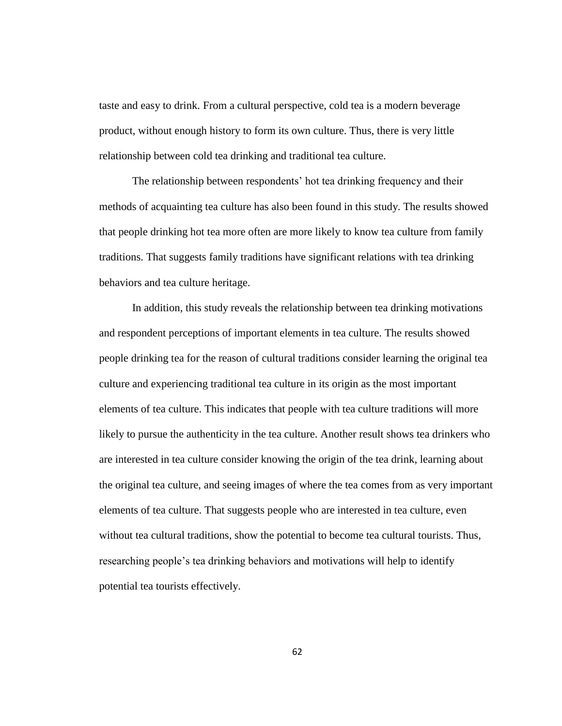taste and easy to drink. From a cultural perspective, cold tea is a modern beverage product, without enough history to form its own culture. Thus, there is very little relationship between cold tea drinking and traditional tea culture.

The relationship between respondents' hot tea drinking frequency and their methods of acquainting tea culture has also been found in this study. The results showed that people drinking hot tea more often are more likely to know tea culture from family traditions. That suggests family traditions have significant relations with tea drinking behaviors and tea culture heritage.

In addition, this study reveals the relationship between tea drinking motivations and respondent perceptions of important elements in tea culture. The results showed people drinking tea for the reason of cultural traditions consider learning the original tea culture and experiencing traditional tea culture in its origin as the most important elements of tea culture. This indicates that people with tea culture traditions will more likely to pursue the authenticity in the tea culture. Another result shows tea drinkers who are interested in tea culture consider knowing the origin of the tea drink, learning about the original tea culture, and seeing images of where the tea comes from as very important elements of tea culture. That suggests people who are interested in tea culture, even without tea cultural traditions, show the potential to become tea cultural tourists. Thus, researching people's tea drinking behaviors and motivations will help to identify potential tea tourists effectively.

62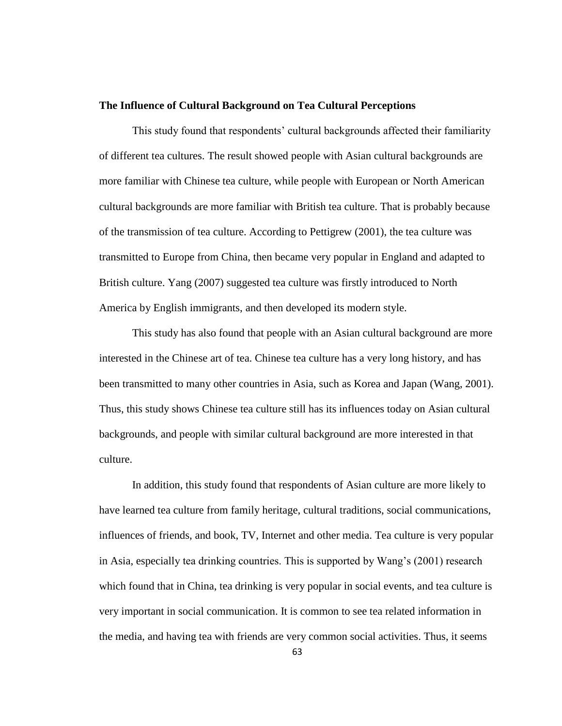### **The Influence of Cultural Background on Tea Cultural Perceptions**

This study found that respondents' cultural backgrounds affected their familiarity of different tea cultures. The result showed people with Asian cultural backgrounds are more familiar with Chinese tea culture, while people with European or North American cultural backgrounds are more familiar with British tea culture. That is probably because of the transmission of tea culture. According to Pettigrew (2001), the tea culture was transmitted to Europe from China, then became very popular in England and adapted to British culture. Yang (2007) suggested tea culture was firstly introduced to North America by English immigrants, and then developed its modern style.

This study has also found that people with an Asian cultural background are more interested in the Chinese art of tea. Chinese tea culture has a very long history, and has been transmitted to many other countries in Asia, such as Korea and Japan (Wang, 2001). Thus, this study shows Chinese tea culture still has its influences today on Asian cultural backgrounds, and people with similar cultural background are more interested in that culture.

In addition, this study found that respondents of Asian culture are more likely to have learned tea culture from family heritage, cultural traditions, social communications, influences of friends, and book, TV, Internet and other media. Tea culture is very popular in Asia, especially tea drinking countries. This is supported by Wang's (2001) research which found that in China, tea drinking is very popular in social events, and tea culture is very important in social communication. It is common to see tea related information in the media, and having tea with friends are very common social activities. Thus, it seems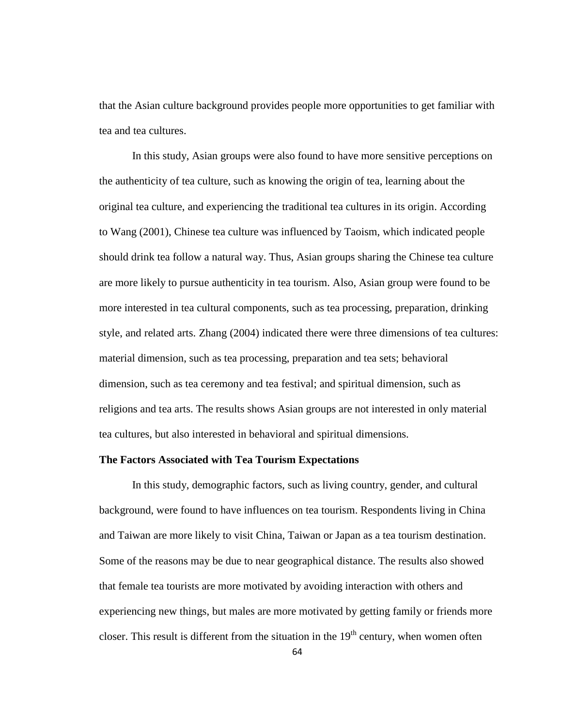that the Asian culture background provides people more opportunities to get familiar with tea and tea cultures.

In this study, Asian groups were also found to have more sensitive perceptions on the authenticity of tea culture, such as knowing the origin of tea, learning about the original tea culture, and experiencing the traditional tea cultures in its origin. According to Wang (2001), Chinese tea culture was influenced by Taoism, which indicated people should drink tea follow a natural way. Thus, Asian groups sharing the Chinese tea culture are more likely to pursue authenticity in tea tourism. Also, Asian group were found to be more interested in tea cultural components, such as tea processing, preparation, drinking style, and related arts. Zhang (2004) indicated there were three dimensions of tea cultures: material dimension, such as tea processing, preparation and tea sets; behavioral dimension, such as tea ceremony and tea festival; and spiritual dimension, such as religions and tea arts. The results shows Asian groups are not interested in only material tea cultures, but also interested in behavioral and spiritual dimensions.

# **The Factors Associated with Tea Tourism Expectations**

In this study, demographic factors, such as living country, gender, and cultural background, were found to have influences on tea tourism. Respondents living in China and Taiwan are more likely to visit China, Taiwan or Japan as a tea tourism destination. Some of the reasons may be due to near geographical distance. The results also showed that female tea tourists are more motivated by avoiding interaction with others and experiencing new things, but males are more motivated by getting family or friends more closer. This result is different from the situation in the  $19<sup>th</sup>$  century, when women often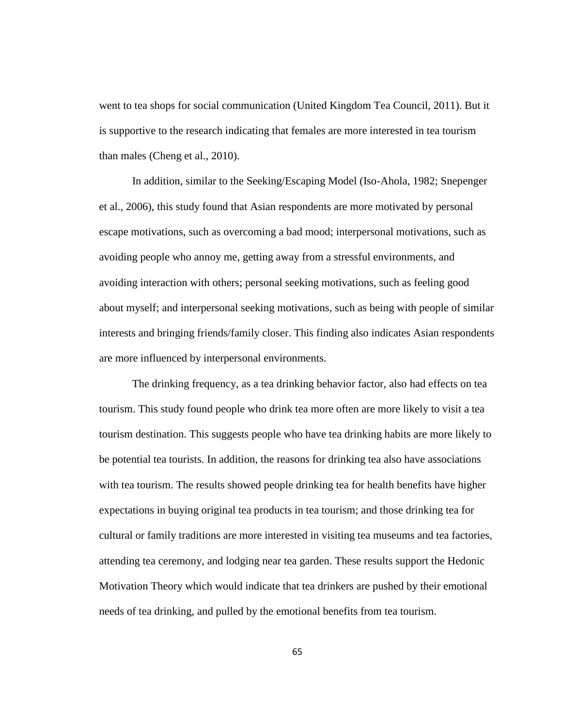went to tea shops for social communication (United Kingdom Tea Council, 2011). But it is supportive to the research indicating that females are more interested in tea tourism than males (Cheng et al., 2010).

In addition, similar to the Seeking/Escaping Model (Iso-Ahola, 1982; Snepenger et al., 2006), this study found that Asian respondents are more motivated by personal escape motivations, such as overcoming a bad mood; interpersonal motivations, such as avoiding people who annoy me, getting away from a stressful environments, and avoiding interaction with others; personal seeking motivations, such as feeling good about myself; and interpersonal seeking motivations, such as being with people of similar interests and bringing friends/family closer. This finding also indicates Asian respondents are more influenced by interpersonal environments.

The drinking frequency, as a tea drinking behavior factor, also had effects on tea tourism. This study found people who drink tea more often are more likely to visit a tea tourism destination. This suggests people who have tea drinking habits are more likely to be potential tea tourists. In addition, the reasons for drinking tea also have associations with tea tourism. The results showed people drinking tea for health benefits have higher expectations in buying original tea products in tea tourism; and those drinking tea for cultural or family traditions are more interested in visiting tea museums and tea factories, attending tea ceremony, and lodging near tea garden. These results support the Hedonic Motivation Theory which would indicate that tea drinkers are pushed by their emotional needs of tea drinking, and pulled by the emotional benefits from tea tourism.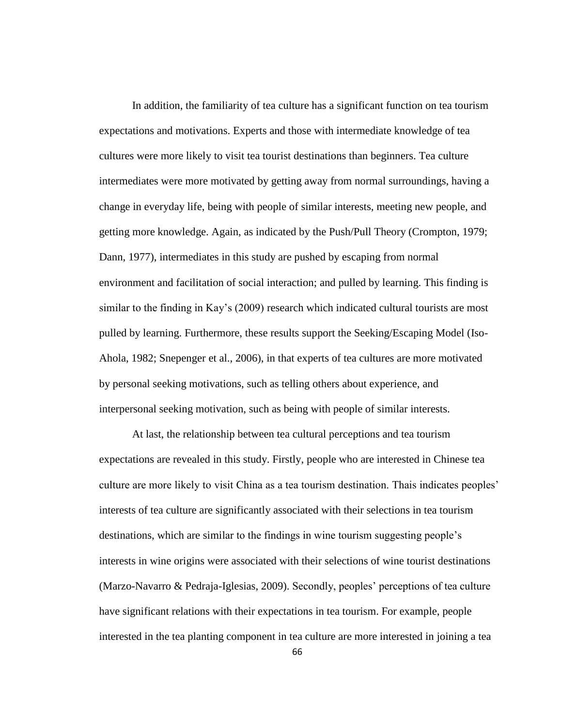In addition, the familiarity of tea culture has a significant function on tea tourism expectations and motivations. Experts and those with intermediate knowledge of tea cultures were more likely to visit tea tourist destinations than beginners. Tea culture intermediates were more motivated by getting away from normal surroundings, having a change in everyday life, being with people of similar interests, meeting new people, and getting more knowledge. Again, as indicated by the Push/Pull Theory (Crompton, 1979; Dann, 1977), intermediates in this study are pushed by escaping from normal environment and facilitation of social interaction; and pulled by learning. This finding is similar to the finding in Kay's (2009) research which indicated cultural tourists are most pulled by learning. Furthermore, these results support the Seeking/Escaping Model (Iso-Ahola, 1982; Snepenger et al., 2006), in that experts of tea cultures are more motivated by personal seeking motivations, such as telling others about experience, and interpersonal seeking motivation, such as being with people of similar interests.

At last, the relationship between tea cultural perceptions and tea tourism expectations are revealed in this study. Firstly, people who are interested in Chinese tea culture are more likely to visit China as a tea tourism destination. Thais indicates peoples' interests of tea culture are significantly associated with their selections in tea tourism destinations, which are similar to the findings in wine tourism suggesting people's interests in wine origins were associated with their selections of wine tourist destinations (Marzo-Navarro & Pedraja-Iglesias, 2009). Secondly, peoples' perceptions of tea culture have significant relations with their expectations in tea tourism. For example, people interested in the tea planting component in tea culture are more interested in joining a tea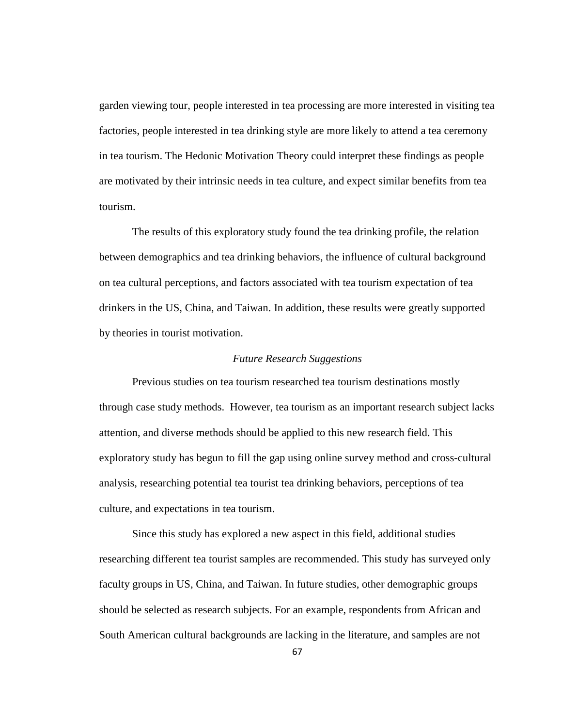garden viewing tour, people interested in tea processing are more interested in visiting tea factories, people interested in tea drinking style are more likely to attend a tea ceremony in tea tourism. The Hedonic Motivation Theory could interpret these findings as people are motivated by their intrinsic needs in tea culture, and expect similar benefits from tea tourism.

The results of this exploratory study found the tea drinking profile, the relation between demographics and tea drinking behaviors, the influence of cultural background on tea cultural perceptions, and factors associated with tea tourism expectation of tea drinkers in the US, China, and Taiwan. In addition, these results were greatly supported by theories in tourist motivation.

# *Future Research Suggestions*

Previous studies on tea tourism researched tea tourism destinations mostly through case study methods. However, tea tourism as an important research subject lacks attention, and diverse methods should be applied to this new research field. This exploratory study has begun to fill the gap using online survey method and cross-cultural analysis, researching potential tea tourist tea drinking behaviors, perceptions of tea culture, and expectations in tea tourism.

Since this study has explored a new aspect in this field, additional studies researching different tea tourist samples are recommended. This study has surveyed only faculty groups in US, China, and Taiwan. In future studies, other demographic groups should be selected as research subjects. For an example, respondents from African and South American cultural backgrounds are lacking in the literature, and samples are not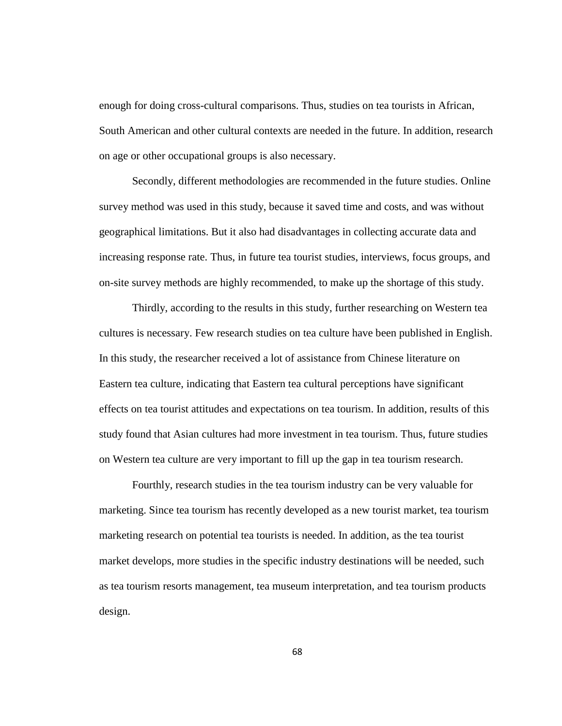enough for doing cross-cultural comparisons. Thus, studies on tea tourists in African, South American and other cultural contexts are needed in the future. In addition, research on age or other occupational groups is also necessary.

Secondly, different methodologies are recommended in the future studies. Online survey method was used in this study, because it saved time and costs, and was without geographical limitations. But it also had disadvantages in collecting accurate data and increasing response rate. Thus, in future tea tourist studies, interviews, focus groups, and on-site survey methods are highly recommended, to make up the shortage of this study.

Thirdly, according to the results in this study, further researching on Western tea cultures is necessary. Few research studies on tea culture have been published in English. In this study, the researcher received a lot of assistance from Chinese literature on Eastern tea culture, indicating that Eastern tea cultural perceptions have significant effects on tea tourist attitudes and expectations on tea tourism. In addition, results of this study found that Asian cultures had more investment in tea tourism. Thus, future studies on Western tea culture are very important to fill up the gap in tea tourism research.

Fourthly, research studies in the tea tourism industry can be very valuable for marketing. Since tea tourism has recently developed as a new tourist market, tea tourism marketing research on potential tea tourists is needed. In addition, as the tea tourist market develops, more studies in the specific industry destinations will be needed, such as tea tourism resorts management, tea museum interpretation, and tea tourism products design.

68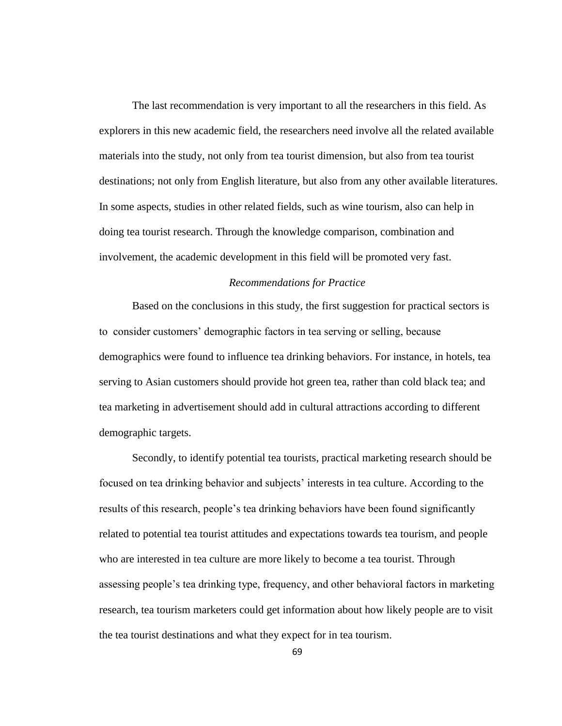The last recommendation is very important to all the researchers in this field. As explorers in this new academic field, the researchers need involve all the related available materials into the study, not only from tea tourist dimension, but also from tea tourist destinations; not only from English literature, but also from any other available literatures. In some aspects, studies in other related fields, such as wine tourism, also can help in doing tea tourist research. Through the knowledge comparison, combination and involvement, the academic development in this field will be promoted very fast.

# *Recommendations for Practice*

Based on the conclusions in this study, the first suggestion for practical sectors is to consider customers' demographic factors in tea serving or selling, because demographics were found to influence tea drinking behaviors. For instance, in hotels, tea serving to Asian customers should provide hot green tea, rather than cold black tea; and tea marketing in advertisement should add in cultural attractions according to different demographic targets.

Secondly, to identify potential tea tourists, practical marketing research should be focused on tea drinking behavior and subjects' interests in tea culture. According to the results of this research, people's tea drinking behaviors have been found significantly related to potential tea tourist attitudes and expectations towards tea tourism, and people who are interested in tea culture are more likely to become a tea tourist. Through assessing people's tea drinking type, frequency, and other behavioral factors in marketing research, tea tourism marketers could get information about how likely people are to visit the tea tourist destinations and what they expect for in tea tourism.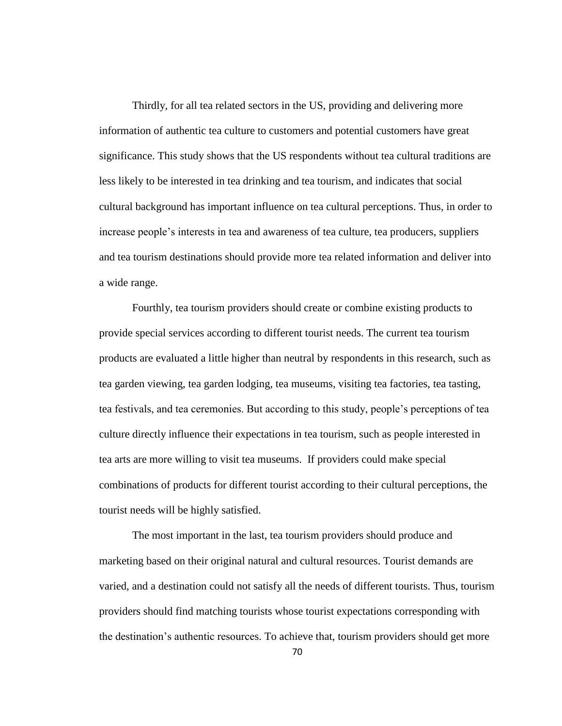Thirdly, for all tea related sectors in the US, providing and delivering more information of authentic tea culture to customers and potential customers have great significance. This study shows that the US respondents without tea cultural traditions are less likely to be interested in tea drinking and tea tourism, and indicates that social cultural background has important influence on tea cultural perceptions. Thus, in order to increase people's interests in tea and awareness of tea culture, tea producers, suppliers and tea tourism destinations should provide more tea related information and deliver into a wide range.

Fourthly, tea tourism providers should create or combine existing products to provide special services according to different tourist needs. The current tea tourism products are evaluated a little higher than neutral by respondents in this research, such as tea garden viewing, tea garden lodging, tea museums, visiting tea factories, tea tasting, tea festivals, and tea ceremonies. But according to this study, people's perceptions of tea culture directly influence their expectations in tea tourism, such as people interested in tea arts are more willing to visit tea museums. If providers could make special combinations of products for different tourist according to their cultural perceptions, the tourist needs will be highly satisfied.

The most important in the last, tea tourism providers should produce and marketing based on their original natural and cultural resources. Tourist demands are varied, and a destination could not satisfy all the needs of different tourists. Thus, tourism providers should find matching tourists whose tourist expectations corresponding with the destination's authentic resources. To achieve that, tourism providers should get more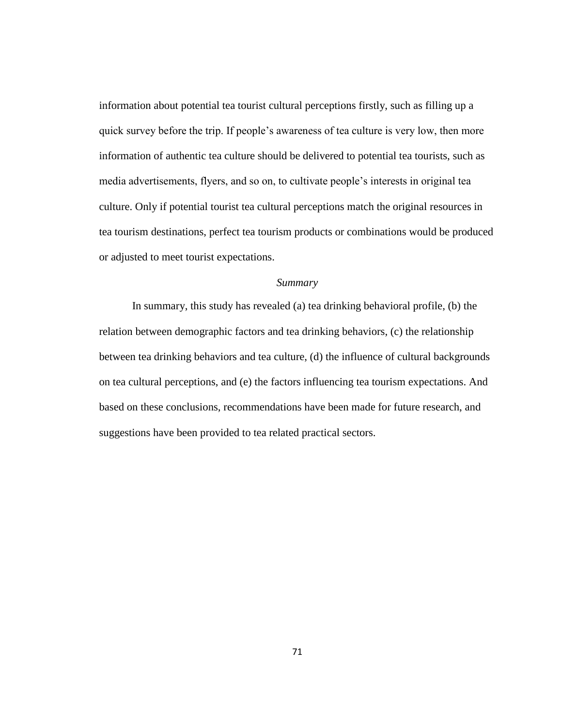information about potential tea tourist cultural perceptions firstly, such as filling up a quick survey before the trip. If people's awareness of tea culture is very low, then more information of authentic tea culture should be delivered to potential tea tourists, such as media advertisements, flyers, and so on, to cultivate people's interests in original tea culture. Only if potential tourist tea cultural perceptions match the original resources in tea tourism destinations, perfect tea tourism products or combinations would be produced or adjusted to meet tourist expectations.

# *Summary*

In summary, this study has revealed (a) tea drinking behavioral profile, (b) the relation between demographic factors and tea drinking behaviors, (c) the relationship between tea drinking behaviors and tea culture, (d) the influence of cultural backgrounds on tea cultural perceptions, and (e) the factors influencing tea tourism expectations. And based on these conclusions, recommendations have been made for future research, and suggestions have been provided to tea related practical sectors.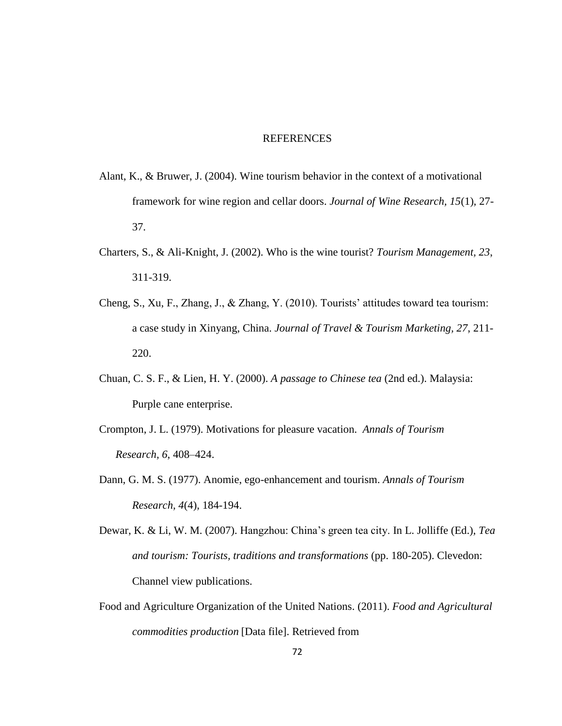#### REFERENCES

- Alant, K., & Bruwer, J. (2004). Wine tourism behavior in the context of a motivational framework for wine region and cellar doors. *Journal of Wine Research, 15*(1), 27- 37.
- Charters, S., & Ali-Knight, J. (2002). Who is the wine tourist? *Tourism Management, 23*, 311-319.
- Cheng, S., Xu, F., Zhang, J., & Zhang, Y. (2010). Tourists' attitudes toward tea tourism: a case study in Xinyang, China. *Journal of Travel & Tourism Marketing, 27*, 211- 220.
- Chuan, C. S. F., & Lien, H. Y. (2000). *A passage to Chinese tea* (2nd ed.). Malaysia: Purple cane enterprise.
- Crompton, J. L. (1979). Motivations for pleasure vacation. *Annals of Tourism Research, 6*, 408–424.
- Dann, G. M. S. (1977). Anomie, ego-enhancement and tourism. *Annals of Tourism Research, 4*(4), 184-194.
- Dewar, K. & Li, W. M. (2007). Hangzhou: China's green tea city. In L. Jolliffe (Ed.), *Tea and tourism: Tourists, traditions and transformations* (pp. 180-205). Clevedon: Channel view publications.
- Food and Agriculture Organization of the United Nations. (2011). *Food and Agricultural commodities production* [Data file]. Retrieved from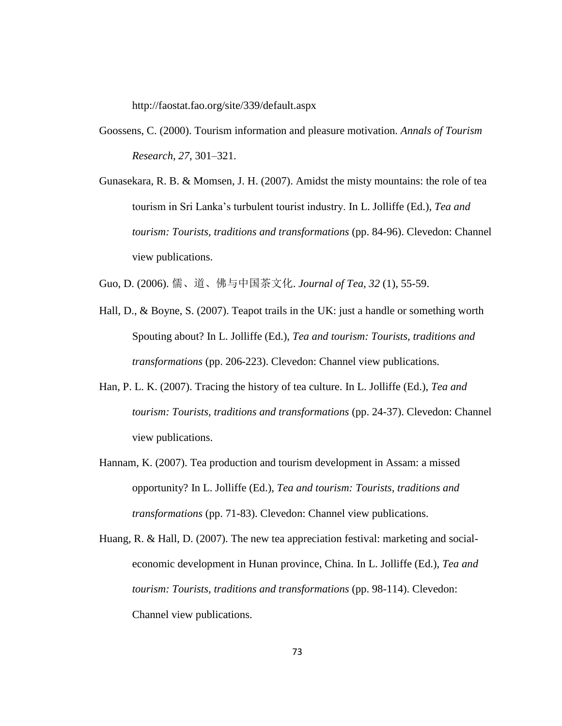http://faostat.fao.org/site/339/default.aspx

- Goossens, C. (2000). Tourism information and pleasure motivation. *Annals of Tourism Research, 27*, 301–321.
- Gunasekara, R. B. & Momsen, J. H. (2007). Amidst the misty mountains: the role of tea tourism in Sri Lanka's turbulent tourist industry. In L. Jolliffe (Ed.), *Tea and tourism: Tourists, traditions and transformations* (pp. 84-96). Clevedon: Channel view publications.

Guo, D. (2006). 儒、道、佛与中国茶文化. *Journal of Tea, 32* (1), 55-59.

- Hall, D., & Boyne, S. (2007). Teapot trails in the UK: just a handle or something worth Spouting about? In L. Jolliffe (Ed.), *Tea and tourism: Tourists, traditions and transformations* (pp. 206-223). Clevedon: Channel view publications.
- Han, P. L. K. (2007). Tracing the history of tea culture. In L. Jolliffe (Ed.), *Tea and tourism: Tourists, traditions and transformations* (pp. 24-37). Clevedon: Channel view publications.
- Hannam, K. (2007). Tea production and tourism development in Assam: a missed opportunity? In L. Jolliffe (Ed.), *Tea and tourism: Tourists, traditions and transformations* (pp. 71-83). Clevedon: Channel view publications.
- Huang, R. & Hall, D. (2007). The new tea appreciation festival: marketing and socialeconomic development in Hunan province, China. In L. Jolliffe (Ed.), *Tea and tourism: Tourists, traditions and transformations* (pp. 98-114). Clevedon: Channel view publications.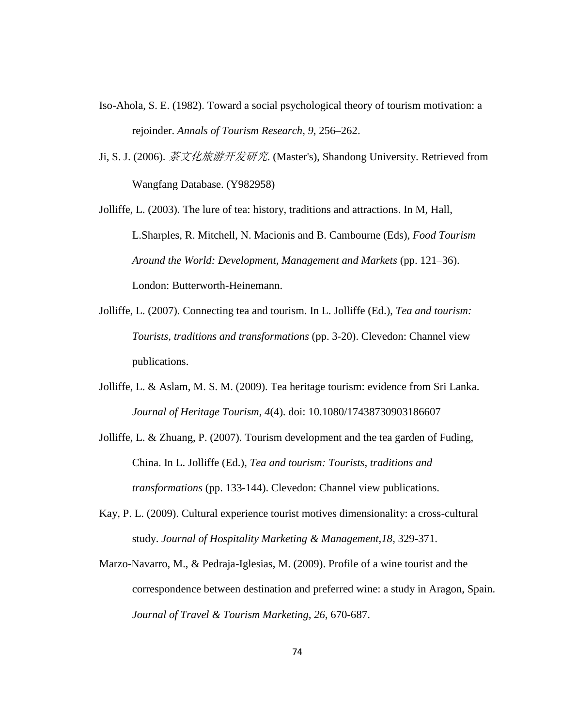- Iso-Ahola, S. E. (1982). Toward a social psychological theory of tourism motivation: a rejoinder. *Annals of Tourism Research, 9*, 256–262.
- Ji, S. J. (2006). 茶文化旅游开发研究. (Master's), Shandong University. Retrieved from Wangfang Database. (Y982958)

Jolliffe, L. (2003). The lure of tea: history, traditions and attractions. In M, Hall, L.Sharples, R. Mitchell, N. Macionis and B. Cambourne (Eds), *Food Tourism Around the World: Development, Management and Markets* (pp. 121–36). London: Butterworth-Heinemann.

- Jolliffe, L. (2007). Connecting tea and tourism. In L. Jolliffe (Ed.), *Tea and tourism: Tourists, traditions and transformations* (pp. 3-20). Clevedon: Channel view publications.
- Jolliffe, L. & Aslam, M. S. M. (2009). Tea heritage tourism: evidence from Sri Lanka. *Journal of Heritage Tourism, 4*(4). doi: 10.1080/17438730903186607
- Jolliffe, L. & Zhuang, P. (2007). Tourism development and the tea garden of Fuding, China. In L. Jolliffe (Ed.), *Tea and tourism: Tourists, traditions and transformations* (pp. 133-144). Clevedon: Channel view publications.
- Kay, P. L. (2009). Cultural experience tourist motives dimensionality: a cross-cultural study. *Journal of Hospitality Marketing & Management,18*, 329-371.
- Marzo-Navarro, M., & Pedraja-Iglesias, M. (2009). Profile of a wine tourist and the correspondence between destination and preferred wine: a study in Aragon, Spain. *Journal of Travel & Tourism Marketing, 26*, 670-687.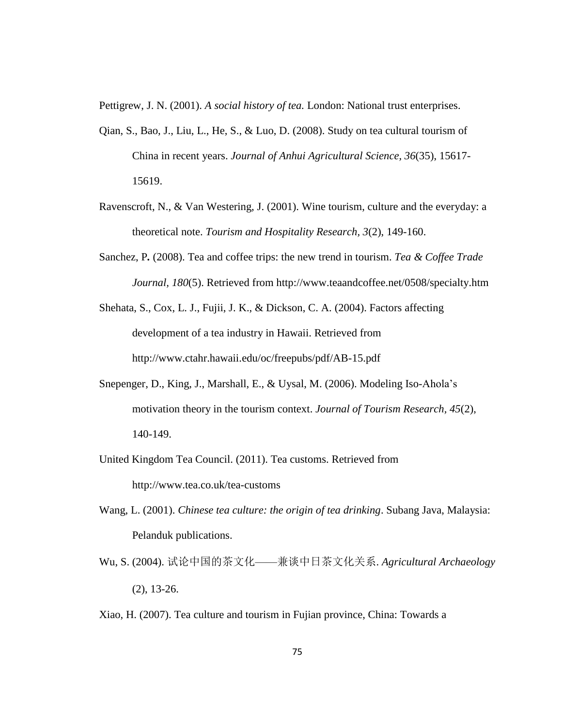Pettigrew, J. N. (2001). *A social history of tea.* London: National trust enterprises.

- Qian, S., Bao, J., Liu, L., He, S., & Luo, D. (2008). Study on tea cultural tourism of China in recent years. *Journal of Anhui Agricultural Science, 36*(35), 15617- 15619.
- Ravenscroft, N., & Van Westering, J. (2001). Wine tourism, culture and the everyday: a theoretical note. *Tourism and Hospitality Research, 3*(2), 149-160.
- Sanchez, P*.* (2008). Tea and coffee trips: the new trend in tourism. *Tea & Coffee Trade Journal, 180*(5). Retrieved from http://www.teaandcoffee.net/0508/specialty.htm
- Shehata, S., Cox, L. J., Fujii, J. K., & Dickson, C. A. (2004). Factors affecting development of a tea industry in Hawaii. Retrieved from http://www.ctahr.hawaii.edu/oc/freepubs/pdf/AB-15.pdf
- Snepenger, D., King, J., Marshall, E., & Uysal, M. (2006). Modeling Iso-Ahola's motivation theory in the tourism context. *Journal of Tourism Research, 45*(2), 140-149.
- United Kingdom Tea Council. (2011). Tea customs. Retrieved from http://www.tea.co.uk/tea-customs
- Wang, L. (2001). *Chinese tea culture: the origin of tea drinking*. Subang Java, Malaysia: Pelanduk publications.
- Wu, S. (2004). 试论中国的茶文化——兼谈中日茶文化关系. *Agricultural Archaeology* (2), 13-26.
- Xiao, H. (2007). Tea culture and tourism in Fujian province, China: Towards a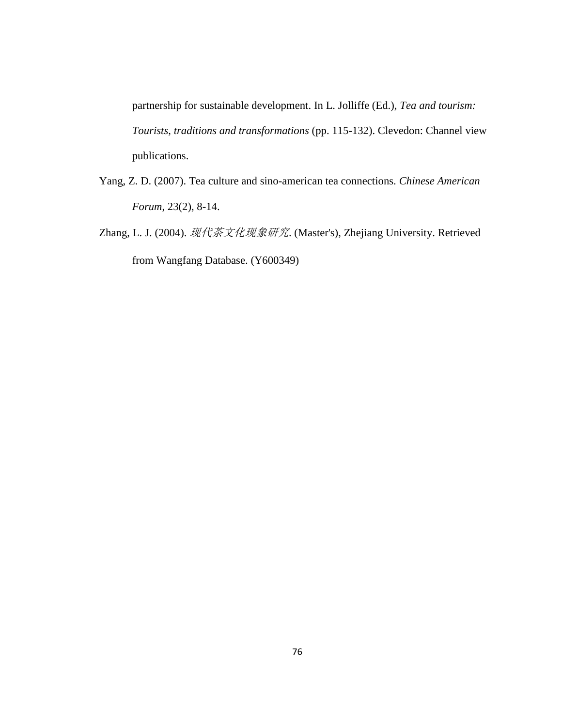partnership for sustainable development. In L. Jolliffe (Ed.), *Tea and tourism: Tourists, traditions and transformations* (pp. 115-132). Clevedon: Channel view publications.

- Yang, Z. D. (2007). Tea culture and sino-american tea connections. *Chinese American Forum*, 23(2), 8-14.
- Zhang, L. J. (2004). 现代茶文化现象研究. (Master's), Zhejiang University. Retrieved from Wangfang Database. (Y600349)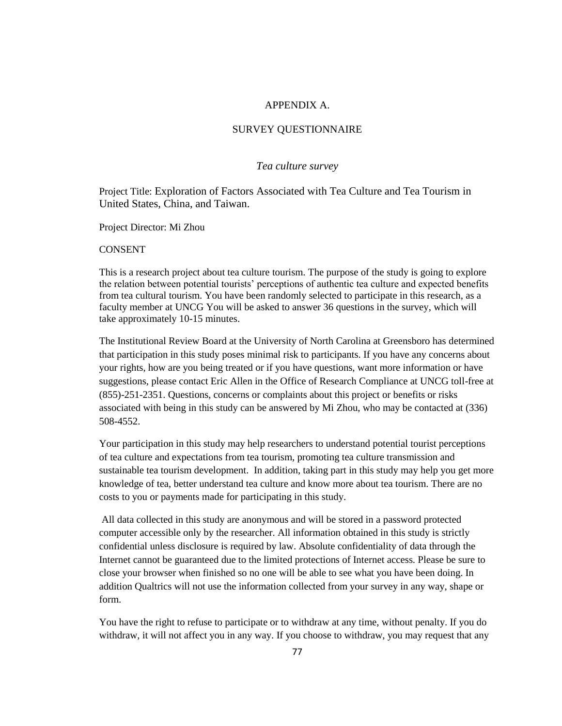#### APPENDIX A.

#### SURVEY QUESTIONNAIRE

#### *Tea culture survey*

Project Title: Exploration of Factors Associated with Tea Culture and Tea Tourism in United States, China, and Taiwan.

Project Director: Mi Zhou

#### CONSENT

This is a research project about tea culture tourism. The purpose of the study is going to explore the relation between potential tourists' perceptions of authentic tea culture and expected benefits from tea cultural tourism. You have been randomly selected to participate in this research, as a faculty member at UNCG You will be asked to answer 36 questions in the survey, which will take approximately 10-15 minutes.

The Institutional Review Board at the University of North Carolina at Greensboro has determined that participation in this study poses minimal risk to participants. If you have any concerns about your rights, how are you being treated or if you have questions, want more information or have suggestions, please contact Eric Allen in the Office of Research Compliance at UNCG toll-free at (855)-251-2351. Questions, concerns or complaints about this project or benefits or risks associated with being in this study can be answered by Mi Zhou, who may be contacted at (336) 508-4552.

Your participation in this study may help researchers to understand potential tourist perceptions of tea culture and expectations from tea tourism, promoting tea culture transmission and sustainable tea tourism development. In addition, taking part in this study may help you get more knowledge of tea, better understand tea culture and know more about tea tourism. There are no costs to you or payments made for participating in this study.

All data collected in this study are anonymous and will be stored in a password protected computer accessible only by the researcher. All information obtained in this study is strictly confidential unless disclosure is required by law. Absolute confidentiality of data through the Internet cannot be guaranteed due to the limited protections of Internet access. Please be sure to close your browser when finished so no one will be able to see what you have been doing. In addition Qualtrics will not use the information collected from your survey in any way, shape or form.

You have the right to refuse to participate or to withdraw at any time, without penalty. If you do withdraw, it will not affect you in any way. If you choose to withdraw, you may request that any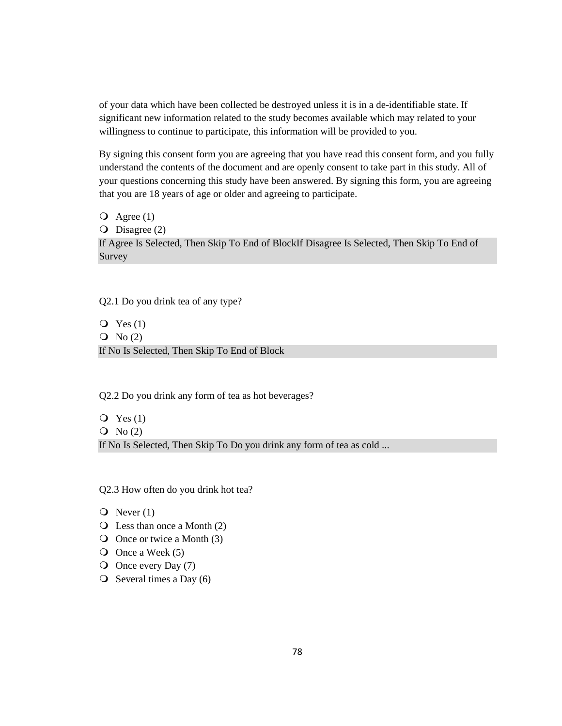of your data which have been collected be destroyed unless it is in a de-identifiable state. If significant new information related to the study becomes available which may related to your willingness to continue to participate, this information will be provided to you.

By signing this consent form you are agreeing that you have read this consent form, and you fully understand the contents of the document and are openly consent to take part in this study. All of your questions concerning this study have been answered. By signing this form, you are agreeing that you are 18 years of age or older and agreeing to participate.

 $\overline{Q}$  Agree (1)

O Disagree (2)

If Agree Is Selected, Then Skip To End of BlockIf Disagree Is Selected, Then Skip To End of Survey

Q2.1 Do you drink tea of any type?

 $Q$  Yes  $(1)$  $\overline{O}$  No (2) If No Is Selected, Then Skip To End of Block

Q2.2 Do you drink any form of tea as hot beverages?

 $Q$  Yes  $(1)$  $\overline{O}$  No (2) If No Is Selected, Then Skip To Do you drink any form of tea as cold ...

Q2.3 How often do you drink hot tea?

- $\overline{Q}$  Never (1)
- $\overline{Q}$  Less than once a Month (2)
- Once or twice a Month (3)
- $\overline{O}$  Once a Week (5)
- O Once every Day (7)
- $\overline{O}$  Several times a Day (6)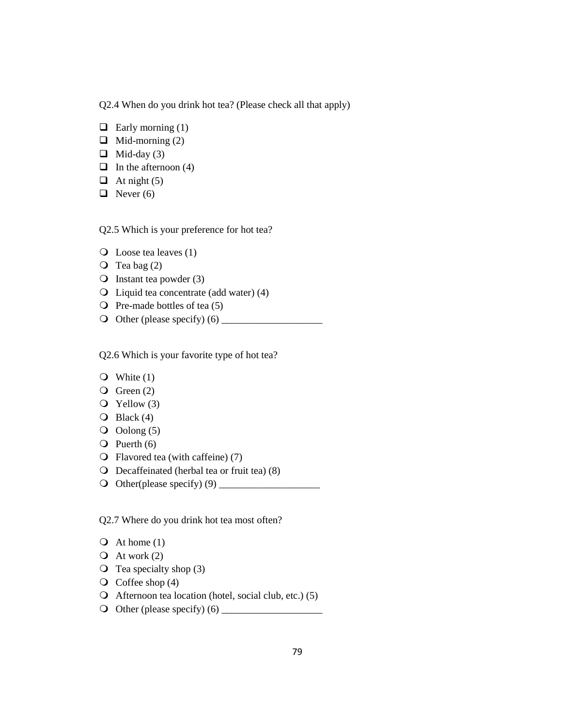Q2.4 When do you drink hot tea? (Please check all that apply)

- $\Box$  Early morning (1)
- $\Box$  Mid-morning (2)
- $\Box$  Mid-day (3)
- $\Box$  In the afternoon (4)
- $\Box$  At night (5)
- $\Box$  Never (6)

Q2.5 Which is your preference for hot tea?

- Loose tea leaves (1)
- $\overline{O}$  Tea bag (2)
- $\bigcirc$  Instant tea powder (3)
- Liquid tea concentrate (add water) (4)
- $\overline{O}$  Pre-made bottles of tea (5)
- Other (please specify) (6) \_\_\_\_\_\_\_\_\_\_\_\_\_\_\_\_\_\_\_\_

Q2.6 Which is your favorite type of hot tea?

- $\bullet$  White (1)
- $\overline{Q}$  Green (2)
- $\overline{Q}$  Yellow (3)
- $\overline{O}$  Black (4)
- $\overline{O}$  Oolong (5)
- $\overline{Q}$  Puerth (6)
- Flavored tea (with caffeine) (7)
- Decaffeinated (herbal tea or fruit tea) (8)
- Other(please specify) (9) \_\_\_\_\_\_\_\_\_\_\_\_\_\_\_\_\_\_\_\_

Q2.7 Where do you drink hot tea most often?

- $\overline{Q}$  At home (1)
- $\overline{Q}$  At work (2)
- $\overline{O}$  Tea specialty shop (3)
- $\overline{Q}$  Coffee shop (4)
- $\bigcirc$  Afternoon tea location (hotel, social club, etc.) (5)
- Other (please specify) (6) \_\_\_\_\_\_\_\_\_\_\_\_\_\_\_\_\_\_\_\_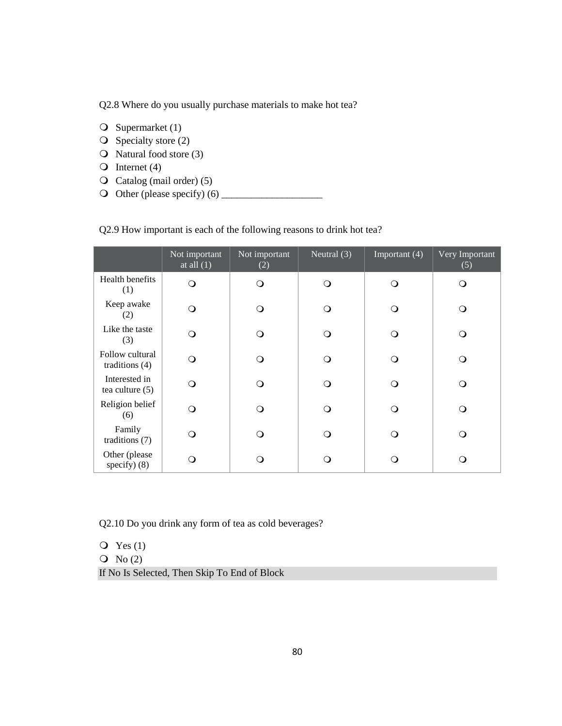Q2.8 Where do you usually purchase materials to make hot tea?

- $\bigcirc$  Supermarket (1)
- $\overline{O}$  Specialty store (2)
- Q Natural food store (3)
- O Internet  $(4)$
- Catalog (mail order) (5)
- Other (please specify) (6) \_\_\_\_\_\_\_\_\_\_\_\_\_\_\_\_\_\_\_\_

Q2.9 How important is each of the following reasons to drink hot tea?

|                                     | Not important<br>at all $(1)$ | Not important<br>(2) | Neutral $(3)$ | Important (4) | Very Important<br>(5) |
|-------------------------------------|-------------------------------|----------------------|---------------|---------------|-----------------------|
| Health benefits<br>(1)              | ∩                             | Q                    | $\Omega$      | Q             | Q                     |
| Keep awake<br>(2)                   | ∩                             | ∩                    | ∩             | ∩             | ∩                     |
| Like the taste<br>(3)               | ∩                             | ∩                    | ∩             | ∩             | ∩                     |
| Follow cultural<br>traditions $(4)$ | ∩                             | ∩                    | ∩             | ∩             | ∩                     |
| Interested in<br>tea culture $(5)$  | ∩                             | ∩                    | ∩             | ∩             | ∩                     |
| Religion belief<br>(6)              | ∩                             | ∩                    | ∩             | ∩             | ∩                     |
| Family<br>traditions $(7)$          | ∩                             | O                    | ∩             | ∩             | O                     |
| Other (please<br>specify $(8)$      | 0                             | ິ )                  |               | ∩             | ∩                     |

Q2.10 Do you drink any form of tea as cold beverages?

 $Q$  Yes (1)  $\overline{O}$  No (2) If No Is Selected, Then Skip To End of Block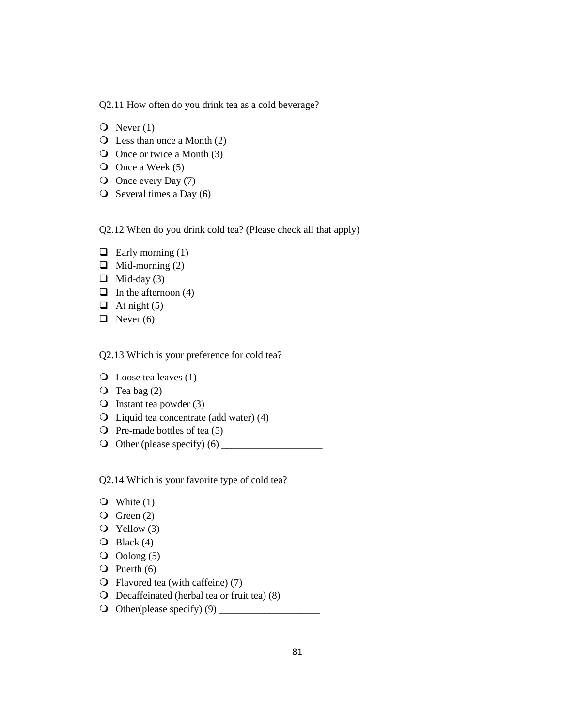Q2.11 How often do you drink tea as a cold beverage?

- $\overline{Q}$  Never (1)
- Less than once a Month (2)
- Once or twice a Month (3)
- $\overline{O}$  Once a Week (5)
- O Once every Day (7)
- $\overline{O}$  Several times a Day (6)

Q2.12 When do you drink cold tea? (Please check all that apply)

- $\Box$  Early morning (1)
- $\Box$  Mid-morning (2)
- $\Box$  Mid-day (3)
- $\Box$  In the afternoon (4)
- $\Box$  At night (5)
- $\Box$  Never (6)

Q2.13 Which is your preference for cold tea?

- Loose tea leaves (1)
- $\overline{O}$  Tea bag (2)
- $\bigcirc$  Instant tea powder (3)
- Liquid tea concentrate (add water) (4)
- $\overline{Q}$  Pre-made bottles of tea (5)
- Other (please specify) (6) \_\_\_\_\_\_\_\_\_\_\_\_\_\_\_\_\_\_\_\_

Q2.14 Which is your favorite type of cold tea?

- $\bullet$  White (1)
- $\overline{Q}$  Green (2)
- $\overline{Q}$  Yellow (3)
- $\overline{O}$  Black (4)
- $\overline{Q}$  Oolong (5)
- $\overline{Q}$  Puerth (6)
- Flavored tea (with caffeine) (7)
- Decaffeinated (herbal tea or fruit tea) (8)
- Other(please specify) (9) \_\_\_\_\_\_\_\_\_\_\_\_\_\_\_\_\_\_\_\_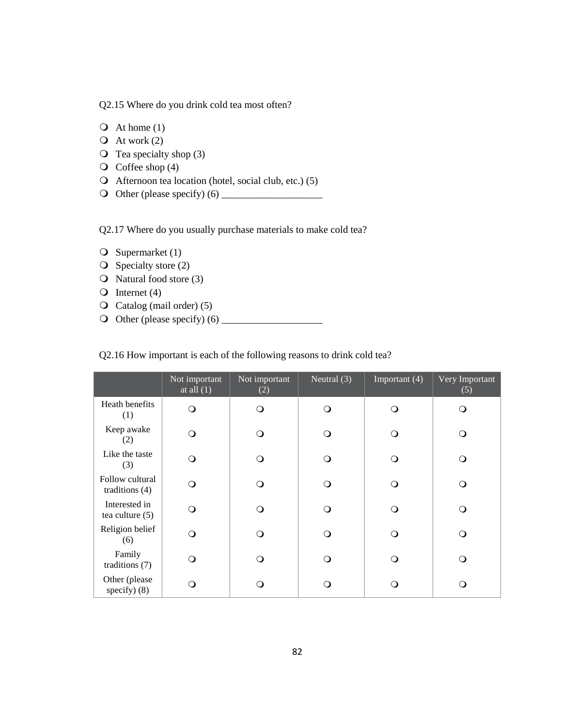Q2.15 Where do you drink cold tea most often?

 $\overline{Q}$  At home (1)

 $\overline{Q}$  At work (2)

 $\overline{O}$  Tea specialty shop (3)

 $\overline{Q}$  Coffee shop (4)

Afternoon tea location (hotel, social club, etc.) (5)

Other (please specify) (6) \_\_\_\_\_\_\_\_\_\_\_\_\_\_\_\_\_\_\_\_

Q2.17 Where do you usually purchase materials to make cold tea?

 $\bigcirc$  Supermarket (1)

 $\overline{O}$  Specialty store (2)

Q Natural food store (3)

 $\bigcirc$  Internet (4)

Catalog (mail order) (5)

Other (please specify) (6) \_\_\_\_\_\_\_\_\_\_\_\_\_\_\_\_\_\_\_\_

Q2.16 How important is each of the following reasons to drink cold tea?

|                                     | Not important<br>at all $(1)$ | Not important<br>(2) | Neutral $(3)$ | Important (4) | Very Important<br>(5) |
|-------------------------------------|-------------------------------|----------------------|---------------|---------------|-----------------------|
| Heath benefits<br>(1)               | ∩                             | ∩                    | ∩             | ∩             | O                     |
| Keep awake<br>(2)                   | ∩                             | ∩                    | ∩             |               | ∩                     |
| Like the taste<br>(3)               | ∩                             | ∩                    | ∩             |               | ◯                     |
| Follow cultural<br>traditions $(4)$ | ∩                             | ∩                    | ∩             | ∩             | ∩                     |
| Interested in<br>tea culture $(5)$  | ∩                             | Q                    | ∩             | ∩             | Q                     |
| Religion belief<br>(6)              | ∩                             | ∩                    | ∩             | ∩             | ∩                     |
| Family<br>traditions $(7)$          | ∩ ⁄                           | ∩                    | ∩             |               | Q                     |
| Other (please<br>specify $(8)$      |                               | ∩                    | ∩             |               | O                     |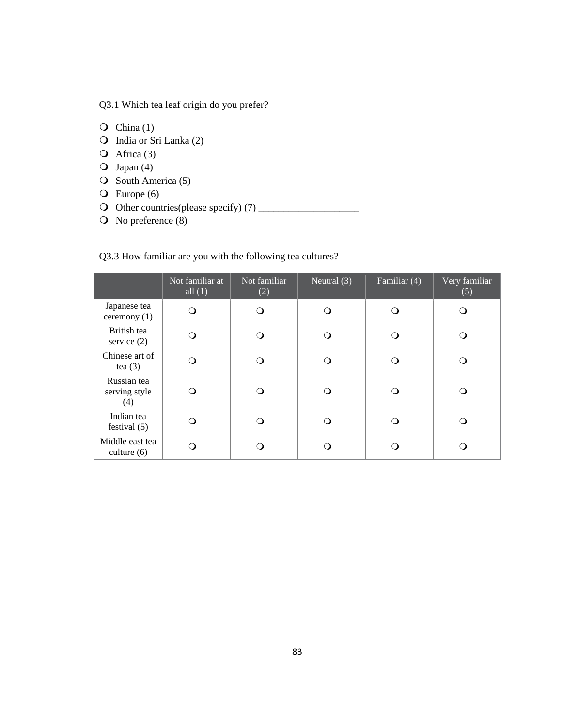Q3.1 Which tea leaf origin do you prefer?

- $\overline{Q}$  China (1)
- India or Sri Lanka (2)
- $\overline{Q}$  Africa (3)
- $\overline{O}$  Japan (4)
- $\overline{O}$  South America (5)
- $\overline{O}$  Europe (6)
- Other countries(please specify) (7) \_\_\_\_\_\_\_\_\_\_\_\_\_\_\_\_\_\_\_\_
- O No preference (8)

# Q3.3 How familiar are you with the following tea cultures?

|                                     | Not familiar at<br>all $(1)$ | Not familiar<br>(2) | Neutral $(3)$ | Familiar (4) | Very familiar<br>(5) |
|-------------------------------------|------------------------------|---------------------|---------------|--------------|----------------------|
| Japanese tea<br>ceremony $(1)$      | ∩                            | O                   | ∩             |              | ∩                    |
| British tea<br>service $(2)$        |                              | ∩                   |               |              |                      |
| Chinese art of<br>tea $(3)$         | ∩ )                          | O                   |               |              |                      |
| Russian tea<br>serving style<br>(4) |                              | O                   | ∩             |              |                      |
| Indian tea<br>festival $(5)$        |                              | O                   | ∩             |              |                      |
| Middle east tea<br>culture $(6)$    |                              | ( )                 |               |              |                      |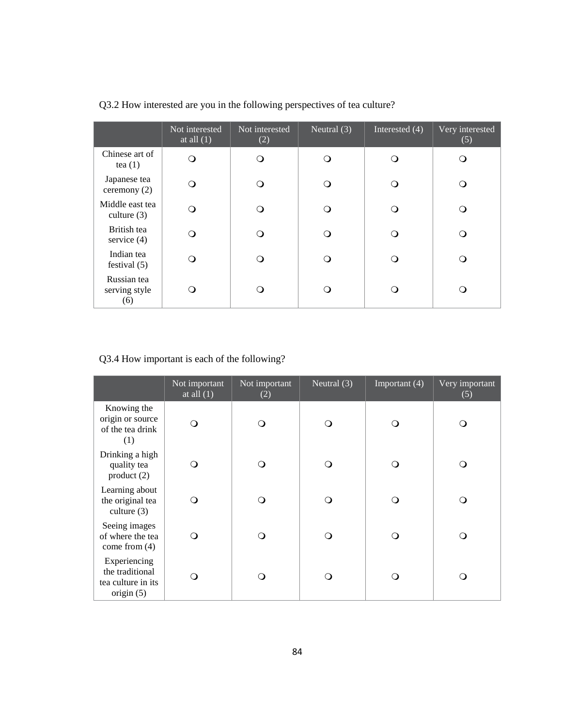|                                     | Not interested<br>at all $(1)$ | Not interested<br>(2) | Neutral $(3)$ | Interested (4) | Very interested<br>(5) |
|-------------------------------------|--------------------------------|-----------------------|---------------|----------------|------------------------|
| Chinese art of<br>tea $(1)$         | ∩                              |                       | ∩             |                | ∩                      |
| Japanese tea<br>ceremony $(2)$      | ∩                              |                       |               |                | ∩                      |
| Middle east tea<br>culture $(3)$    | ∩                              |                       | ∩             |                |                        |
| British tea<br>service $(4)$        | ∩                              |                       |               |                | Ο.                     |
| Indian tea<br>festival $(5)$        |                                |                       |               |                |                        |
| Russian tea<br>serving style<br>(6) |                                |                       |               |                |                        |

Q3.2 How interested are you in the following perspectives of tea culture?

# Q3.4 How important is each of the following?

|                                                                       | Not important<br>at all $(1)$ | Not important<br>(2) | Neutral $(3)$ | Important (4) | Very important<br>(5) |
|-----------------------------------------------------------------------|-------------------------------|----------------------|---------------|---------------|-----------------------|
| Knowing the<br>origin or source<br>of the tea drink<br>(1)            | ∩                             | ∩                    | $\Omega$      |               | Q                     |
| Drinking a high<br>quality tea<br>product(2)                          |                               | ∩                    | ∩             |               | ∩                     |
| Learning about<br>the original tea<br>culture $(3)$                   | ∩                             | ∩                    | $\bigcirc$    |               | ∩                     |
| Seeing images<br>of where the tea<br>come from $(4)$                  | ∩                             | ∩                    | ∩             |               | ∩                     |
| Experiencing<br>the traditional<br>tea culture in its<br>origin $(5)$ |                               | ∩                    | ∩             |               | ∩                     |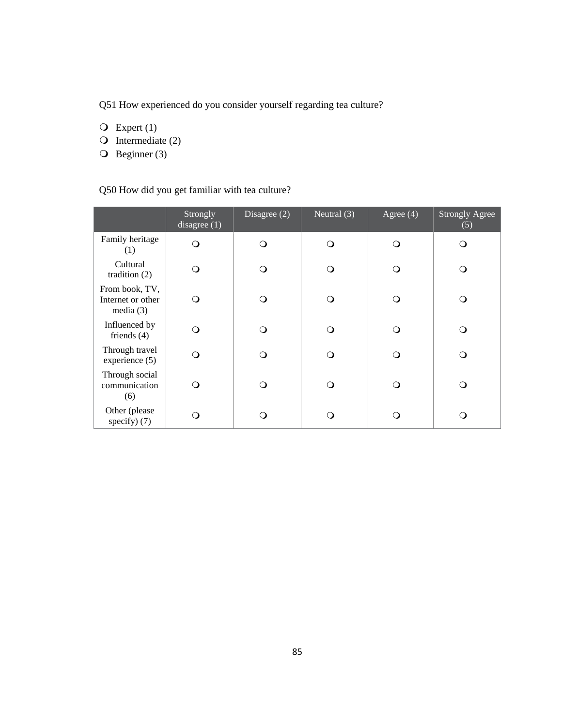Q51 How experienced do you consider yourself regarding tea culture?

 $\overline{Q}$  Expert (1)

- $\bigcirc$  Intermediate (2)
- $\overline{O}$  Beginner (3)

# Q50 How did you get familiar with tea culture?

|                                                    | Strongly<br>disagree $(1)$ | Disagree $(2)$ | Neutral $(3)$ | Agree $(4)$ | <b>Strongly Agree</b><br>(5) |
|----------------------------------------------------|----------------------------|----------------|---------------|-------------|------------------------------|
| Family heritage<br>(1)                             | ∩                          | ∩              | ∩             |             |                              |
| Cultural<br>tradition $(2)$                        | ∩                          | ∩              | ∩             |             | ∩                            |
| From book, TV,<br>Internet or other<br>media $(3)$ | ∩                          | ∩              | ∩             |             | ∩                            |
| Influenced by<br>friends $(4)$                     | ∩                          | ∩              | ∩             |             | ∩                            |
| Through travel<br>experience (5)                   |                            |                |               |             |                              |
| Through social<br>communication<br>(6)             | ∩                          |                |               | ∩           | ∩                            |
| Other (please<br>specify $)$ (7)                   |                            |                |               |             | ∩                            |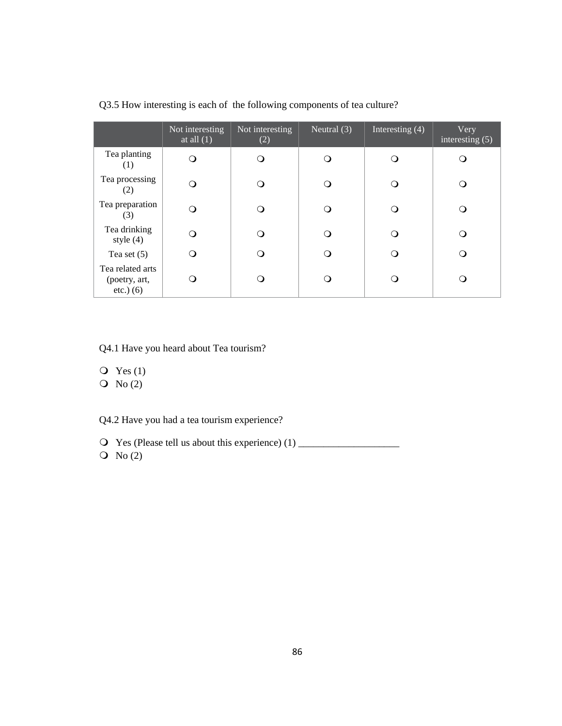|                                                  | Not interesting<br>at all $(1)$ | Not interesting<br>(2) | Neutral $(3)$ | Interesting $(4)$ | Very<br>interesting $(5)$ |
|--------------------------------------------------|---------------------------------|------------------------|---------------|-------------------|---------------------------|
| Tea planting<br>(1)                              |                                 | ∩                      |               |                   |                           |
| Tea processing<br>(2)                            |                                 | ∩                      |               |                   |                           |
| Tea preparation<br>(3)                           |                                 | ∩                      |               |                   |                           |
| Tea drinking<br>style $(4)$                      |                                 | ∩                      |               |                   |                           |
| Tea set $(5)$                                    |                                 | ∩                      |               |                   |                           |
| Tea related arts<br>(poetry, art,<br>$etc.)$ (6) |                                 | ( )                    |               |                   |                           |

Q3.5 How interesting is each of the following components of tea culture?

Q4.1 Have you heard about Tea tourism?

- $Q$  Yes (1)
- $\overline{O}$  No (2)

Q4.2 Have you had a tea tourism experience?

 Yes (Please tell us about this experience) (1) \_\_\_\_\_\_\_\_\_\_\_\_\_\_\_\_\_\_\_\_  $\overline{O}$  No (2)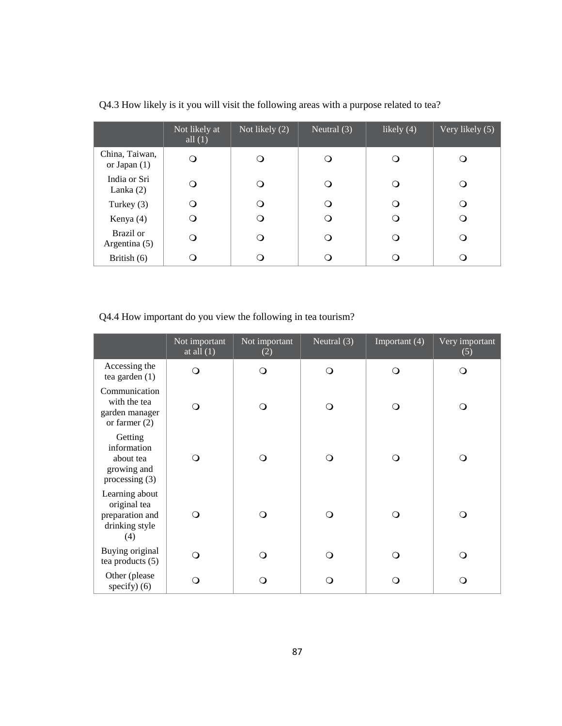|                                  | Not likely at<br>all $(1)$ | Not likely (2) | Neutral $(3)$ | likely (4) | Very likely $(5)$ |
|----------------------------------|----------------------------|----------------|---------------|------------|-------------------|
| China, Taiwan,<br>or Japan $(1)$ | Q                          |                |               |            |                   |
| India or Sri<br>Lanka $(2)$      |                            | (၂             |               |            |                   |
| Turkey $(3)$                     |                            | ∩              |               |            |                   |
| Kenya (4)                        |                            |                |               |            |                   |
| Brazil or<br>Argentina (5)       |                            |                |               |            |                   |
| British $(6)$                    |                            |                |               |            |                   |

Q4.3 How likely is it you will visit the following areas with a purpose related to tea?

Q4.4 How important do you view the following in tea tourism?

|                                                                            | Not important<br>at all $(1)$ | Not important<br>(2) | Neutral $(3)$ | Important (4) | Very important<br>(5) |
|----------------------------------------------------------------------------|-------------------------------|----------------------|---------------|---------------|-----------------------|
| Accessing the<br>tea garden $(1)$                                          | ∩                             | $\Omega$             | $\circ$       | ∩             | O                     |
| Communication<br>with the tea<br>garden manager<br>or farmer $(2)$         |                               | $\Omega$             | $\Omega$      |               | ∩                     |
| Getting<br>information<br>about tea<br>growing and<br>processing $(3)$     | ∩                             | ∩                    | $\circ$       | ∩             | Q                     |
| Learning about<br>original tea<br>preparation and<br>drinking style<br>(4) | ∩                             |                      | ∩             |               | ∩                     |
| Buying original<br>tea products $(5)$                                      | ∩                             | $\Omega$             | $\Omega$      | ∩             | Q                     |
| Other (please<br>specify $)$ (6)                                           |                               |                      | $\Omega$      |               | ∩                     |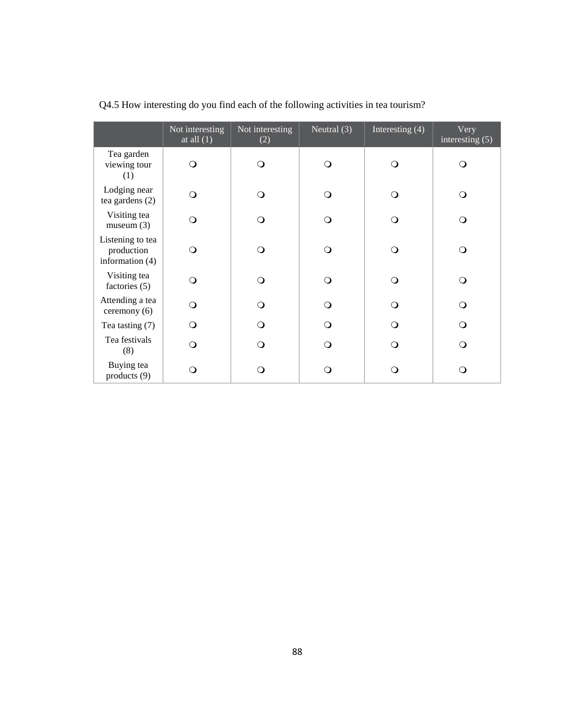|                                                     | Not interesting<br>at all $(1)$ | Not interesting<br>(2) | Neutral (3) | Interesting (4) | Very<br>interesting $(5)$ |
|-----------------------------------------------------|---------------------------------|------------------------|-------------|-----------------|---------------------------|
| Tea garden<br>viewing tour<br>(1)                   | ∩                               | ∩                      | ∩           | $\Omega$        | ∩                         |
| Lodging near<br>tea gardens $(2)$                   | ∩                               | $\Omega$               | ∩           | $\Omega$        | ∩                         |
| Visiting tea<br>museum(3)                           | ∩                               | $\Omega$               | ∩           | $\Omega$        | O                         |
| Listening to tea<br>production<br>information $(4)$ | ∩                               | ∩                      | ∩           | $\Omega$        | ∩                         |
| Visiting tea<br>factories (5)                       | ∩                               | $\Omega$               | ∩           | $\Omega$        | ∩                         |
| Attending a tea<br>ceremony (6)                     | O                               | $\Omega$               | ∩           | $\Omega$        | O                         |
| Tea tasting (7)                                     | ∩                               | Q                      |             | ∩               | Q                         |
| Tea festivals<br>(8)                                | ∩                               | ∩                      | ∩           | ∩               | ∩                         |
| Buying tea<br>products (9)                          | ∩                               | ∩                      | ∩           | O               | ∩                         |

Q4.5 How interesting do you find each of the following activities in tea tourism?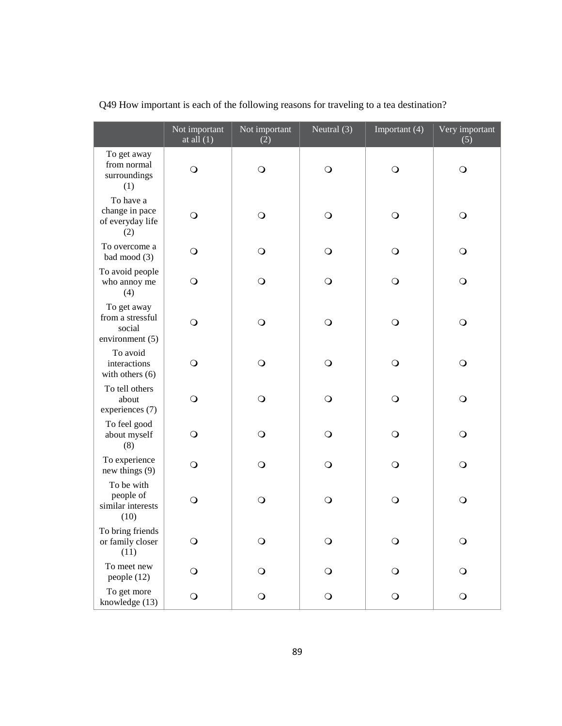|                                                                | Not important<br>at all $(1)$ | Not important<br>(2) | Neutral (3) | Important (4) | Very important<br>(5) |
|----------------------------------------------------------------|-------------------------------|----------------------|-------------|---------------|-----------------------|
| To get away<br>from normal<br>surroundings<br>(1)              | $\circ$                       | $\circ$              | $\bigcirc$  | $\circ$       | $\circ$               |
| To have a<br>change in pace<br>of everyday life<br>(2)         | $\circ$                       | $\bigcirc$           | $\bigcirc$  | $\circ$       | $\circ$               |
| To overcome a<br>bad mood (3)                                  | $\circ$                       | $\bigcirc$           | $\bigcirc$  | $\circ$       | $\circ$               |
| To avoid people<br>who annoy me<br>(4)                         | $\circ$                       | $\circ$              | $\bigcirc$  | $\circ$       | $\circ$               |
| To get away<br>from a stressful<br>social<br>environment $(5)$ | $\circ$                       | $\bigcirc$           | $\bigcirc$  | $\circ$       | $\circ$               |
| To avoid<br>interactions<br>with others $(6)$                  | $\circ$                       | $\bigcirc$           | $\circ$     | $\circ$       | $\circ$               |
| To tell others<br>about<br>experiences (7)                     | $\circ$                       | $\bigcirc$           | $\bigcirc$  | $\circ$       | $\circ$               |
| To feel good<br>about myself<br>(8)                            | $\circ$                       | $\circ$              | $\circ$     | $\circ$       | $\circ$               |
| To experience<br>new things (9)                                | $\circ$                       | $\bigcirc$           | $\bigcirc$  | $\circ$       | $\circ$               |
| To be with<br>people of<br>similar interests<br>(10)           | $\circ$                       | $\circ$              | $\bigcirc$  | $\circ$       | $\circ$               |
| To bring friends<br>or family closer<br>(11)                   | $\circ$                       | $\bigcirc$           | $\bigcirc$  | $\bigcirc$    | $\circ$               |
| To meet new<br>people (12)                                     | $\circ$                       | $\bigcirc$           | $\bigcirc$  | $\circ$       | $\circ$               |
| To get more<br>knowledge (13)                                  | $\bigcirc$                    | $\bigcirc$           | $\mathbf O$ | $\bigcirc$    | $\bigcirc$            |

Q49 How important is each of the following reasons for traveling to a tea destination?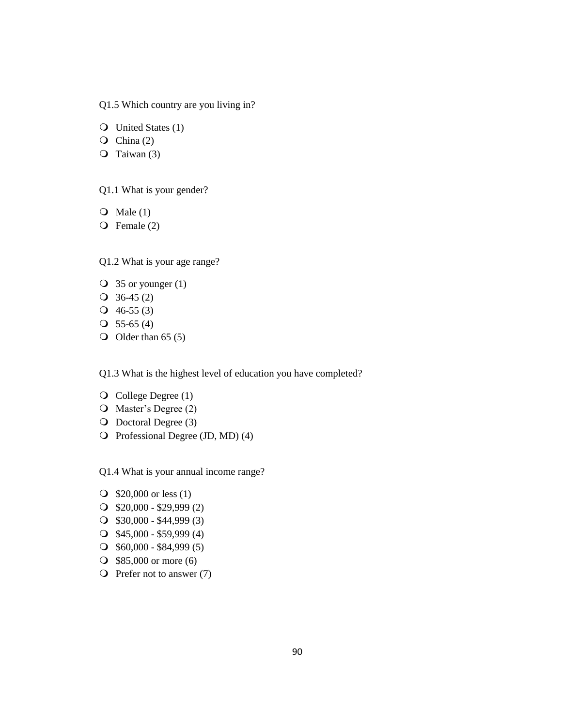Q1.5 Which country are you living in?

United States (1)

 $\overline{Q}$  China (2)

 $\overline{Q}$  Taiwan (3)

Q1.1 What is your gender?

 $\overline{Q}$  Male (1)

Female (2)

Q1.2 What is your age range?

- $\overline{O}$  35 or younger (1)
- $\textcircled{3}$  36-45 (2)
- $Q$  46-55 (3)
- $O$  55-65 (4)
- $\bigcirc$  Older than 65 (5)

Q1.3 What is the highest level of education you have completed?

- $\overline{Q}$  College Degree (1)
- O Master's Degree (2)
- O Doctoral Degree (3)
- O Professional Degree (JD, MD) (4)

Q1.4 What is your annual income range?

- **O** \$20,000 or less (1)
- $\bigcirc$  \$20,000 \$29,999 (2)
- $\bigcirc$  \$30,000 \$44,999 (3)
- $\bigcirc$  \$45,000 \$59,999 (4)
- \$60,000 \$84,999 (5)
- **385,000 or more (6)**
- $\overline{O}$  Prefer not to answer (7)